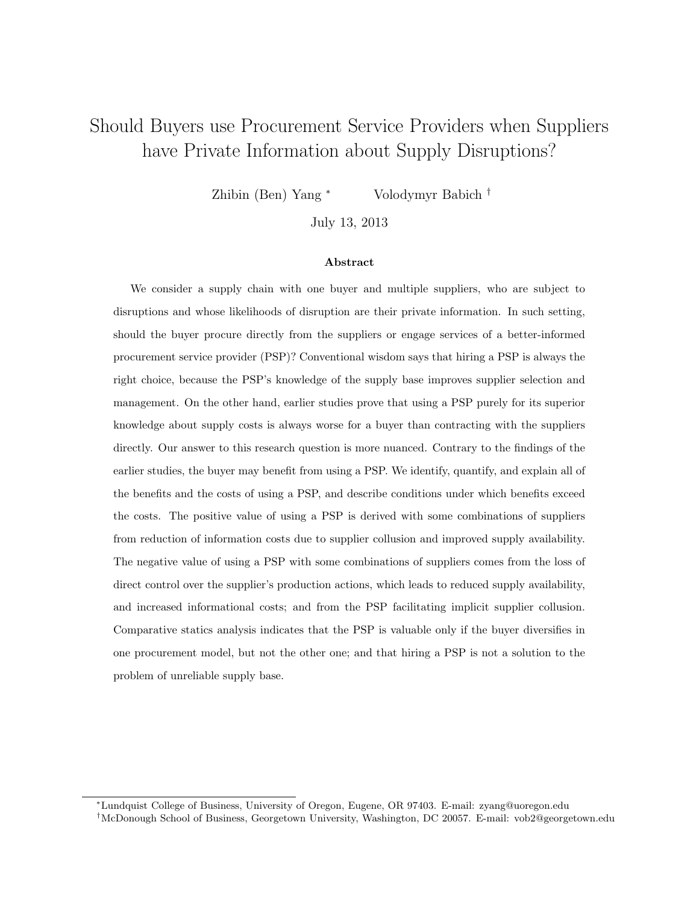# Should Buyers use Procurement Service Providers when Suppliers have Private Information about Supply Disruptions?

Zhibin (Ben) Yang <sup>∗</sup> Volodymyr Babich †

July 13, 2013

#### Abstract

We consider a supply chain with one buyer and multiple suppliers, who are subject to disruptions and whose likelihoods of disruption are their private information. In such setting, should the buyer procure directly from the suppliers or engage services of a better-informed procurement service provider (PSP)? Conventional wisdom says that hiring a PSP is always the right choice, because the PSP's knowledge of the supply base improves supplier selection and management. On the other hand, earlier studies prove that using a PSP purely for its superior knowledge about supply costs is always worse for a buyer than contracting with the suppliers directly. Our answer to this research question is more nuanced. Contrary to the findings of the earlier studies, the buyer may benefit from using a PSP. We identify, quantify, and explain all of the benefits and the costs of using a PSP, and describe conditions under which benefits exceed the costs. The positive value of using a PSP is derived with some combinations of suppliers from reduction of information costs due to supplier collusion and improved supply availability. The negative value of using a PSP with some combinations of suppliers comes from the loss of direct control over the supplier's production actions, which leads to reduced supply availability, and increased informational costs; and from the PSP facilitating implicit supplier collusion. Comparative statics analysis indicates that the PSP is valuable only if the buyer diversifies in one procurement model, but not the other one; and that hiring a PSP is not a solution to the problem of unreliable supply base.

<sup>∗</sup>Lundquist College of Business, University of Oregon, Eugene, OR 97403. E-mail: zyang@uoregon.edu

<sup>†</sup>McDonough School of Business, Georgetown University, Washington, DC 20057. E-mail: vob2@georgetown.edu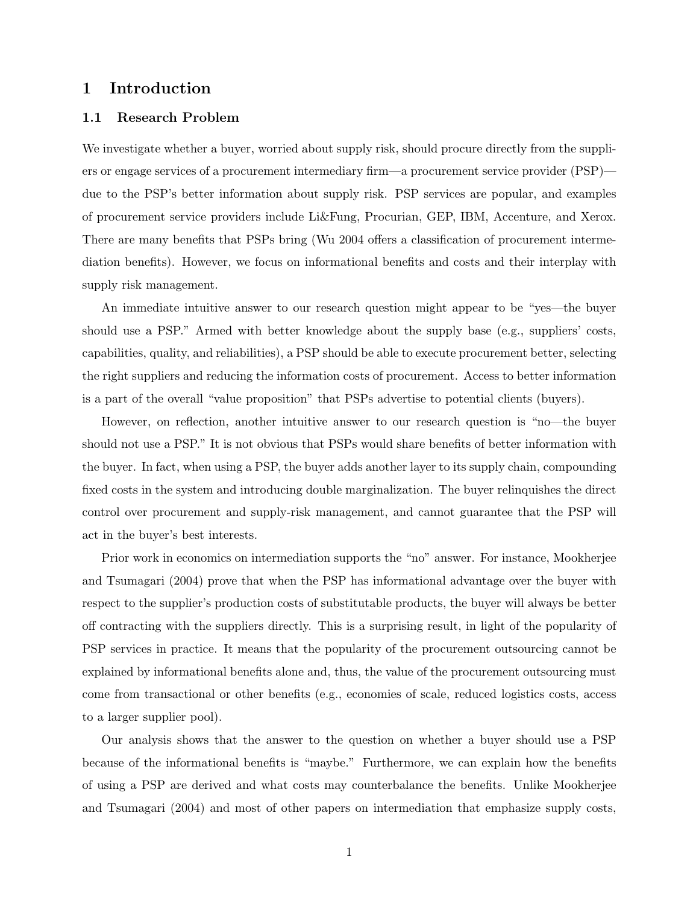## 1 Introduction

#### 1.1 Research Problem

We investigate whether a buyer, worried about supply risk, should procure directly from the suppliers or engage services of a procurement intermediary firm—a procurement service provider (PSP) due to the PSP's better information about supply risk. PSP services are popular, and examples of procurement service providers include Li&Fung, Procurian, GEP, IBM, Accenture, and Xerox. There are many benefits that PSPs bring (Wu 2004 offers a classification of procurement intermediation benefits). However, we focus on informational benefits and costs and their interplay with supply risk management.

An immediate intuitive answer to our research question might appear to be "yes—the buyer should use a PSP." Armed with better knowledge about the supply base (e.g., suppliers' costs, capabilities, quality, and reliabilities), a PSP should be able to execute procurement better, selecting the right suppliers and reducing the information costs of procurement. Access to better information is a part of the overall "value proposition" that PSPs advertise to potential clients (buyers).

However, on reflection, another intuitive answer to our research question is "no—the buyer should not use a PSP." It is not obvious that PSPs would share benefits of better information with the buyer. In fact, when using a PSP, the buyer adds another layer to its supply chain, compounding fixed costs in the system and introducing double marginalization. The buyer relinquishes the direct control over procurement and supply-risk management, and cannot guarantee that the PSP will act in the buyer's best interests.

Prior work in economics on intermediation supports the "no" answer. For instance, Mookherjee and Tsumagari (2004) prove that when the PSP has informational advantage over the buyer with respect to the supplier's production costs of substitutable products, the buyer will always be better off contracting with the suppliers directly. This is a surprising result, in light of the popularity of PSP services in practice. It means that the popularity of the procurement outsourcing cannot be explained by informational benefits alone and, thus, the value of the procurement outsourcing must come from transactional or other benefits (e.g., economies of scale, reduced logistics costs, access to a larger supplier pool).

Our analysis shows that the answer to the question on whether a buyer should use a PSP because of the informational benefits is "maybe." Furthermore, we can explain how the benefits of using a PSP are derived and what costs may counterbalance the benefits. Unlike Mookherjee and Tsumagari (2004) and most of other papers on intermediation that emphasize supply costs,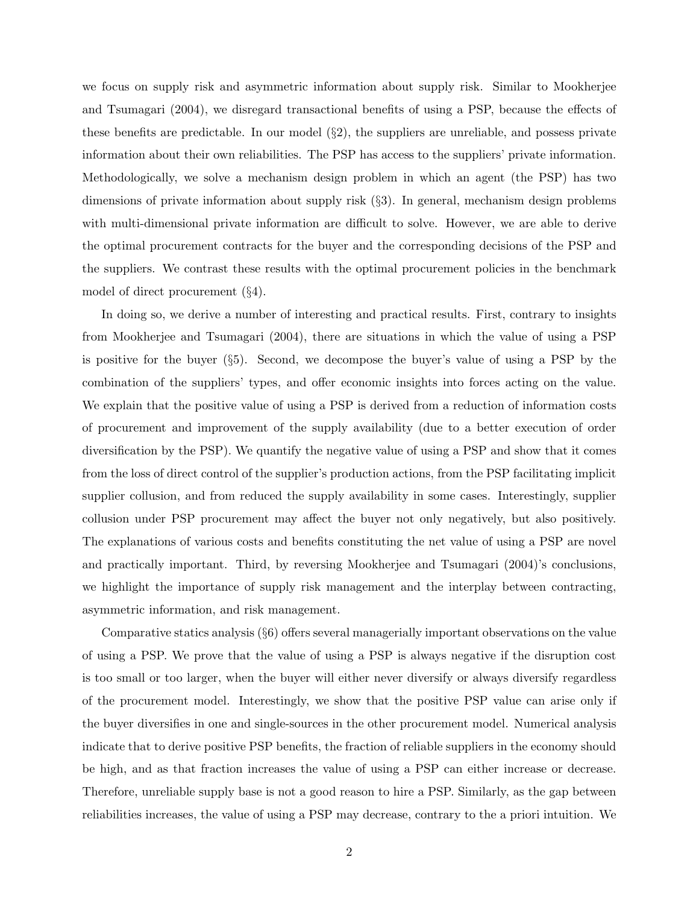we focus on supply risk and asymmetric information about supply risk. Similar to Mookherjee and Tsumagari (2004), we disregard transactional benefits of using a PSP, because the effects of these benefits are predictable. In our model  $(\S 2)$ , the suppliers are unreliable, and possess private information about their own reliabilities. The PSP has access to the suppliers' private information. Methodologically, we solve a mechanism design problem in which an agent (the PSP) has two dimensions of private information about supply risk  $(\S 3)$ . In general, mechanism design problems with multi-dimensional private information are difficult to solve. However, we are able to derive the optimal procurement contracts for the buyer and the corresponding decisions of the PSP and the suppliers. We contrast these results with the optimal procurement policies in the benchmark model of direct procurement (§4).

In doing so, we derive a number of interesting and practical results. First, contrary to insights from Mookherjee and Tsumagari (2004), there are situations in which the value of using a PSP is positive for the buyer (§5). Second, we decompose the buyer's value of using a PSP by the combination of the suppliers' types, and offer economic insights into forces acting on the value. We explain that the positive value of using a PSP is derived from a reduction of information costs of procurement and improvement of the supply availability (due to a better execution of order diversification by the PSP). We quantify the negative value of using a PSP and show that it comes from the loss of direct control of the supplier's production actions, from the PSP facilitating implicit supplier collusion, and from reduced the supply availability in some cases. Interestingly, supplier collusion under PSP procurement may affect the buyer not only negatively, but also positively. The explanations of various costs and benefits constituting the net value of using a PSP are novel and practically important. Third, by reversing Mookherjee and Tsumagari (2004)'s conclusions, we highlight the importance of supply risk management and the interplay between contracting, asymmetric information, and risk management.

Comparative statics analysis (§6) offers several managerially important observations on the value of using a PSP. We prove that the value of using a PSP is always negative if the disruption cost is too small or too larger, when the buyer will either never diversify or always diversify regardless of the procurement model. Interestingly, we show that the positive PSP value can arise only if the buyer diversifies in one and single-sources in the other procurement model. Numerical analysis indicate that to derive positive PSP benefits, the fraction of reliable suppliers in the economy should be high, and as that fraction increases the value of using a PSP can either increase or decrease. Therefore, unreliable supply base is not a good reason to hire a PSP. Similarly, as the gap between reliabilities increases, the value of using a PSP may decrease, contrary to the a priori intuition. We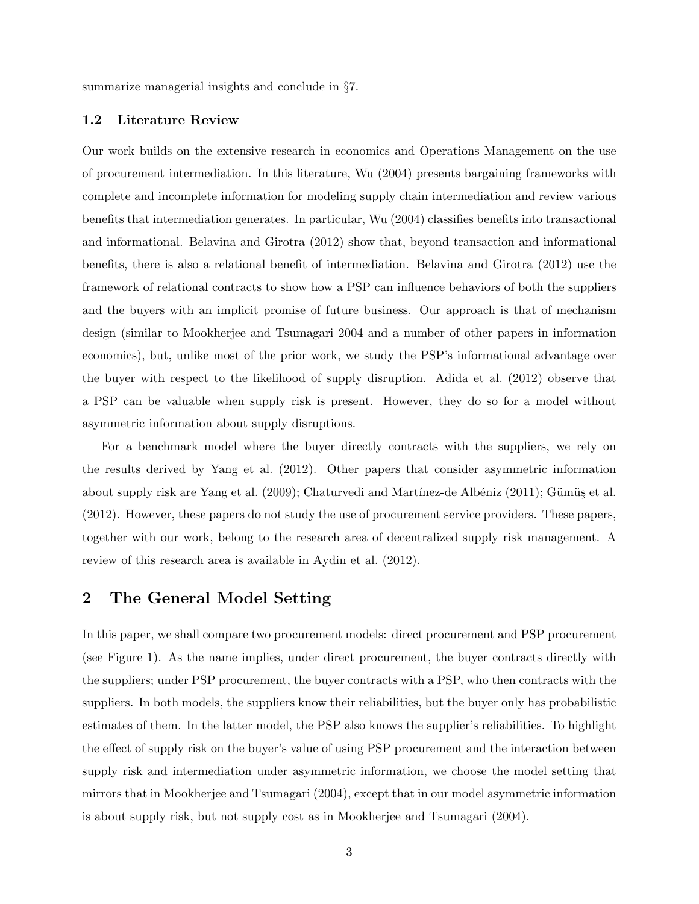summarize managerial insights and conclude in §7.

#### 1.2 Literature Review

Our work builds on the extensive research in economics and Operations Management on the use of procurement intermediation. In this literature, Wu (2004) presents bargaining frameworks with complete and incomplete information for modeling supply chain intermediation and review various benefits that intermediation generates. In particular, Wu (2004) classifies benefits into transactional and informational. Belavina and Girotra (2012) show that, beyond transaction and informational benefits, there is also a relational benefit of intermediation. Belavina and Girotra (2012) use the framework of relational contracts to show how a PSP can influence behaviors of both the suppliers and the buyers with an implicit promise of future business. Our approach is that of mechanism design (similar to Mookherjee and Tsumagari 2004 and a number of other papers in information economics), but, unlike most of the prior work, we study the PSP's informational advantage over the buyer with respect to the likelihood of supply disruption. Adida et al. (2012) observe that a PSP can be valuable when supply risk is present. However, they do so for a model without asymmetric information about supply disruptions.

For a benchmark model where the buyer directly contracts with the suppliers, we rely on the results derived by Yang et al. (2012). Other papers that consider asymmetric information about supply risk are Yang et al. (2009); Chaturvedi and Martínez-de Albéniz (2011); Gümüş et al. (2012). However, these papers do not study the use of procurement service providers. These papers, together with our work, belong to the research area of decentralized supply risk management. A review of this research area is available in Aydin et al. (2012).

## 2 The General Model Setting

In this paper, we shall compare two procurement models: direct procurement and PSP procurement (see Figure 1). As the name implies, under direct procurement, the buyer contracts directly with the suppliers; under PSP procurement, the buyer contracts with a PSP, who then contracts with the suppliers. In both models, the suppliers know their reliabilities, but the buyer only has probabilistic estimates of them. In the latter model, the PSP also knows the supplier's reliabilities. To highlight the effect of supply risk on the buyer's value of using PSP procurement and the interaction between supply risk and intermediation under asymmetric information, we choose the model setting that mirrors that in Mookherjee and Tsumagari (2004), except that in our model asymmetric information is about supply risk, but not supply cost as in Mookherjee and Tsumagari (2004).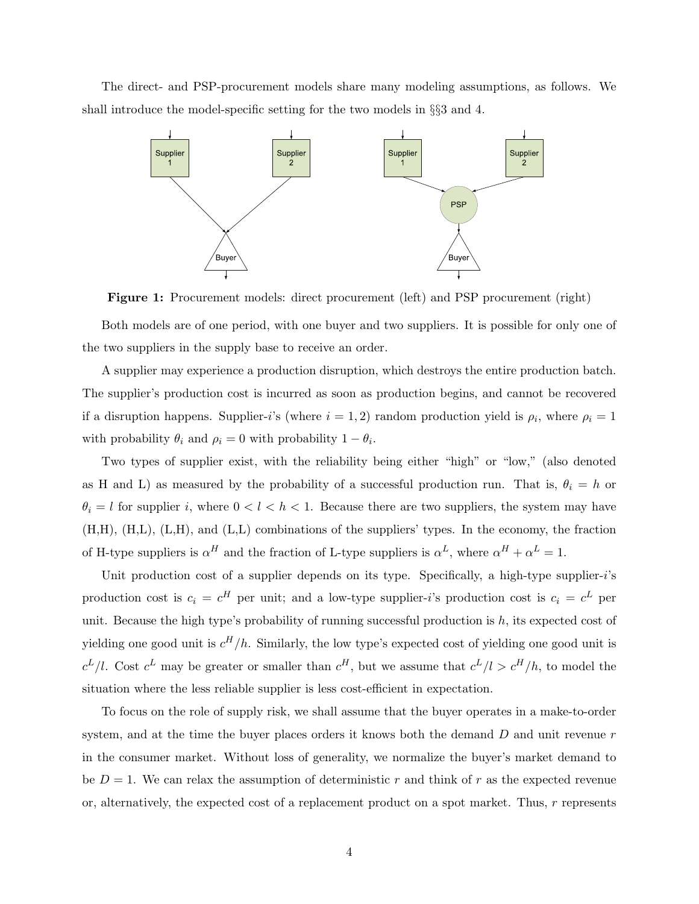The direct- and PSP-procurement models share many modeling assumptions, as follows. We shall introduce the model-specific setting for the two models in §§3 and 4.



Figure 1: Procurement models: direct procurement (left) and PSP procurement (right)

Both models are of one period, with one buyer and two suppliers. It is possible for only one of the two suppliers in the supply base to receive an order.

A supplier may experience a production disruption, which destroys the entire production batch. The supplier's production cost is incurred as soon as production begins, and cannot be recovered if a disruption happens. Supplier-i's (where  $i = 1, 2$ ) random production yield is  $\rho_i$ , where  $\rho_i = 1$ with probability  $\theta_i$  and  $\rho_i = 0$  with probability  $1 - \theta_i$ .

Two types of supplier exist, with the reliability being either "high" or "low," (also denoted as H and L) as measured by the probability of a successful production run. That is,  $\theta_i = h$  or  $\theta_i = l$  for supplier i, where  $0 < l < h < 1$ . Because there are two suppliers, the system may have (H,H), (H,L), (L,H), and (L,L) combinations of the suppliers' types. In the economy, the fraction of H-type suppliers is  $\alpha^H$  and the fraction of L-type suppliers is  $\alpha^L$ , where  $\alpha^H + \alpha^L = 1$ .

Unit production cost of a supplier depends on its type. Specifically, a high-type supplier- $i$ 's production cost is  $c_i = c^H$  per unit; and a low-type supplier-*i*'s production cost is  $c_i = c^L$  per unit. Because the high type's probability of running successful production is  $h$ , its expected cost of yielding one good unit is  $c^H/h$ . Similarly, the low type's expected cost of yielding one good unit is  $c^L/l$ . Cost  $c^L$  may be greater or smaller than  $c^H$ , but we assume that  $c^L/l > c^H/h$ , to model the situation where the less reliable supplier is less cost-efficient in expectation.

To focus on the role of supply risk, we shall assume that the buyer operates in a make-to-order system, and at the time the buyer places orders it knows both the demand  $D$  and unit revenue  $r$ in the consumer market. Without loss of generality, we normalize the buyer's market demand to be  $D = 1$ . We can relax the assumption of deterministic r and think of r as the expected revenue or, alternatively, the expected cost of a replacement product on a spot market. Thus, r represents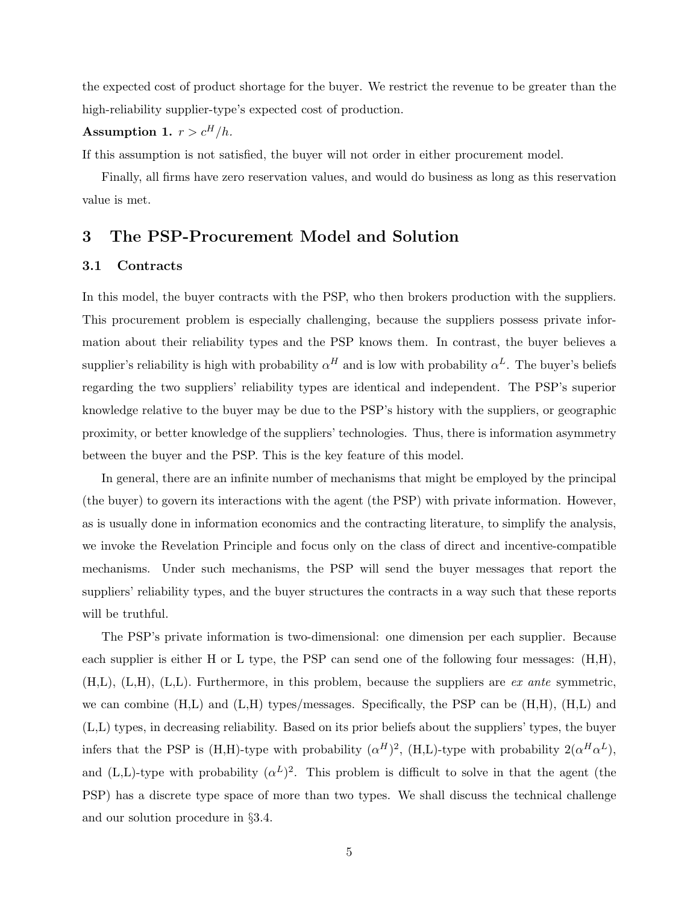the expected cost of product shortage for the buyer. We restrict the revenue to be greater than the high-reliability supplier-type's expected cost of production.

## Assumption 1.  $r > c^H/h$ .

If this assumption is not satisfied, the buyer will not order in either procurement model.

Finally, all firms have zero reservation values, and would do business as long as this reservation value is met.

## 3 The PSP-Procurement Model and Solution

#### 3.1 Contracts

In this model, the buyer contracts with the PSP, who then brokers production with the suppliers. This procurement problem is especially challenging, because the suppliers possess private information about their reliability types and the PSP knows them. In contrast, the buyer believes a supplier's reliability is high with probability  $\alpha^H$  and is low with probability  $\alpha^L$ . The buyer's beliefs regarding the two suppliers' reliability types are identical and independent. The PSP's superior knowledge relative to the buyer may be due to the PSP's history with the suppliers, or geographic proximity, or better knowledge of the suppliers' technologies. Thus, there is information asymmetry between the buyer and the PSP. This is the key feature of this model.

In general, there are an infinite number of mechanisms that might be employed by the principal (the buyer) to govern its interactions with the agent (the PSP) with private information. However, as is usually done in information economics and the contracting literature, to simplify the analysis, we invoke the Revelation Principle and focus only on the class of direct and incentive-compatible mechanisms. Under such mechanisms, the PSP will send the buyer messages that report the suppliers' reliability types, and the buyer structures the contracts in a way such that these reports will be truthful.

The PSP's private information is two-dimensional: one dimension per each supplier. Because each supplier is either H or L type, the PSP can send one of the following four messages: (H,H),  $(H,L)$ ,  $(L,H)$ ,  $(L,L)$ . Furthermore, in this problem, because the suppliers are *ex ante* symmetric, we can combine  $(H,L)$  and  $(L,H)$  types/messages. Specifically, the PSP can be  $(H,H)$ ,  $(H,L)$  and (L,L) types, in decreasing reliability. Based on its prior beliefs about the suppliers' types, the buyer infers that the PSP is (H,H)-type with probability  $(\alpha^H)^2$ , (H,L)-type with probability  $2(\alpha^H\alpha^L)$ , and (L,L)-type with probability  $(\alpha^L)^2$ . This problem is difficult to solve in that the agent (the PSP) has a discrete type space of more than two types. We shall discuss the technical challenge and our solution procedure in §3.4.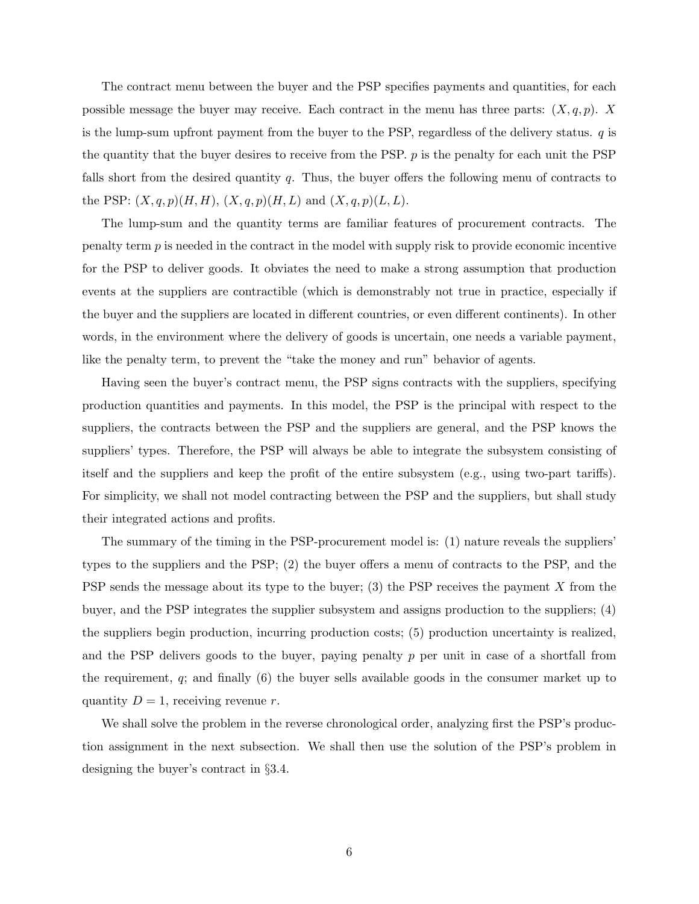The contract menu between the buyer and the PSP specifies payments and quantities, for each possible message the buyer may receive. Each contract in the menu has three parts:  $(X, q, p)$ . X is the lump-sum upfront payment from the buyer to the PSP, regardless of the delivery status.  $q$  is the quantity that the buyer desires to receive from the PSP.  $p$  is the penalty for each unit the PSP falls short from the desired quantity q. Thus, the buyer offers the following menu of contracts to the PSP:  $(X, q, p)(H, H), (X, q, p)(H, L)$  and  $(X, q, p)(L, L)$ .

The lump-sum and the quantity terms are familiar features of procurement contracts. The penalty term  $p$  is needed in the contract in the model with supply risk to provide economic incentive for the PSP to deliver goods. It obviates the need to make a strong assumption that production events at the suppliers are contractible (which is demonstrably not true in practice, especially if the buyer and the suppliers are located in different countries, or even different continents). In other words, in the environment where the delivery of goods is uncertain, one needs a variable payment, like the penalty term, to prevent the "take the money and run" behavior of agents.

Having seen the buyer's contract menu, the PSP signs contracts with the suppliers, specifying production quantities and payments. In this model, the PSP is the principal with respect to the suppliers, the contracts between the PSP and the suppliers are general, and the PSP knows the suppliers' types. Therefore, the PSP will always be able to integrate the subsystem consisting of itself and the suppliers and keep the profit of the entire subsystem (e.g., using two-part tariffs). For simplicity, we shall not model contracting between the PSP and the suppliers, but shall study their integrated actions and profits.

The summary of the timing in the PSP-procurement model is: (1) nature reveals the suppliers' types to the suppliers and the PSP; (2) the buyer offers a menu of contracts to the PSP, and the PSP sends the message about its type to the buyer; (3) the PSP receives the payment X from the buyer, and the PSP integrates the supplier subsystem and assigns production to the suppliers; (4) the suppliers begin production, incurring production costs; (5) production uncertainty is realized, and the PSP delivers goods to the buyer, paying penalty p per unit in case of a shortfall from the requirement,  $q$ ; and finally  $(6)$  the buyer sells available goods in the consumer market up to quantity  $D = 1$ , receiving revenue r.

We shall solve the problem in the reverse chronological order, analyzing first the PSP's production assignment in the next subsection. We shall then use the solution of the PSP's problem in designing the buyer's contract in §3.4.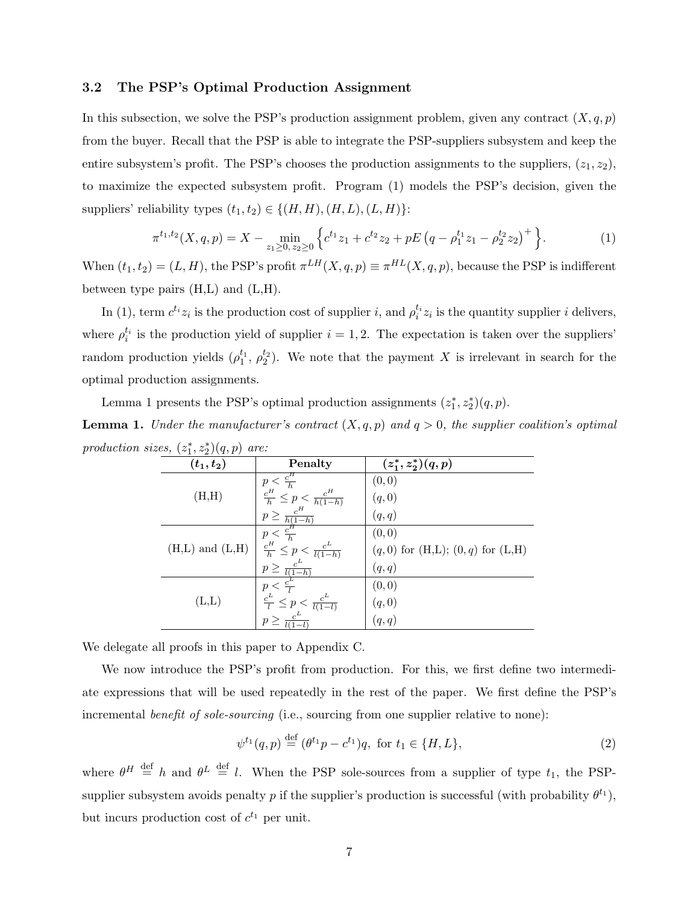#### 3.2 The PSP's Optimal Production Assignment

In this subsection, we solve the PSP's production assignment problem, given any contract  $(X, q, p)$ from the buyer. Recall that the PSP is able to integrate the PSP-suppliers subsystem and keep the entire subsystem's profit. The PSP's chooses the production assignments to the suppliers,  $(z_1, z_2)$ , to maximize the expected subsystem profit. Program (1) models the PSP's decision, given the suppliers' reliability types  $(t_1, t_2) \in \{(H, H), (H, L), (L, H)\}$ :

$$
\pi^{t_1,t_2}(X,q,p) = X - \min_{z_1 \ge 0, \, z_2 \ge 0} \left\{ c^{t_1} z_1 + c^{t_2} z_2 + pE\left(q - \rho_1^{t_1} z_1 - \rho_2^{t_2} z_2\right)^+ \right\}.
$$
 (1)

When  $(t_1, t_2) = (L, H)$ , the PSP's profit  $\pi^{LH}(X, q, p) \equiv \pi^{HL}(X, q, p)$ , because the PSP is indifferent between type pairs  $(H,L)$  and  $(L,H)$ .

In (1), term  $c^{t_i}z_i$  is the production cost of supplier i, and  $\rho_i^{t_i}z_i$  is the quantity supplier i delivers, where  $\rho_i^{t_i}$  is the production yield of supplier  $i = 1, 2$ . The expectation is taken over the suppliers' random production yields  $(\rho_1^{t_1}, \rho_2^{t_2})$ . We note that the payment X is irrelevant in search for the optimal production assignments.

Lemma 1 presents the PSP's optimal production assignments  $(z_1^*, z_2^*)(q, p)$ .

**Lemma 1.** Under the manufacturer's contract  $(X, q, p)$  and  $q > 0$ , the supplier coalition's optimal production sizes,  $(z_1^*, z_2^*)(q, p)$  are:

| $(t_1,t_2)$               | Penalty                                                                                                                                         | $(z_1^*, z_2^*)(q, p)$                 |
|---------------------------|-------------------------------------------------------------------------------------------------------------------------------------------------|----------------------------------------|
|                           |                                                                                                                                                 | (0, 0)                                 |
| (H,H)                     | $\frac{p < \frac{c^H}{h}}{\frac{c^H}{h} \leq p < \frac{c^H}{h(1-h)}}$                                                                           | (q,0)                                  |
|                           |                                                                                                                                                 | (q, q)                                 |
|                           |                                                                                                                                                 | (0, 0)                                 |
| $(H,L)$ and $(L,H)$       | $\begin{array}{l} \stackrel{n}{p} \geq \frac{c^H}{h(1-h)}\\ \hline p < \frac{c^H}{h}\\ \stackrel{F}{n} \leq p < \frac{c^L}{l(1-h)} \end{array}$ | $(q,0)$ for $(H,L); (0,q)$ for $(L,H)$ |
|                           | $\frac{p \geq \frac{c^L}{l(1-h)}}{p < \frac{c^L}{l}}$<br>$\frac{p < \frac{c^L}{l}}{p} < \frac{c^L}{l(1-l)}$                                     | (q, q)                                 |
|                           |                                                                                                                                                 | (0, 0)                                 |
| $(\mathrm{L},\mathrm{L})$ |                                                                                                                                                 | (q, 0)                                 |
|                           | $p \geq \frac{c^L}{l(1-l)}$                                                                                                                     | (q, q)                                 |

We delegate all proofs in this paper to Appendix C.

We now introduce the PSP's profit from production. For this, we first define two intermediate expressions that will be used repeatedly in the rest of the paper. We first define the PSP's incremental *benefit of sole-sourcing* (i.e., sourcing from one supplier relative to none):

$$
\psi^{t_1}(q, p) \stackrel{\text{def}}{=} (\theta^{t_1} p - c^{t_1}) q, \text{ for } t_1 \in \{H, L\},\tag{2}
$$

where  $\theta^H \stackrel{\text{def}}{=} h$  and  $\theta^L \stackrel{\text{def}}{=} l$ . When the PSP sole-sources from a supplier of type  $t_1$ , the PSPsupplier subsystem avoids penalty p if the supplier's production is successful (with probability  $\theta^{t_1}$ ), but incurs production cost of  $c^{t_1}$  per unit.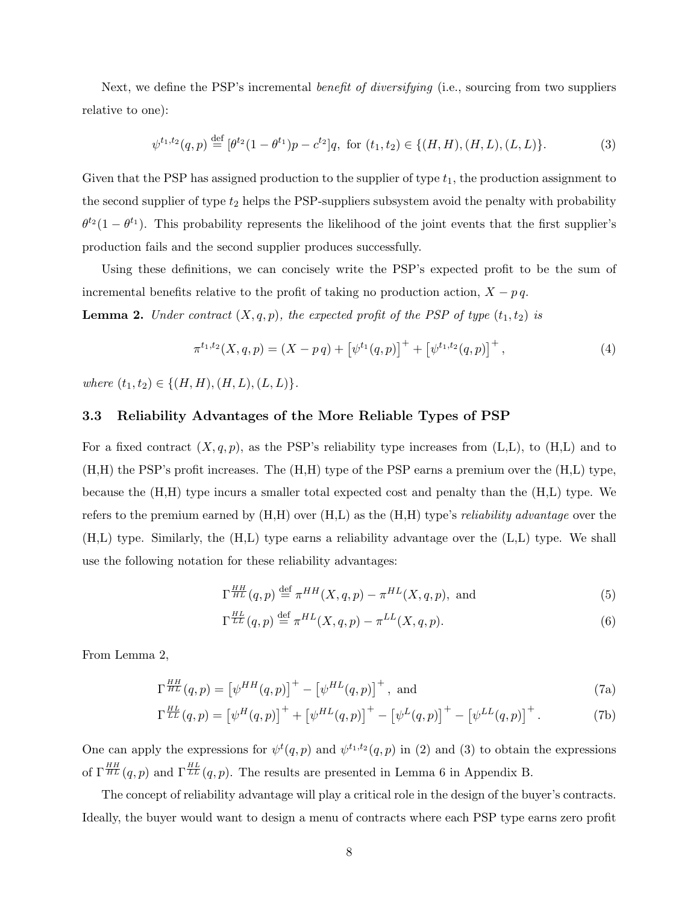Next, we define the PSP's incremental *benefit of diversifying* (i.e., sourcing from two suppliers relative to one):

$$
\psi^{t_1, t_2}(q, p) \stackrel{\text{def}}{=} [\theta^{t_2} (1 - \theta^{t_1}) p - c^{t_2}] q, \text{ for } (t_1, t_2) \in \{ (H, H), (H, L), (L, L) \}. \tag{3}
$$

Given that the PSP has assigned production to the supplier of type  $t_1$ , the production assignment to the second supplier of type  $t_2$  helps the PSP-suppliers subsystem avoid the penalty with probability  $\theta^{t_2}(1-\theta^{t_1})$ . This probability represents the likelihood of the joint events that the first supplier's production fails and the second supplier produces successfully.

Using these definitions, we can concisely write the PSP's expected profit to be the sum of incremental benefits relative to the profit of taking no production action,  $X - p q$ .

**Lemma 2.** Under contract  $(X, q, p)$ , the expected profit of the PSP of type  $(t_1, t_2)$  is

$$
\pi^{t_1,t_2}(X,q,p) = (X - pq) + \left[\psi^{t_1}(q,p)\right]^+ + \left[\psi^{t_1,t_2}(q,p)\right]^+, \tag{4}
$$

where  $(t_1, t_2) \in \{(H, H), (H, L), (L, L)\}.$ 

#### 3.3 Reliability Advantages of the More Reliable Types of PSP

For a fixed contract  $(X, q, p)$ , as the PSP's reliability type increases from  $(L,L)$ , to  $(H,L)$  and to (H,H) the PSP's profit increases. The (H,H) type of the PSP earns a premium over the (H,L) type, because the (H,H) type incurs a smaller total expected cost and penalty than the (H,L) type. We refers to the premium earned by  $(H,H)$  over  $(H,L)$  as the  $(H,H)$  type's *reliability advantage* over the (H,L) type. Similarly, the (H,L) type earns a reliability advantage over the (L,L) type. We shall use the following notation for these reliability advantages:

$$
\Gamma_{HL}^{HH}(q,p) \stackrel{\text{def}}{=} \pi^{HH}(X,q,p) - \pi^{HL}(X,q,p), \text{ and}
$$
 (5)

$$
\Gamma_{LL}^{\frac{HL}{LL}}(q,p) \stackrel{\text{def}}{=} \pi^{HL}(X,q,p) - \pi^{LL}(X,q,p). \tag{6}
$$

From Lemma 2,

$$
\Gamma^{\frac{HH}{HL}}(q,p) = \left[\psi^{HH}(q,p)\right]^+ - \left[\psi^{HL}(q,p)\right]^+, \text{ and}
$$
\n(7a)

$$
\Gamma^{\frac{HL}{LL}}(q,p) = \left[\psi^H(q,p)\right]^+ + \left[\psi^{HL}(q,p)\right]^+ - \left[\psi^L(q,p)\right]^+ - \left[\psi^{LL}(q,p)\right]^+.
$$
 (7b)

One can apply the expressions for  $\psi^t(q, p)$  and  $\psi^{t_1, t_2}(q, p)$  in (2) and (3) to obtain the expressions of  $\Gamma^{\frac{HH}{HL}}(q,p)$  and  $\Gamma^{\frac{HL}{LL}}(q,p)$ . The results are presented in Lemma 6 in Appendix B.

The concept of reliability advantage will play a critical role in the design of the buyer's contracts. Ideally, the buyer would want to design a menu of contracts where each PSP type earns zero profit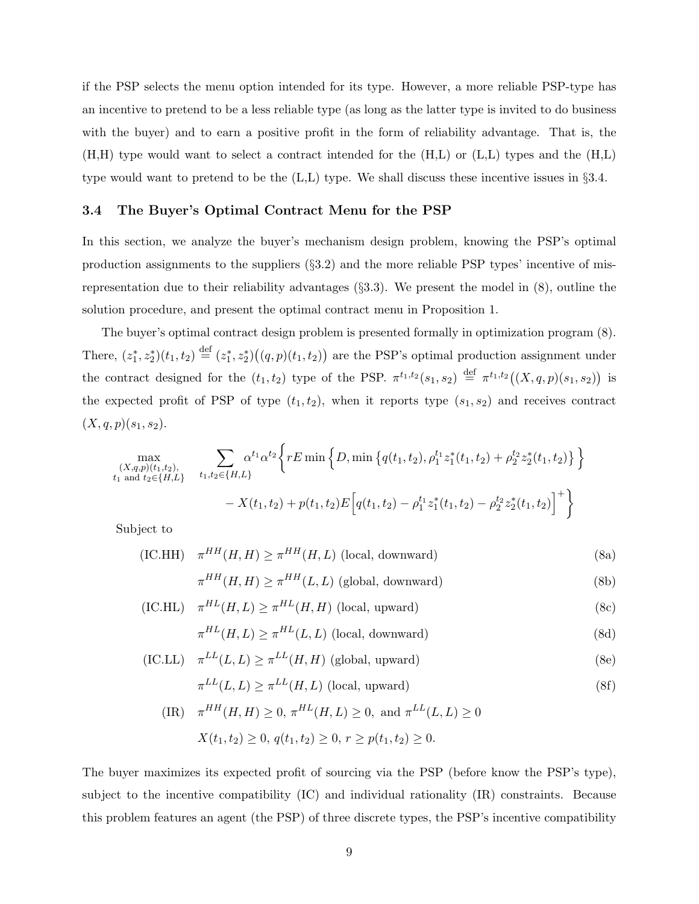if the PSP selects the menu option intended for its type. However, a more reliable PSP-type has an incentive to pretend to be a less reliable type (as long as the latter type is invited to do business with the buyer) and to earn a positive profit in the form of reliability advantage. That is, the (H,H) type would want to select a contract intended for the (H,L) or (L,L) types and the (H,L) type would want to pretend to be the  $(L,L)$  type. We shall discuss these incentive issues in §3.4.

#### 3.4 The Buyer's Optimal Contract Menu for the PSP

In this section, we analyze the buyer's mechanism design problem, knowing the PSP's optimal production assignments to the suppliers (§3.2) and the more reliable PSP types' incentive of misrepresentation due to their reliability advantages (§3.3). We present the model in (8), outline the solution procedure, and present the optimal contract menu in Proposition 1.

The buyer's optimal contract design problem is presented formally in optimization program (8). There,  $(z_1^*, z_2^*)(t_1, t_2) \stackrel{\text{def}}{=} (z_1^*, z_2^*)((q, p)(t_1, t_2))$  are the PSP's optimal production assignment under the contract designed for the  $(t_1, t_2)$  type of the PSP.  $\pi^{t_1,t_2}(s_1, s_2) \stackrel{\text{def}}{=} \pi^{t_1,t_2}((X, q, p)(s_1, s_2))$  is the expected profit of PSP of type  $(t_1, t_2)$ , when it reports type  $(s_1, s_2)$  and receives contract  $(X, q, p)(s_1, s_2).$ 

$$
\max_{\substack{(X,q,p)(t_1,t_2),\\t_1 \text{ and } t_2 \in \{H,L\}}} \sum_{t_1,t_2 \in \{H,L\}} \alpha^{t_1} \alpha^{t_2} \Big\{ rE \min \Big\{ D, \min \big\{ q(t_1,t_2), \rho_1^{t_1} z_1^*(t_1,t_2) + \rho_2^{t_2} z_2^*(t_1,t_2) \big\} \Big\}
$$

$$
- X(t_1,t_2) + p(t_1,t_2) E \Big[ q(t_1,t_2) - \rho_1^{t_1} z_1^*(t_1,t_2) - \rho_2^{t_2} z_2^*(t_1,t_2) \Big]^+ \Big\}
$$

Subject to

(IC.HH) 
$$
\pi^{HH}(H, H) \ge \pi^{HH}(H, L)
$$
 (local, downward) (8a)

$$
\pi^{HH}(H, H) \ge \pi^{HH}(L, L)
$$
 (global, downward) \t(8b)

(IC.HL) 
$$
\pi^{HL}(H, L) \geq \pi^{HL}(H, H)
$$
 (local, upward) (8c)

$$
\pi^{HL}(H, L) \ge \pi^{HL}(L, L) \text{ (local, downward)}
$$
\n(8d)

(IC.LL) 
$$
\pi^{LL}(L, L) \ge \pi^{LL}(H, H)
$$
 (global, upward) (8e)

$$
\pi^{LL}(L, L) \ge \pi^{LL}(H, L) \text{ (local, upward)}\tag{8f}
$$

$$
\begin{aligned} \text{(IR)} \quad & \pi^{HH}(H, H) \ge 0, \, \pi^{HL}(H, L) \ge 0, \text{ and } \pi^{LL}(L, L) \ge 0\\ & X(t_1, t_2) \ge 0, \, q(t_1, t_2) \ge 0, \, r \ge p(t_1, t_2) \ge 0. \end{aligned}
$$

The buyer maximizes its expected profit of sourcing via the PSP (before know the PSP's type), subject to the incentive compatibility (IC) and individual rationality (IR) constraints. Because this problem features an agent (the PSP) of three discrete types, the PSP's incentive compatibility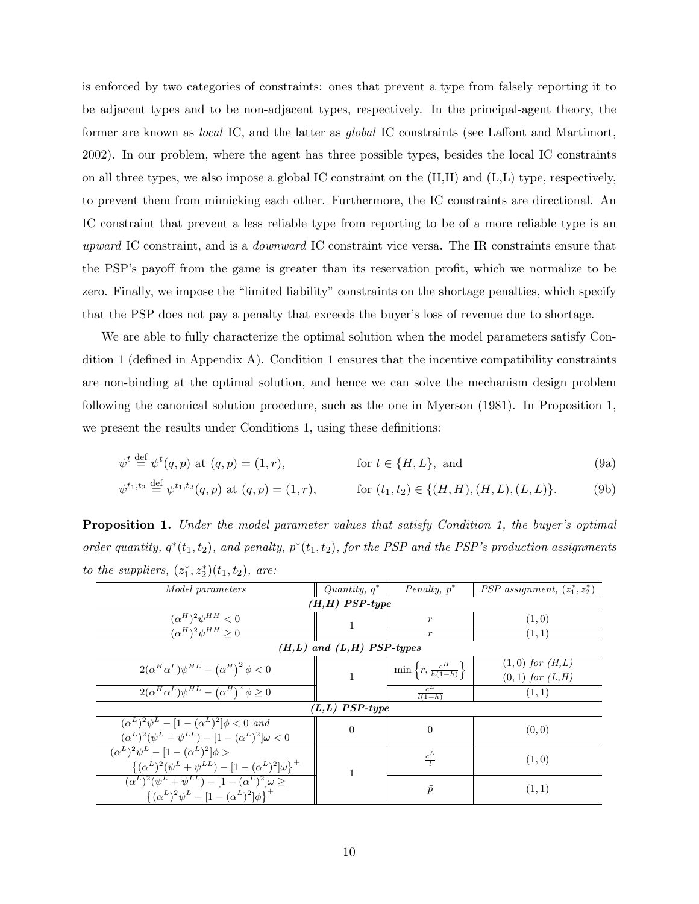is enforced by two categories of constraints: ones that prevent a type from falsely reporting it to be adjacent types and to be non-adjacent types, respectively. In the principal-agent theory, the former are known as *local* IC, and the latter as *global* IC constraints (see Laffont and Martimort, 2002). In our problem, where the agent has three possible types, besides the local IC constraints on all three types, we also impose a global IC constraint on the (H,H) and (L,L) type, respectively, to prevent them from mimicking each other. Furthermore, the IC constraints are directional. An IC constraint that prevent a less reliable type from reporting to be of a more reliable type is an upward IC constraint, and is a *downward* IC constraint vice versa. The IR constraints ensure that the PSP's payoff from the game is greater than its reservation profit, which we normalize to be zero. Finally, we impose the "limited liability" constraints on the shortage penalties, which specify that the PSP does not pay a penalty that exceeds the buyer's loss of revenue due to shortage.

We are able to fully characterize the optimal solution when the model parameters satisfy Condition 1 (defined in Appendix A). Condition 1 ensures that the incentive compatibility constraints are non-binding at the optimal solution, and hence we can solve the mechanism design problem following the canonical solution procedure, such as the one in Myerson (1981). In Proposition 1, we present the results under Conditions 1, using these definitions:

$$
\psi^t \stackrel{\text{def}}{=} \psi^t(q, p) \text{ at } (q, p) = (1, r), \qquad \text{for } t \in \{H, L\}, \text{ and} \tag{9a}
$$

$$
\psi^{t_1, t_2} \stackrel{\text{def}}{=} \psi^{t_1, t_2}(q, p) \text{ at } (q, p) = (1, r), \qquad \text{for } (t_1, t_2) \in \{(H, H), (H, L), (L, L)\}. \tag{9b}
$$

**Proposition 1.** Under the model parameter values that satisfy Condition 1, the buyer's optimal order quantity,  $q^*(t_1, t_2)$ , and penalty,  $p^*(t_1, t_2)$ , for the PSP and the PSP's production assignments to the suppliers,  $(z_1^*, z_2^*)(t_1, t_2)$ , are:

| <i>Model parameters</i>                                                      | Quantity, $q^*$               | Penalty, $p^*$                            | <i>PSP</i> assignment, $(z_1^*, z_2^*)$ |  |  |  |
|------------------------------------------------------------------------------|-------------------------------|-------------------------------------------|-----------------------------------------|--|--|--|
|                                                                              | $(H,H)$ PSP-type              |                                           |                                         |  |  |  |
| $(\alpha^H)^2 \psi^{HH} < 0$                                                 |                               | $\boldsymbol{r}$                          | (1,0)                                   |  |  |  |
| $(\alpha^H)^2 \psi^{HH} > 0$                                                 |                               | $\boldsymbol{r}$                          | (1, 1)                                  |  |  |  |
|                                                                              | $(H,L)$ and $(L,H)$ PSP-types |                                           |                                         |  |  |  |
| $2(\alpha^H \alpha^L) \psi^{HL} - (\alpha^H)^2 \phi < 0$                     |                               | $\min\left\{r,\frac{c^H}{h(1-h)}\right\}$ | $(1,0)$ for $(H,L)$                     |  |  |  |
|                                                                              |                               |                                           | $(0,1)$ for $(L,H)$                     |  |  |  |
| $2(\alpha^H \alpha^L) \psi^{HL} - (\alpha^H)^2 \phi \geq 0$                  |                               | $\frac{c^L}{l(1-h)}$                      | (1, 1)                                  |  |  |  |
|                                                                              | $(L,L)$ PSP-type              |                                           |                                         |  |  |  |
| $(\alpha^{L})^{2}\psi^{L} - [1 - (\alpha^{L})^{2}]\phi < 0$ and              | $\Omega$                      | $\Omega$                                  | (0, 0)                                  |  |  |  |
| $(\alpha^{L})^{2}(\psi^{L} + \psi^{LL}) - [1 - (\alpha^{L})^{2}]\omega < 0$  |                               |                                           |                                         |  |  |  |
| $(\alpha^{L})^{2}\psi^{L} - [1 - (\alpha^{L})^{2}]\phi >$                    |                               | $rac{c^L}{l}$                             | (1,0)                                   |  |  |  |
| $\{(\alpha^L)^2(\psi^L+\psi^{LL})-[1-(\alpha^L)^2]\omega\}^+$                |                               |                                           |                                         |  |  |  |
| $(\alpha^{L})^{2}(\psi^{L} + \psi^{LL}) - [1 - (\alpha^{L})^{2}]\omega \geq$ |                               |                                           |                                         |  |  |  |
| $\{(\alpha^L)^2 \psi^L - [1 - (\alpha^L)^2] \phi\}^+$                        |                               | $\tilde{p}$                               | (1, 1)                                  |  |  |  |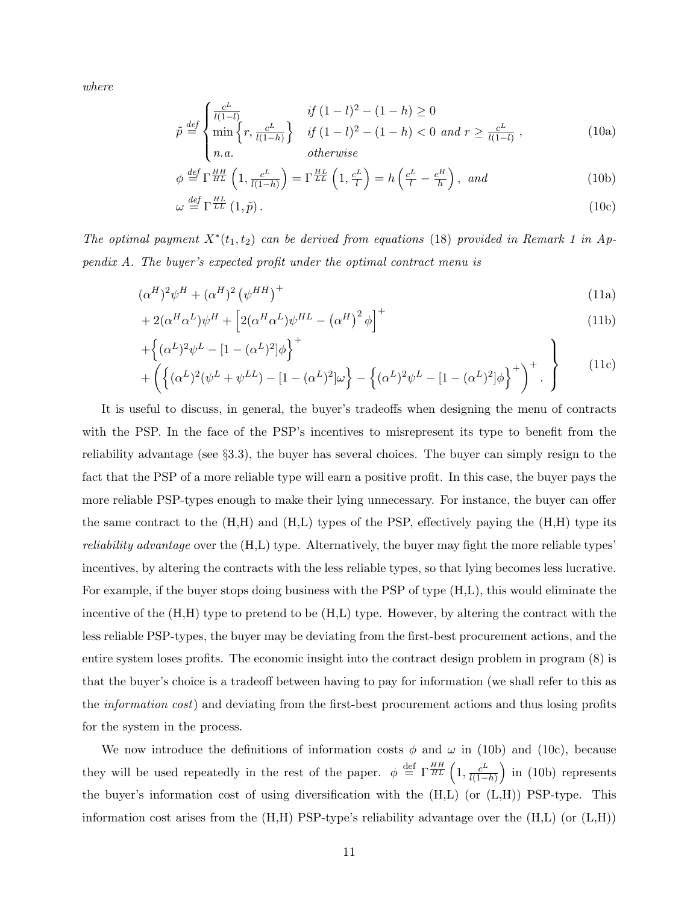where

$$
\tilde{p} \stackrel{\text{def}}{=} \begin{cases}\n\frac{c^L}{l(1-l)} & \text{if } (1-l)^2 - (1-h) \ge 0 \\
\min\left\{r, \frac{c^L}{l(1-h)}\right\} & \text{if } (1-l)^2 - (1-h) < 0 \text{ and } r \ge \frac{c^L}{l(1-l)}\n\end{cases},\n\tag{10a}
$$

$$
\phi \stackrel{def}{=} \Gamma^{\frac{HH}{HL}} \left( 1, \frac{c^L}{l(1-h)} \right) = \Gamma^{\frac{HL}{LL}} \left( 1, \frac{c^L}{l} \right) = h \left( \frac{c^L}{l} - \frac{c^H}{h} \right), \text{ and}
$$
\n(10b)

$$
\omega \stackrel{\text{def}}{=} \Gamma^{\frac{HL}{LL}}(1,\tilde{p})\,. \tag{10c}
$$

The optimal payment  $X^*(t_1, t_2)$  can be derived from equations (18) provided in Remark 1 in Appendix A. The buyer's expected profit under the optimal contract menu is

$$
(\alpha^H)^2 \psi^H + (\alpha^H)^2 \left(\psi^{HH}\right)^+ \tag{11a}
$$

$$
+2(\alpha^H \alpha^L)\psi^H + \left[2(\alpha^H \alpha^L)\psi^{HL} - (\alpha^H)^2 \phi\right]^+\tag{11b}
$$

$$
+\left\{ (\alpha^{L})^{2}\psi^{L} - [1 - (\alpha^{L})^{2}]\phi \right\}^{+} + \left( \left\{ (\alpha^{L})^{2}(\psi^{L} + \psi^{LL}) - [1 - (\alpha^{L})^{2}]\omega \right\} - \left\{ (\alpha^{L})^{2}\psi^{L} - [1 - (\alpha^{L})^{2}]\phi \right\}^{+} \right)^{+} .
$$
\n(11c)

It is useful to discuss, in general, the buyer's tradeoffs when designing the menu of contracts with the PSP. In the face of the PSP's incentives to misrepresent its type to benefit from the reliability advantage (see §3.3), the buyer has several choices. The buyer can simply resign to the fact that the PSP of a more reliable type will earn a positive profit. In this case, the buyer pays the more reliable PSP-types enough to make their lying unnecessary. For instance, the buyer can offer the same contract to the  $(H,H)$  and  $(H,L)$  types of the PSP, effectively paying the  $(H,H)$  type its reliability advantage over the (H,L) type. Alternatively, the buyer may fight the more reliable types' incentives, by altering the contracts with the less reliable types, so that lying becomes less lucrative. For example, if the buyer stops doing business with the PSP of type (H,L), this would eliminate the incentive of the (H,H) type to pretend to be (H,L) type. However, by altering the contract with the less reliable PSP-types, the buyer may be deviating from the first-best procurement actions, and the entire system loses profits. The economic insight into the contract design problem in program (8) is that the buyer's choice is a tradeoff between having to pay for information (we shall refer to this as the information cost) and deviating from the first-best procurement actions and thus losing profits for the system in the process.

We now introduce the definitions of information costs  $\phi$  and  $\omega$  in (10b) and (10c), because they will be used repeatedly in the rest of the paper.  $\phi \stackrel{\text{def}}{=} \Gamma^{\frac{HH}{HL}}\left(1, \frac{c^L}{l(1-\epsilon)}\right)$  $\frac{c^L}{l(1-h)}$  in (10b) represents the buyer's information cost of using diversification with the  $(H,L)$  (or  $(L,H)$ ) PSP-type. This information cost arises from the  $(H,H)$  PSP-type's reliability advantage over the  $(H,L)$  (or  $(L,H)$ )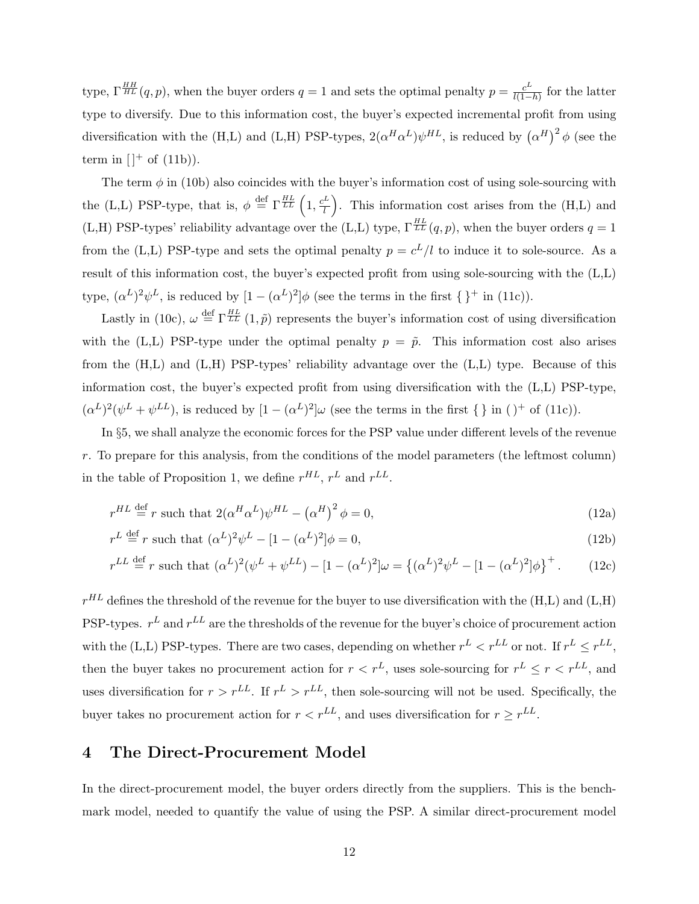type,  $\Gamma^{HH}_{HL}(q,p)$ , when the buyer orders  $q=1$  and sets the optimal penalty  $p=\frac{c^L}{l(1-p)}$  $\frac{c^L}{l(1-h)}$  for the latter type to diversify. Due to this information cost, the buyer's expected incremental profit from using diversification with the (H,L) and (L,H) PSP-types,  $2(\alpha^H\alpha^L)\psi^{HL}$ , is reduced by  $(\alpha^H)^2 \phi$  (see the term in  $[$ <sup>+</sup> of  $(11b)$ ).

The term  $\phi$  in (10b) also coincides with the buyer's information cost of using sole-sourcing with the (L,L) PSP-type, that is,  $\phi \stackrel{\text{def}}{=} \Gamma^{\frac{HL}{LL}} \left( 1, \frac{c^L}{l} \right)$  $\left( \frac{L}{l} \right)$ . This information cost arises from the (H,L) and (L,H) PSP-types' reliability advantage over the (L,L) type,  $\Gamma_{LL}^{HL}(q, p)$ , when the buyer orders  $q = 1$ from the (L,L) PSP-type and sets the optimal penalty  $p = c^L/l$  to induce it to sole-source. As a result of this information cost, the buyer's expected profit from using sole-sourcing with the (L,L) type,  $(\alpha^L)^2 \psi^L$ , is reduced by  $[1 - (\alpha^L)^2] \phi$  (see the terms in the first  $\{\}^+$  in (11c)).

Lastly in (10c),  $\omega \stackrel{\text{def}}{=} \Gamma^{\frac{HL}{LL}}(1,\tilde{p})$  represents the buyer's information cost of using diversification with the (L,L) PSP-type under the optimal penalty  $p = \tilde{p}$ . This information cost also arises from the (H,L) and (L,H) PSP-types' reliability advantage over the (L,L) type. Because of this information cost, the buyer's expected profit from using diversification with the (L,L) PSP-type,  $(\alpha^L)^2(\psi^L+\psi^{LL})$ , is reduced by  $[1-(\alpha^L)^2]\omega$  (see the terms in the first { } in ( )<sup>+</sup> of (11c)).

In §5, we shall analyze the economic forces for the PSP value under different levels of the revenue r. To prepare for this analysis, from the conditions of the model parameters (the leftmost column) in the table of Proposition 1, we define  $r^{HL}$ ,  $r^L$  and  $r^{LL}$ .

$$
r^{HL} \stackrel{\text{def}}{=} r \text{ such that } 2(\alpha^H \alpha^L) \psi^{HL} - (\alpha^H)^2 \phi = 0,
$$
\n(12a)

$$
r^L \stackrel{\text{def}}{=} r \text{ such that } (\alpha^L)^2 \psi^L - [1 - (\alpha^L)^2] \phi = 0,
$$
\n(12b)

$$
r^{LL} \stackrel{\text{def}}{=} r \text{ such that } (\alpha^L)^2 (\psi^L + \psi^{LL}) - [1 - (\alpha^L)^2] \omega = \{ (\alpha^L)^2 \psi^L - [1 - (\alpha^L)^2] \phi \}^+.
$$
 (12c)

 $r^{HL}$  defines the threshold of the revenue for the buyer to use diversification with the (H,L) and (L,H) PSP-types.  $r^L$  and  $r^{LL}$  are the thresholds of the revenue for the buyer's choice of procurement action with the (L,L) PSP-types. There are two cases, depending on whether  $r^L < r^{LL}$  or not. If  $r^L \le r^{LL}$ , then the buyer takes no procurement action for  $r < r<sup>L</sup>$ , uses sole-sourcing for  $r<sup>L</sup> \le r < r<sup>LL</sup>$ , and uses diversification for  $r > r^{LL}$ . If  $r^L > r^{LL}$ , then sole-sourcing will not be used. Specifically, the buyer takes no procurement action for  $r < r^{LL}$ , and uses diversification for  $r \ge r^{LL}$ .

## 4 The Direct-Procurement Model

In the direct-procurement model, the buyer orders directly from the suppliers. This is the benchmark model, needed to quantify the value of using the PSP. A similar direct-procurement model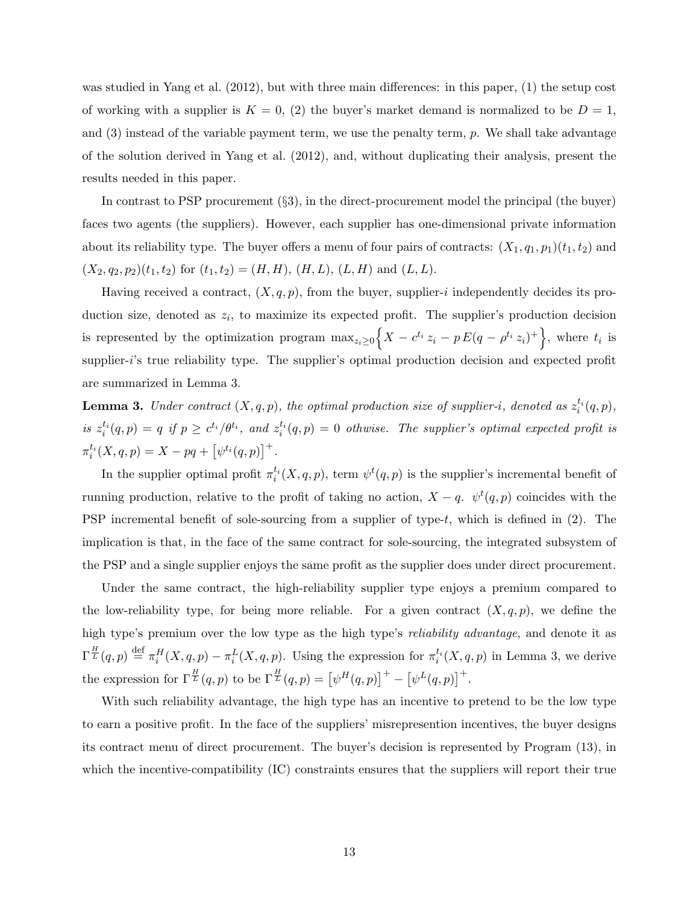was studied in Yang et al. (2012), but with three main differences: in this paper, (1) the setup cost of working with a supplier is  $K = 0$ , (2) the buyer's market demand is normalized to be  $D = 1$ , and (3) instead of the variable payment term, we use the penalty term, p. We shall take advantage of the solution derived in Yang et al. (2012), and, without duplicating their analysis, present the results needed in this paper.

In contrast to PSP procurement (§3), in the direct-procurement model the principal (the buyer) faces two agents (the suppliers). However, each supplier has one-dimensional private information about its reliability type. The buyer offers a menu of four pairs of contracts:  $(X_1, q_1, p_1)(t_1, t_2)$  and  $(X_2, q_2, p_2)(t_1, t_2)$  for  $(t_1, t_2) = (H, H), (H, L), (L, H)$  and  $(L, L)$ .

Having received a contract,  $(X, q, p)$ , from the buyer, supplier-i independently decides its production size, denoted as  $z_i$ , to maximize its expected profit. The supplier's production decision is represented by the optimization program  $\max_{z_i \geq 0} \left\{ X - c^{t_i} z_i - p E(q - \rho^{t_i} z_i)^+ \right\}$ , where  $t_i$  is supplier-i's true reliability type. The supplier's optimal production decision and expected profit are summarized in Lemma 3.

**Lemma 3.** Under contract  $(X, q, p)$ , the optimal production size of supplier-i, denoted as  $z_i^{t_i}(q, p)$ , is  $z_i^{t_i}(q, p) = q$  if  $p \geq c^{t_i}/\theta^{t_i}$ , and  $z_i^{t_i}(q, p) = 0$  othwise. The supplier's optimal expected profit is  $\pi_i^{t_i}(X, q, p) = X - pq + [\psi^{t_i}(q, p)]^+$ .

In the supplier optimal profit  $\pi_i^{t_i}(X, q, p)$ , term  $\psi^t(q, p)$  is the supplier's incremental benefit of running production, relative to the profit of taking no action,  $X - q$ .  $\psi^t(q, p)$  coincides with the PSP incremental benefit of sole-sourcing from a supplier of type- $t$ , which is defined in  $(2)$ . The implication is that, in the face of the same contract for sole-sourcing, the integrated subsystem of the PSP and a single supplier enjoys the same profit as the supplier does under direct procurement.

Under the same contract, the high-reliability supplier type enjoys a premium compared to the low-reliability type, for being more reliable. For a given contract  $(X, q, p)$ , we define the high type's premium over the low type as the high type's *reliability advantage*, and denote it as  $\Gamma^{\frac{H}{L}}(q,p) \stackrel{\text{def}}{=} \pi_i^H(X,q,p) - \pi_i^L(X,q,p)$ . Using the expression for  $\pi_i^{t_i}(X,q,p)$  in Lemma 3, we derive the expression for  $\Gamma^{\frac{H}{L}}(q,p)$  to be  $\Gamma^{\frac{H}{L}}(q,p) = [\psi^{H}(q,p)]^{+} - [\psi^{L}(q,p)]^{+}$ .

With such reliability advantage, the high type has an incentive to pretend to be the low type to earn a positive profit. In the face of the suppliers' misrepresention incentives, the buyer designs its contract menu of direct procurement. The buyer's decision is represented by Program (13), in which the incentive-compatibility (IC) constraints ensures that the suppliers will report their true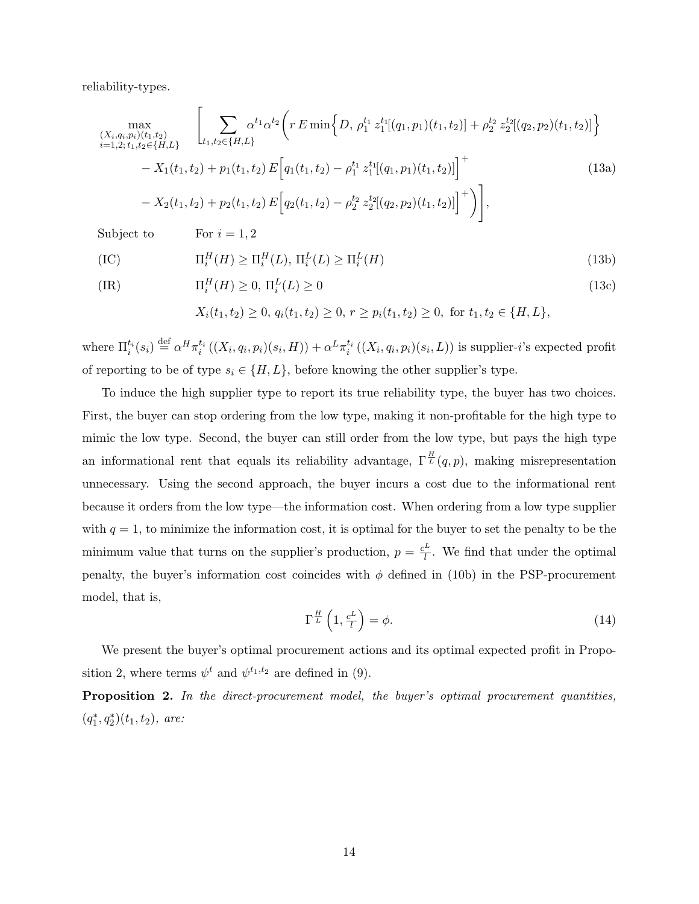reliability-types.

$$
\max_{\substack{(X_i, q_i, p_i)(t_1, t_2) \\ i=1, 2; t_1, t_2 \in \{H, L\}}} \left[ \sum_{t_1, t_2 \in \{H, L\}} \alpha^{t_1} \alpha^{t_2} \left( r E \min \left\{ D, \rho_1^{t_1} z_1^{t_1} [(q_1, p_1)(t_1, t_2)] + \rho_2^{t_2} z_2^{t_2} [(q_2, p_2)(t_1, t_2)] \right\} \right. \\ \left. - X_1(t_1, t_2) + p_1(t_1, t_2) E \left[ q_1(t_1, t_2) - \rho_1^{t_1} z_1^{t_1} [(q_1, p_1)(t_1, t_2)] \right]^+ \right] \qquad (13a)
$$

Subject to For  $i = 1, 2$ 

$$
(IC) \t \Pi_i^H(H) \ge \Pi_i^H(L), \Pi_i^L(L) \ge \Pi_i^L(H) \t (13b)
$$

$$
\Pi_i^H(H) \ge 0, \Pi_i^L(L) \ge 0
$$
\n<sup>(13c)</sup>

$$
X_i(t_1, t_2) \ge 0, q_i(t_1, t_2) \ge 0, r \ge p_i(t_1, t_2) \ge 0, \text{ for } t_1, t_2 \in \{H, L\},\
$$

where  $\Pi_i^{t_i}(s_i) \stackrel{\text{def}}{=} \alpha^H \pi_i^{t_i}((X_i, q_i, p_i)(s_i, H)) + \alpha^L \pi_i^{t_i}((X_i, q_i, p_i)(s_i, L))$  is supplier-*i*'s expected profit of reporting to be of type  $s_i \in \{H, L\}$ , before knowing the other supplier's type.

To induce the high supplier type to report its true reliability type, the buyer has two choices. First, the buyer can stop ordering from the low type, making it non-profitable for the high type to mimic the low type. Second, the buyer can still order from the low type, but pays the high type an informational rent that equals its reliability advantage,  $\Gamma^{\frac{H}{L}}(q, p)$ , making misrepresentation unnecessary. Using the second approach, the buyer incurs a cost due to the informational rent because it orders from the low type—the information cost. When ordering from a low type supplier with  $q = 1$ , to minimize the information cost, it is optimal for the buyer to set the penalty to be the minimum value that turns on the supplier's production,  $p = \frac{c^L}{l}$  $\frac{\mu}{l}$ . We find that under the optimal penalty, the buyer's information cost coincides with  $\phi$  defined in (10b) in the PSP-procurement model, that is,

$$
\Gamma^{\frac{H}{L}}\left(1, \frac{c^L}{l}\right) = \phi. \tag{14}
$$

We present the buyer's optimal procurement actions and its optimal expected profit in Proposition 2, where terms  $\psi^t$  and  $\psi^{t_1,t_2}$  are defined in (9).

Proposition 2. In the direct-procurement model, the buyer's optimal procurement quantities,  $(q_1^*, q_2^*)(t_1, t_2)$ , are: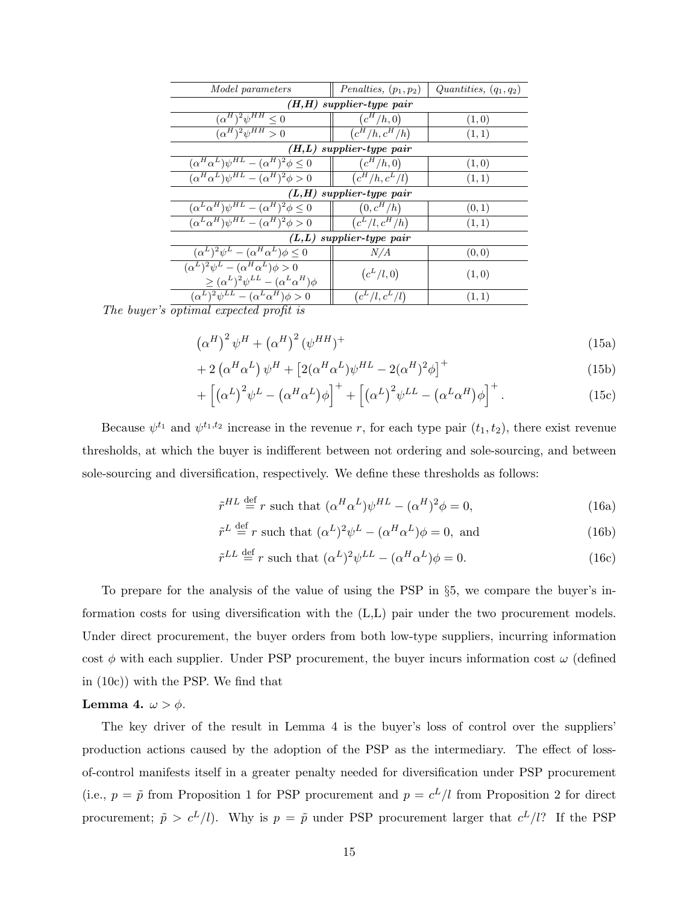| <i>Model parameters</i>                                            | Penalties, $(p_1, p_2)$     | Quantities, $(q_1, q_2)$ |  |  |
|--------------------------------------------------------------------|-----------------------------|--------------------------|--|--|
| $(H,H)$ supplier-type pair                                         |                             |                          |  |  |
| $(\alpha^H)^2 \psi^{HH} \leq 0$                                    | $(c^H/h,0)$                 | (1,0)                    |  |  |
| $(\alpha^H)^2 \psi^{HH} > 0$                                       | $\overline{(c^H/h, c^H/h)}$ | (1,1)                    |  |  |
|                                                                    | $(H,L)$ supplier-type pair  |                          |  |  |
| $(\alpha^H \alpha^L) \psi^{HL} - (\alpha^H)^2 \phi \leq 0$         | $(c^H/h,0)$                 | (1,0)                    |  |  |
| $(\alpha^H \alpha^L) \psi^{HL} - (\alpha^H)^2 \phi > 0$            | $(c^H/h, c^L/l)$            | (1,1)                    |  |  |
|                                                                    | $(L,H)$ supplier-type pair  |                          |  |  |
| $(\alpha^L \alpha^H) \psi^{HL} - (\alpha^H)^2 \phi \leq 0$         | $(0, c^H/h)$                | (0, 1)                   |  |  |
| $\overline{(\alpha^L \alpha^H) \psi^{HL} - (\alpha^H)^2} \phi > 0$ | $(c^L/l, c^H/h)$            | (1,1)                    |  |  |
| $(L,L)$ supplier-type pair                                         |                             |                          |  |  |
| $(\alpha^L)^2 \psi^L - (\alpha^H \alpha^L) \phi \leq 0$            | N/A                         | (0,0)                    |  |  |
| $\overline{(\alpha^L)^2 \psi^L - (\alpha^H \alpha^L)} \phi > 0$    | $(c^L/l, 0)$                |                          |  |  |
| $\geq (\alpha^L)^2 \psi^{LL} - (\alpha^L \alpha^H) \phi$           |                             | (1,0)                    |  |  |
| $(\alpha^L)^2 \psi^{LL} - (\alpha^L \alpha^H) \phi > 0$            | $(c^L/l, c^L/l)$            | (1, 1)                   |  |  |

The buyer's optimal expected profit is

$$
\left(\alpha^H\right)^2 \psi^H + \left(\alpha^H\right)^2 \left(\psi^{HH}\right)^+ \tag{15a}
$$

$$
+2\left(\alpha^{H}\alpha^{L}\right)\psi^{H}+\left[2(\alpha^{H}\alpha^{L})\psi^{HL}-2(\alpha^{H})^{2}\phi\right]^{+}
$$
\n(15b)

$$
+\left[\left(\alpha^{L}\right)^{2}\psi^{L} - \left(\alpha^{H}\alpha^{L}\right)\phi\right]^{+} + \left[\left(\alpha^{L}\right)^{2}\psi^{LL} - \left(\alpha^{L}\alpha^{H}\right)\phi\right]^{+}.
$$
\n(15c)

Because  $\psi^{t_1}$  and  $\psi^{t_1,t_2}$  increase in the revenue r, for each type pair  $(t_1,t_2)$ , there exist revenue thresholds, at which the buyer is indifferent between not ordering and sole-sourcing, and between sole-sourcing and diversification, respectively. We define these thresholds as follows:

$$
\tilde{r}^{HL} \stackrel{\text{def}}{=} r \text{ such that } (\alpha^H \alpha^L) \psi^{HL} - (\alpha^H)^2 \phi = 0,
$$
\n(16a)

$$
\tilde{r}^L \stackrel{\text{def}}{=} r \text{ such that } (\alpha^L)^2 \psi^L - (\alpha^H \alpha^L) \phi = 0, \text{ and}
$$
\n(16b)

$$
\tilde{r}^{LL} \stackrel{\text{def}}{=} r \text{ such that } (\alpha^L)^2 \psi^{LL} - (\alpha^H \alpha^L) \phi = 0. \tag{16c}
$$

To prepare for the analysis of the value of using the PSP in §5, we compare the buyer's information costs for using diversification with the (L,L) pair under the two procurement models. Under direct procurement, the buyer orders from both low-type suppliers, incurring information cost  $\phi$  with each supplier. Under PSP procurement, the buyer incurs information cost  $\omega$  (defined in (10c)) with the PSP. We find that

#### Lemma 4.  $\omega > \phi$ .

The key driver of the result in Lemma 4 is the buyer's loss of control over the suppliers' production actions caused by the adoption of the PSP as the intermediary. The effect of lossof-control manifests itself in a greater penalty needed for diversification under PSP procurement (i.e.,  $p = \tilde{p}$  from Proposition 1 for PSP procurement and  $p = c^L/l$  from Proposition 2 for direct procurement;  $\tilde{p} > c^L/l$ . Why is  $p = \tilde{p}$  under PSP procurement larger that  $c^L/l$ ? If the PSP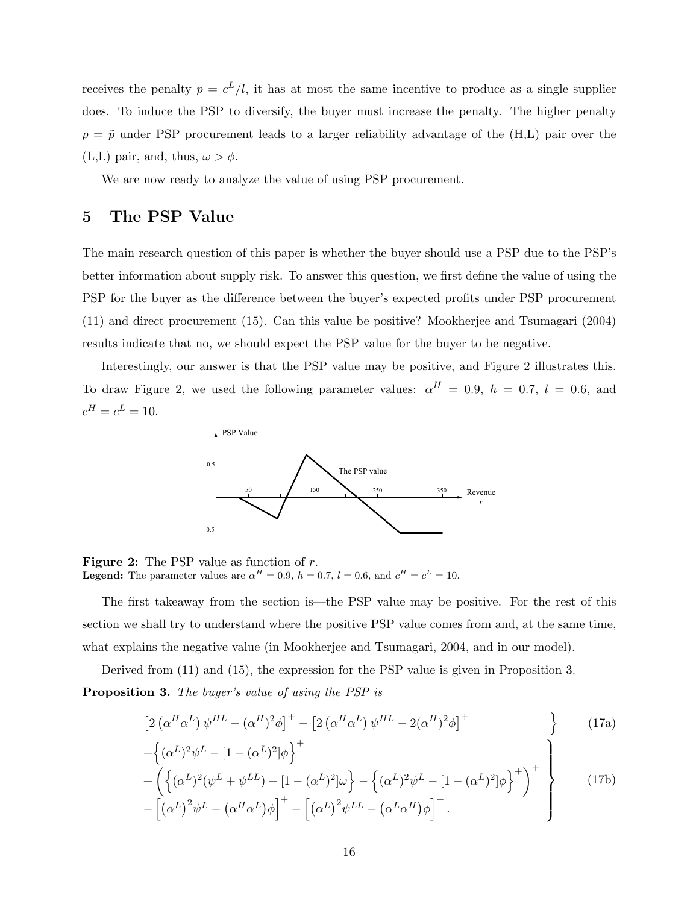receives the penalty  $p = c^L/l$ , it has at most the same incentive to produce as a single supplier does. To induce the PSP to diversify, the buyer must increase the penalty. The higher penalty  $p = \tilde{p}$  under PSP procurement leads to a larger reliability advantage of the (H,L) pair over the (L,L) pair, and, thus,  $\omega > \phi$ .

We are now ready to analyze the value of using PSP procurement.

## 5 The PSP Value

The main research question of this paper is whether the buyer should use a PSP due to the PSP's better information about supply risk. To answer this question, we first define the value of using the PSP for the buyer as the difference between the buyer's expected profits under PSP procurement (11) and direct procurement (15). Can this value be positive? Mookherjee and Tsumagari (2004) results indicate that no, we should expect the PSP value for the buyer to be negative.

Interestingly, our answer is that the PSP value may be positive, and Figure 2 illustrates this. To draw Figure 2, we used the following parameter values:  $\alpha^{H} = 0.9$ ,  $h = 0.7$ ,  $l = 0.6$ , and  $c^H = c^L = 10.$ 



**Figure 2:** The PSP value as function of  $r$ . **Legend:** The parameter values are  $\alpha^H = 0.9$ ,  $h = 0.7$ ,  $l = 0.6$ , and  $c^H = c^L = 10$ .

The first takeaway from the section is—the PSP value may be positive. For the rest of this section we shall try to understand where the positive PSP value comes from and, at the same time, what explains the negative value (in Mookherjee and Tsumagari, 2004, and in our model).

Derived from (11) and (15), the expression for the PSP value is given in Proposition 3.

Proposition 3. The buyer's value of using the PSP is

$$
\[2\left(\alpha^H\alpha^L\right)\psi^{HL} - (\alpha^H)^2\phi\]^{+} - \left[2\left(\alpha^H\alpha^L\right)\psi^{HL} - 2(\alpha^H)^2\phi\right]^{+} \tag{17a}
$$

$$
+\left\{ (\alpha^L)^2 \psi^L - [1 - (\alpha^L)^2] \phi \right\}^+\n+ \left\{ \left\{ (\alpha^L)^2 (\psi^L + \psi^{LL}) - [1 - (\alpha^L)^2] \omega \right\} - \left\{ (\alpha^L)^2 \psi^L - [1 - (\alpha^L)^2] \phi \right\}^+ \right\}^+\n\tag{17b}
$$

$$
+\left(\left\{(\alpha^L)^2(\psi^L+\psi^{LL}) - [1-(\alpha^L)^2]\omega\right\} - \left\{(\alpha^L)^2\psi^L - [1-(\alpha^L)^2]\phi\right\}\right) \qquad (17b)
$$

$$
-\left[\left(\alpha^L\right)^2\psi^L - \left(\alpha^H\alpha^L\right)\phi\right]^+ - \left[\left(\alpha^L\right)^2\psi^{LL} - \left(\alpha^L\alpha^H\right)\phi\right]^+.
$$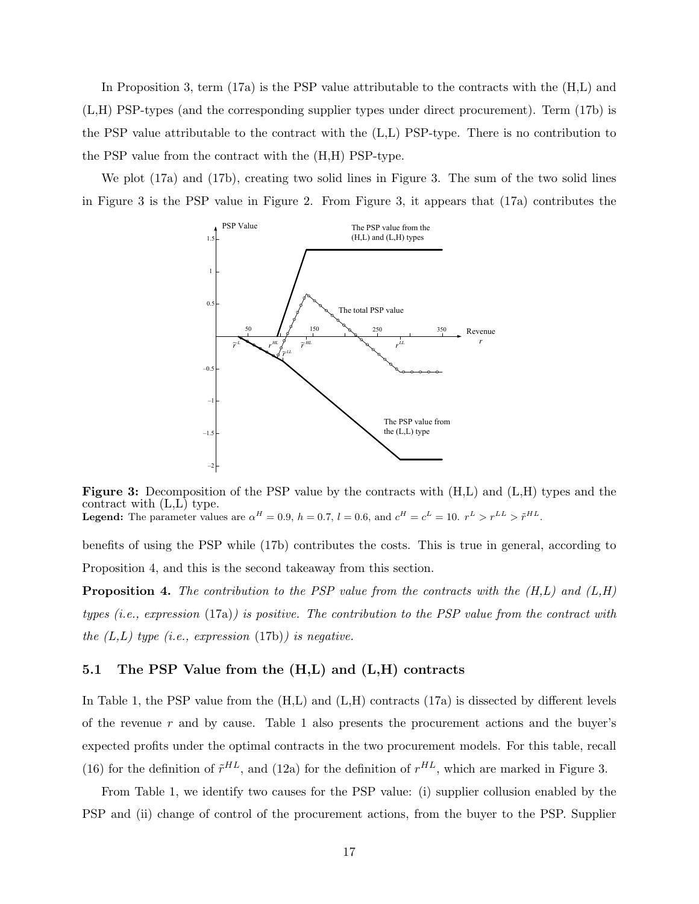In Proposition 3, term (17a) is the PSP value attributable to the contracts with the  $(H,L)$  and (L,H) PSP-types (and the corresponding supplier types under direct procurement). Term (17b) is the PSP value attributable to the contract with the (L,L) PSP-type. There is no contribution to the PSP value from the contract with the (H,H) PSP-type.

We plot (17a) and (17b), creating two solid lines in Figure 3. The sum of the two solid lines in Figure 3 is the PSP value in Figure 2. From Figure 3, it appears that (17a) contributes the



Figure 3: Decomposition of the PSP value by the contracts with  $(H,L)$  and  $(L,H)$  types and the contract with (L,L) type. **Legend:** The parameter values are  $\alpha^H = 0.9$ ,  $h = 0.7$ ,  $l = 0.6$ , and  $c^H = c^L = 10$ .  $r^L > r^{LL} > \tilde{r}^{HL}$ .

benefits of using the PSP while (17b) contributes the costs. This is true in general, according to Proposition 4, and this is the second takeaway from this section.

**Proposition 4.** The contribution to the PSP value from the contracts with the  $(H,L)$  and  $(L,H)$ types (i.e., expression (17a)) is positive. The contribution to the PSP value from the contract with the  $(L,L)$  type (i.e., expression (17b)) is negative.

#### 5.1 The PSP Value from the (H,L) and (L,H) contracts

In Table 1, the PSP value from the (H,L) and (L,H) contracts (17a) is dissected by different levels of the revenue  $r$  and by cause. Table 1 also presents the procurement actions and the buyer's expected profits under the optimal contracts in the two procurement models. For this table, recall (16) for the definition of  $\tilde{r}^{HL}$ , and (12a) for the definition of  $r^{HL}$ , which are marked in Figure 3.

From Table 1, we identify two causes for the PSP value: (i) supplier collusion enabled by the PSP and (ii) change of control of the procurement actions, from the buyer to the PSP. Supplier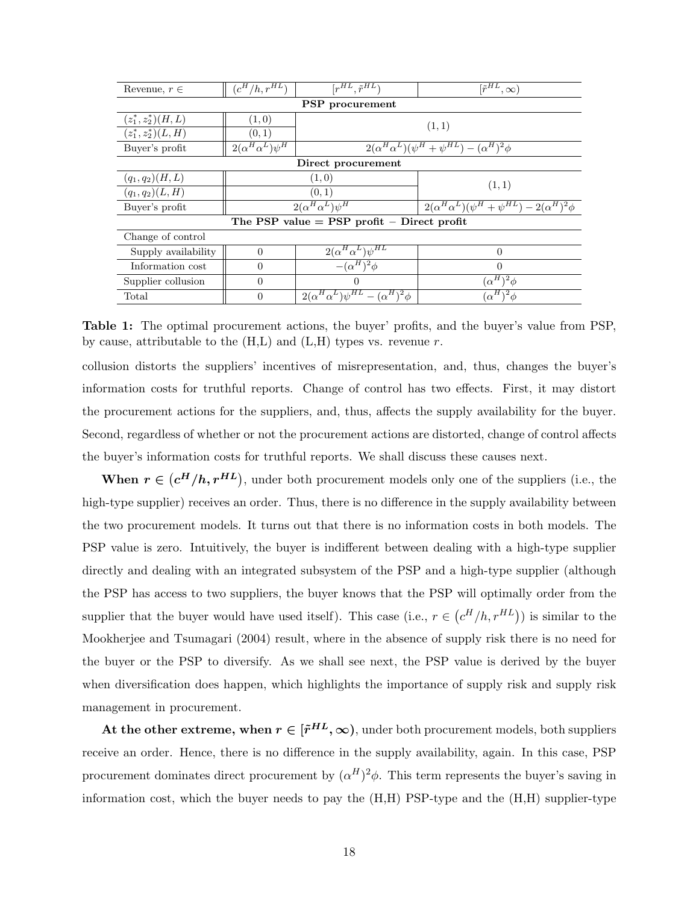| Revenue, $r \in$       | $(c^H/h, r^{H\overline{L}})$ | $[r^{HL}, \tilde{r}^{HL}]$                      | $\overline{[r^{HL}, \infty)}$                             |  |
|------------------------|------------------------------|-------------------------------------------------|-----------------------------------------------------------|--|
| PSP procurement        |                              |                                                 |                                                           |  |
| $(z_1^*, z_2^*)(H,L)$  | (1,0)                        | (1,1)                                           |                                                           |  |
| $(z_1^*, z_2^*)(L, H)$ | (0,1)                        |                                                 |                                                           |  |
| Buyer's profit         | $2(\alpha^H\alpha^L)\psi^H$  |                                                 | $2(\alpha^H\alpha^L)(\psi^H+\psi^{HL})-(\alpha^H)^2\phi$  |  |
|                        |                              | Direct procurement                              |                                                           |  |
| $(q_1, q_2)(H, L)$     |                              | (1,0)                                           | (1,1)                                                     |  |
| $(q_1, q_2)(L, H)$     | (0, 1)                       |                                                 |                                                           |  |
| Buyer's profit         | $2(\alpha^H\alpha^L)\psi^H$  |                                                 | $2(\alpha^H\alpha^L)(\psi^H+\psi^{HL})-2(\alpha^H)^2\phi$ |  |
|                        |                              | The PSP value $=$ PSP profit $-$ Direct profit  |                                                           |  |
| Change of control      |                              |                                                 |                                                           |  |
| Supply availability    | $\Omega$                     | $2(\alpha^H\alpha^L)\psi^{HL}$                  | $\Omega$                                                  |  |
| Information cost       | $\Omega$                     | $-(\alpha^H)^2\phi$                             | $\Omega$                                                  |  |
| Supplier collusion     | $\Omega$<br>$\Omega$         |                                                 | $(\alpha^H)^2 \phi$                                       |  |
| Total                  | $\Omega$                     | $2(\alpha^H\alpha^L)\psi^{HL}-(\alpha^H)^2\phi$ | $(\alpha^H)^2 \phi$                                       |  |

Table 1: The optimal procurement actions, the buyer' profits, and the buyer's value from PSP, by cause, attributable to the  $(H,L)$  and  $(L,H)$  types vs. revenue r.

collusion distorts the suppliers' incentives of misrepresentation, and, thus, changes the buyer's information costs for truthful reports. Change of control has two effects. First, it may distort the procurement actions for the suppliers, and, thus, affects the supply availability for the buyer. Second, regardless of whether or not the procurement actions are distorted, change of control affects the buyer's information costs for truthful reports. We shall discuss these causes next.

When  $r \in (c^H/h, r^{HL})$ , under both procurement models only one of the suppliers (i.e., the high-type supplier) receives an order. Thus, there is no difference in the supply availability between the two procurement models. It turns out that there is no information costs in both models. The PSP value is zero. Intuitively, the buyer is indifferent between dealing with a high-type supplier directly and dealing with an integrated subsystem of the PSP and a high-type supplier (although the PSP has access to two suppliers, the buyer knows that the PSP will optimally order from the supplier that the buyer would have used itself). This case (i.e.,  $r \in (c^H/h, r^{HL})$ ) is similar to the Mookherjee and Tsumagari (2004) result, where in the absence of supply risk there is no need for the buyer or the PSP to diversify. As we shall see next, the PSP value is derived by the buyer when diversification does happen, which highlights the importance of supply risk and supply risk management in procurement.

At the other extreme, when  $r \in [\tilde{r}^{HL}, \infty)$ , under both procurement models, both suppliers receive an order. Hence, there is no difference in the supply availability, again. In this case, PSP procurement dominates direct procurement by  $(\alpha^H)^2 \phi$ . This term represents the buyer's saving in information cost, which the buyer needs to pay the  $(H,H)$  PSP-type and the  $(H,H)$  supplier-type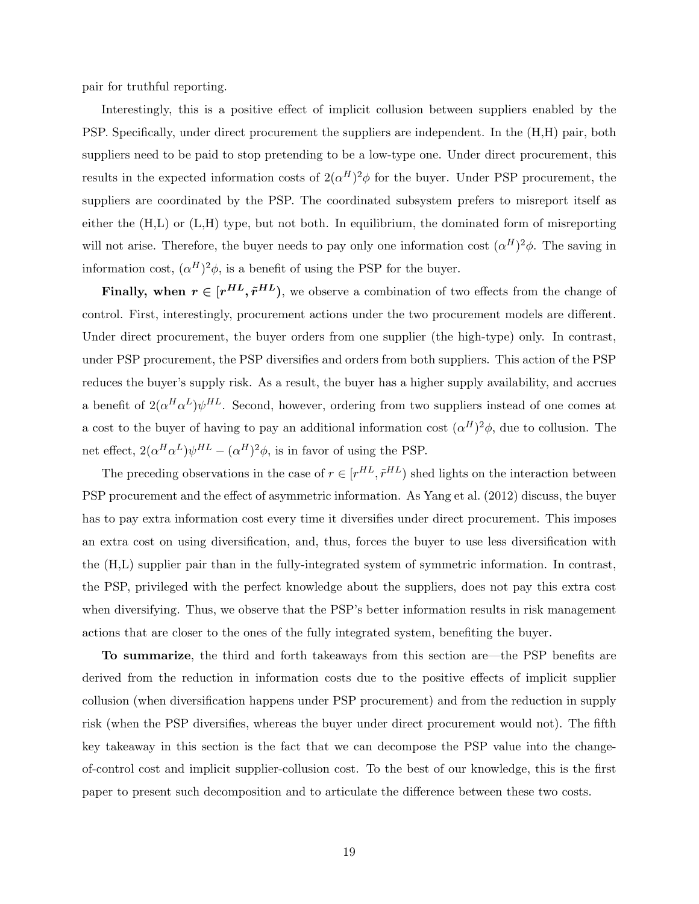pair for truthful reporting.

Interestingly, this is a positive effect of implicit collusion between suppliers enabled by the PSP. Specifically, under direct procurement the suppliers are independent. In the (H,H) pair, both suppliers need to be paid to stop pretending to be a low-type one. Under direct procurement, this results in the expected information costs of  $2(\alpha^H)^2 \phi$  for the buyer. Under PSP procurement, the suppliers are coordinated by the PSP. The coordinated subsystem prefers to misreport itself as either the (H,L) or (L,H) type, but not both. In equilibrium, the dominated form of misreporting will not arise. Therefore, the buyer needs to pay only one information cost  $(\alpha^H)^2 \phi$ . The saving in information cost,  $(\alpha^H)^2 \phi$ , is a benefit of using the PSP for the buyer.

Finally, when  $r \in [r^{HL}, \tilde{r}^{HL})$ , we observe a combination of two effects from the change of control. First, interestingly, procurement actions under the two procurement models are different. Under direct procurement, the buyer orders from one supplier (the high-type) only. In contrast, under PSP procurement, the PSP diversifies and orders from both suppliers. This action of the PSP reduces the buyer's supply risk. As a result, the buyer has a higher supply availability, and accrues a benefit of  $2(\alpha^H \alpha^L) \psi^{HL}$ . Second, however, ordering from two suppliers instead of one comes at a cost to the buyer of having to pay an additional information cost  $(\alpha^H)^2 \phi$ , due to collusion. The net effect,  $2(\alpha^H \alpha^L) \psi^{HL} - (\alpha^H)^2 \phi$ , is in favor of using the PSP.

The preceding observations in the case of  $r \in [r^{HL}, \tilde{r}^{HL})$  shed lights on the interaction between PSP procurement and the effect of asymmetric information. As Yang et al. (2012) discuss, the buyer has to pay extra information cost every time it diversifies under direct procurement. This imposes an extra cost on using diversification, and, thus, forces the buyer to use less diversification with the (H,L) supplier pair than in the fully-integrated system of symmetric information. In contrast, the PSP, privileged with the perfect knowledge about the suppliers, does not pay this extra cost when diversifying. Thus, we observe that the PSP's better information results in risk management actions that are closer to the ones of the fully integrated system, benefiting the buyer.

To summarize, the third and forth takeaways from this section are—the PSP benefits are derived from the reduction in information costs due to the positive effects of implicit supplier collusion (when diversification happens under PSP procurement) and from the reduction in supply risk (when the PSP diversifies, whereas the buyer under direct procurement would not). The fifth key takeaway in this section is the fact that we can decompose the PSP value into the changeof-control cost and implicit supplier-collusion cost. To the best of our knowledge, this is the first paper to present such decomposition and to articulate the difference between these two costs.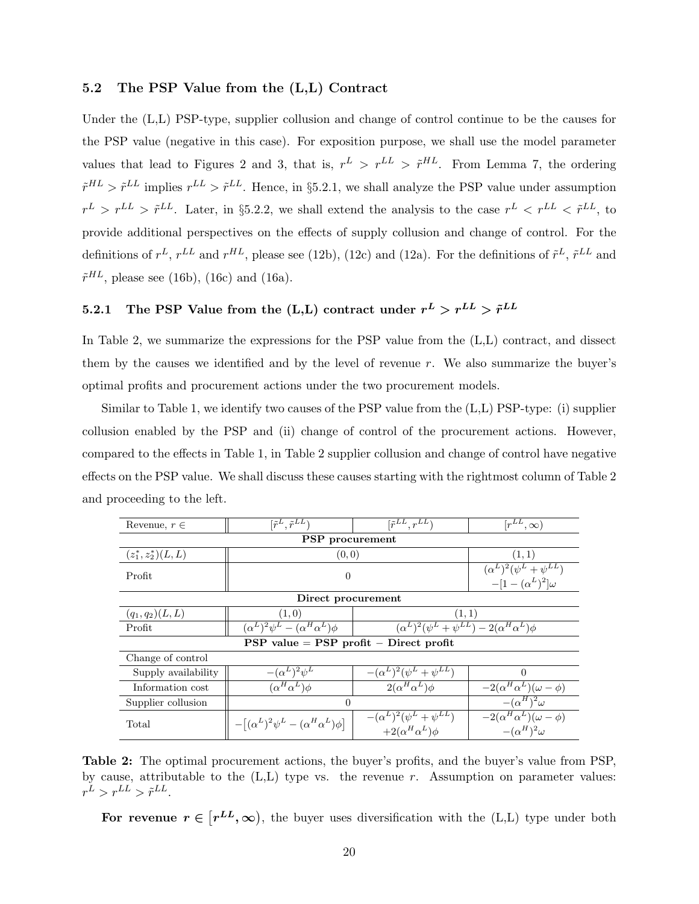#### 5.2 The PSP Value from the (L,L) Contract

Under the (L,L) PSP-type, supplier collusion and change of control continue to be the causes for the PSP value (negative in this case). For exposition purpose, we shall use the model parameter values that lead to Figures 2 and 3, that is,  $r^L > r^{LL} > \tilde{r}^{HL}$ . From Lemma 7, the ordering  $\tilde{r}^{HL} > \tilde{r}^{LL}$  implies  $r^{LL} > \tilde{r}^{LL}$ . Hence, in §5.2.1, we shall analyze the PSP value under assumption  $r^L > r^{LL} > \tilde{r}^{LL}$ . Later, in §5.2.2, we shall extend the analysis to the case  $r^L < r^{LL} < \tilde{r}^{LL}$ , to provide additional perspectives on the effects of supply collusion and change of control. For the definitions of  $r^L$ ,  $r^{LL}$  and  $r^{HL}$ , please see (12b), (12c) and (12a). For the definitions of  $\tilde{r}^L$ ,  $\tilde{r}^{LL}$  and  $\tilde{r}^{HL}$ , please see (16b), (16c) and (16a).

## 5.2.1 The PSP Value from the (L,L) contract under  $r^L > r^{LL} > \tilde{r}^{LL}$

In Table 2, we summarize the expressions for the PSP value from the (L,L) contract, and dissect them by the causes we identified and by the level of revenue  $r$ . We also summarize the buyer's optimal profits and procurement actions under the two procurement models.

Similar to Table 1, we identify two causes of the PSP value from the (L,L) PSP-type: (i) supplier collusion enabled by the PSP and (ii) change of control of the procurement actions. However, compared to the effects in Table 1, in Table 2 supplier collusion and change of control have negative effects on the PSP value. We shall discuss these causes starting with the rightmost column of Table 2 and proceeding to the left.

| Revenue, $r \in$                             | $[\tilde{r}^{LL}, r^{LL}]$<br>$[\tilde{r}^L, \tilde{r}^{LL}]$ |                                                                       | $[r^{LL},\infty)$                                            |  |  |  |
|----------------------------------------------|---------------------------------------------------------------|-----------------------------------------------------------------------|--------------------------------------------------------------|--|--|--|
| <b>PSP</b> procurement                       |                                                               |                                                                       |                                                              |  |  |  |
| $(z_1^*, z_2^*)(L, L)$                       | (0, 0)                                                        |                                                                       | (1, 1)                                                       |  |  |  |
| Profit                                       | $\Omega$                                                      | $(\alpha^L)^2(\psi^L+\psi^{LL})$<br>$-[1-(\alpha^L)^2]\omega$         |                                                              |  |  |  |
| Direct procurement                           |                                                               |                                                                       |                                                              |  |  |  |
| $(q_1, q_2)(L, L)$                           | (1,0)<br>(1, 1)                                               |                                                                       |                                                              |  |  |  |
| Profit                                       | $(\alpha^L)^2 \psi^L - (\alpha^H \alpha^L) \phi$              | $(\alpha^L)^2(\psi^L+\psi^{LL})-2(\alpha^H\alpha^L)\phi$              |                                                              |  |  |  |
| $PSP$ value = $PSP$ profit – Direct profit   |                                                               |                                                                       |                                                              |  |  |  |
| Change of control                            |                                                               |                                                                       |                                                              |  |  |  |
| $-(\alpha^L)^2\psi^L$<br>Supply availability |                                                               | $-(\alpha^{L})^{2}(\psi^{L}+\psi^{LL})$                               | 0                                                            |  |  |  |
| Information cost                             | $\overline{(\alpha}^H \alpha^L) \phi$                         | $2(\alpha^H\alpha^L)\phi$                                             | $-2(\alpha^H\alpha^L)(\omega-\phi)$                          |  |  |  |
| Supplier collusion                           | $\Omega$                                                      | $-({\overline\alpha}^H)^2\omega$                                      |                                                              |  |  |  |
| Total                                        | $-[(\alpha^L)^2\psi^L - (\alpha^H\alpha^L)\phi]$              | $-(\alpha^{L})^{2}(\psi^{L}+\psi^{LL})$<br>$+2(\alpha^H\alpha^L)\phi$ | $-2(\alpha^H\alpha^L)(\omega-\phi)$<br>$-(\alpha^H)^2\omega$ |  |  |  |

Table 2: The optimal procurement actions, the buyer's profits, and the buyer's value from PSP, by cause, attributable to the  $(L,L)$  type vs. the revenue r. Assumption on parameter values:  $r^L > r^{LL} > \tilde{r}^{LL}.$ 

For revenue  $r \in [r^{LL}, \infty)$ , the buyer uses diversification with the (L,L) type under both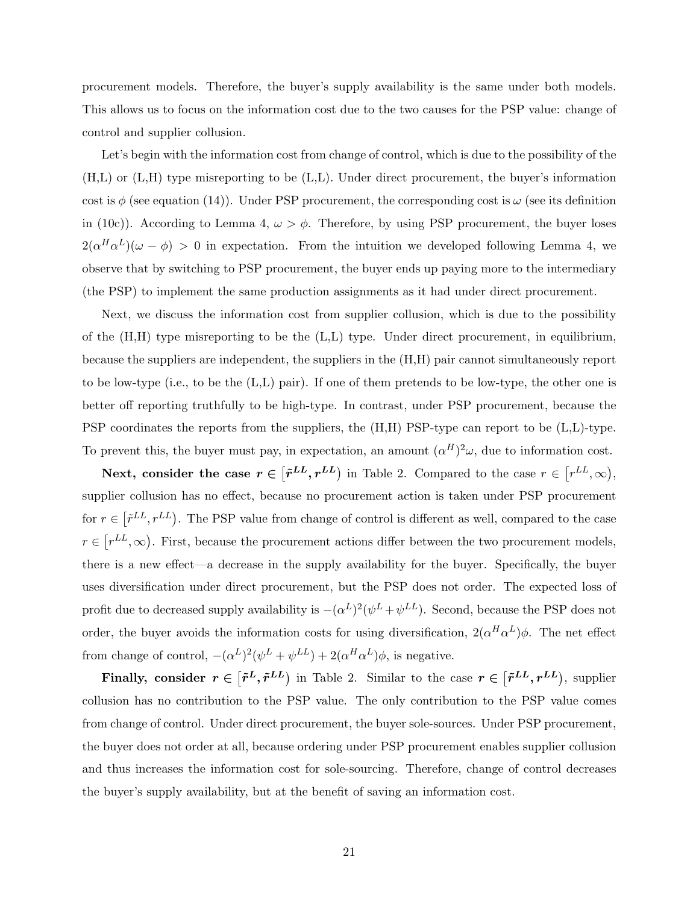procurement models. Therefore, the buyer's supply availability is the same under both models. This allows us to focus on the information cost due to the two causes for the PSP value: change of control and supplier collusion.

Let's begin with the information cost from change of control, which is due to the possibility of the (H,L) or (L,H) type misreporting to be (L,L). Under direct procurement, the buyer's information cost is  $\phi$  (see equation (14)). Under PSP procurement, the corresponding cost is  $\omega$  (see its definition in (10c)). According to Lemma 4,  $\omega > \phi$ . Therefore, by using PSP procurement, the buyer loses  $2(\alpha^H\alpha^L)(\omega - \phi) > 0$  in expectation. From the intuition we developed following Lemma 4, we observe that by switching to PSP procurement, the buyer ends up paying more to the intermediary (the PSP) to implement the same production assignments as it had under direct procurement.

Next, we discuss the information cost from supplier collusion, which is due to the possibility of the  $(H,H)$  type misreporting to be the  $(L,L)$  type. Under direct procurement, in equilibrium, because the suppliers are independent, the suppliers in the (H,H) pair cannot simultaneously report to be low-type (i.e., to be the  $(L,L)$  pair). If one of them pretends to be low-type, the other one is better off reporting truthfully to be high-type. In contrast, under PSP procurement, because the PSP coordinates the reports from the suppliers, the (H,H) PSP-type can report to be (L,L)-type. To prevent this, the buyer must pay, in expectation, an amount  $(\alpha^H)^2 \omega$ , due to information cost.

Next, consider the case  $r \in [\tilde{r}^{LL}, r^{LL}]$  in Table 2. Compared to the case  $r \in [r^{LL}, \infty)$ , supplier collusion has no effect, because no procurement action is taken under PSP procurement for  $r \in [\tilde{r}^{LL}, r^{LL}]$ . The PSP value from change of control is different as well, compared to the case  $r \in [r^{LL}, \infty)$ . First, because the procurement actions differ between the two procurement models, there is a new effect—a decrease in the supply availability for the buyer. Specifically, the buyer uses diversification under direct procurement, but the PSP does not order. The expected loss of profit due to decreased supply availability is  $-(\alpha^L)^2(\psi^L+\psi^{LL})$ . Second, because the PSP does not order, the buyer avoids the information costs for using diversification,  $2(\alpha^H\alpha^L)\phi$ . The net effect from change of control,  $-(\alpha^L)^2(\psi^L + \psi^{LL}) + 2(\alpha^H \alpha^L)\phi$ , is negative.

Finally, consider  $r \in [\tilde{r}^L, \tilde{r}^{LL}]$  in Table 2. Similar to the case  $r \in [\tilde{r}^{LL}, r^{LL})$ , supplier collusion has no contribution to the PSP value. The only contribution to the PSP value comes from change of control. Under direct procurement, the buyer sole-sources. Under PSP procurement, the buyer does not order at all, because ordering under PSP procurement enables supplier collusion and thus increases the information cost for sole-sourcing. Therefore, change of control decreases the buyer's supply availability, but at the benefit of saving an information cost.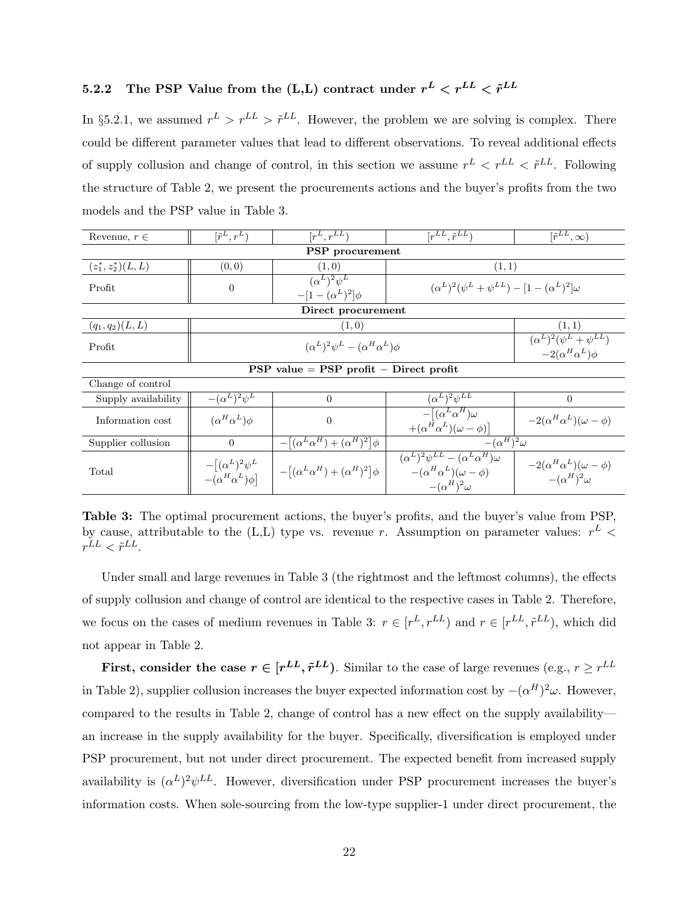## 5.2.2 The PSP Value from the (L,L) contract under  $r^L < r^{LL} < \tilde{r}^{LL}$

In §5.2.1, we assumed  $r^L > r^{LL} > \tilde{r}^{LL}$ . However, the problem we are solving is complex. There could be different parameter values that lead to different observations. To reveal additional effects of supply collusion and change of control, in this section we assume  $r^L \leq r^{LL} \leq \tilde{r}^{LL}$ . Following the structure of Table 2, we present the procurements actions and the buyer's profits from the two models and the PSP value in Table 3.

| Revenue, $r \in$       | $\overline{[r^L,r^L]}$                                 | $[r^L, r^{LL}]$                                  | $[r^{LL}, \tilde{r}^{LL}]$                                                                                              | $\overline{[{\tilde{r}}^{LL},\infty)}$                         |
|------------------------|--------------------------------------------------------|--------------------------------------------------|-------------------------------------------------------------------------------------------------------------------------|----------------------------------------------------------------|
|                        |                                                        | <b>PSP</b> procurement                           |                                                                                                                         |                                                                |
| $(z_1^*, z_2^*)(L, L)$ | (0, 0)                                                 | (1,0)                                            | (1,1)                                                                                                                   |                                                                |
| Profit                 | $\theta$                                               | $(\alpha^L)^2 \psi^L$<br>$-[1-(\alpha^L)^2]\phi$ | $(\alpha^{L})^{2}(\psi^{L} + \psi^{LL}) - [1 - (\alpha^{L})^{2}]\omega$                                                 |                                                                |
|                        |                                                        | Direct procurement                               |                                                                                                                         |                                                                |
| $(q_1, q_2)(L, L)$     |                                                        | (1,0)                                            |                                                                                                                         | (1, 1)                                                         |
| Profit                 | $(\alpha^L)^2 \psi^L - (\alpha^H \alpha^L) \phi$       |                                                  |                                                                                                                         | $(\alpha^L)^2(\psi^L+\psi^{LL})$<br>$-2(\alpha^H\alpha^L)\phi$ |
|                        |                                                        | $PSP$ value = $PSP$ profit – Direct profit       |                                                                                                                         |                                                                |
| Change of control      |                                                        |                                                  |                                                                                                                         |                                                                |
| Supply availability    | $-(\alpha^L)^2\psi^L$                                  | $\theta$                                         | $(\alpha^L)^2 \psi^{LL}$                                                                                                | $\theta$                                                       |
| Information cost       | $(\alpha^H \alpha^L) \phi$                             | $\boldsymbol{0}$                                 | $-[(\alpha^L\alpha^H)\omega$<br>$+(\alpha^H\alpha^L)(\omega-\phi)]$                                                     | $-2(\alpha^H\alpha^L)(\omega-\phi)$                            |
| Supplier collusion     | $\theta$                                               | $-[(\alpha^L \alpha^H) + (\alpha^H)^2] \phi$     | $-(\alpha^H)^2\omega$                                                                                                   |                                                                |
| Total                  | $-[(\alpha^L)^2\psi^L]$<br>$-(\alpha^H \alpha^L) \phi$ | $-[(\alpha^L \alpha^H) + (\alpha^H)^2] \phi$     | $(\alpha^L)^2 \psi^{LL} - (\alpha^L \alpha^H) \omega$<br>$-(\alpha^H \alpha^L)(\omega - \phi)$<br>$-(\alpha^H)^2\omega$ | $-2(\alpha^H\alpha^L)(\omega-\phi)$<br>$-(\alpha^H)^2\omega$   |

Table 3: The optimal procurement actions, the buyer's profits, and the buyer's value from PSP, by cause, attributable to the (L,L) type vs. revenue r. Assumption on parameter values:  $r^L$  <  $r^{LL} < \tilde{r}^{LL}.$ 

Under small and large revenues in Table 3 (the rightmost and the leftmost columns), the effects of supply collusion and change of control are identical to the respective cases in Table 2. Therefore, we focus on the cases of medium revenues in Table 3:  $r \in [r^L, r^{LL}]$  and  $r \in [r^{LL}, \tilde{r}^{LL}]$ , which did not appear in Table 2.

First, consider the case  $r \in [r^{LL}, \tilde{r}^{LL})$ . Similar to the case of large revenues (e.g.,  $r \geq r^{LL}$ in Table 2), supplier collusion increases the buyer expected information cost by  $-(\alpha^H)^2\omega$ . However, compared to the results in Table 2, change of control has a new effect on the supply availability an increase in the supply availability for the buyer. Specifically, diversification is employed under PSP procurement, but not under direct procurement. The expected benefit from increased supply availability is  $({\alpha}^L)^2 {\psi}^{LL}$ . However, diversification under PSP procurement increases the buyer's information costs. When sole-sourcing from the low-type supplier-1 under direct procurement, the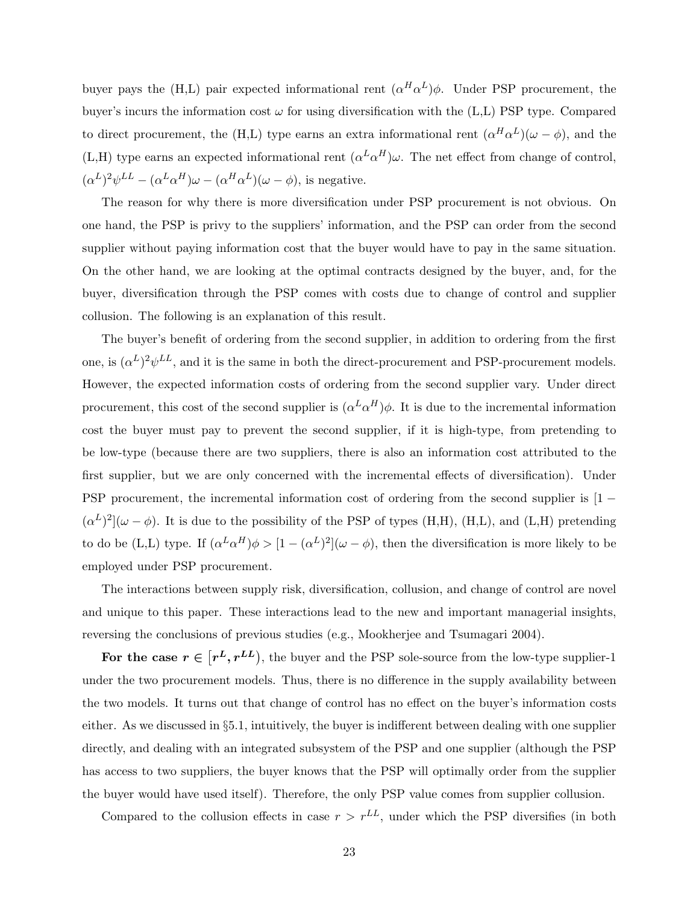buyer pays the (H,L) pair expected informational rent  $(\alpha^H \alpha^L) \phi$ . Under PSP procurement, the buyer's incurs the information cost  $\omega$  for using diversification with the (L,L) PSP type. Compared to direct procurement, the (H,L) type earns an extra informational rent  $(\alpha^H \alpha^L)(\omega - \phi)$ , and the (L,H) type earns an expected informational rent  $(\alpha^L \alpha^H) \omega$ . The net effect from change of control,  $(\alpha^L)^2 \psi^{LL} - (\alpha^L \alpha^H) \omega - (\alpha^H \alpha^L) (\omega - \phi)$ , is negative.

The reason for why there is more diversification under PSP procurement is not obvious. On one hand, the PSP is privy to the suppliers' information, and the PSP can order from the second supplier without paying information cost that the buyer would have to pay in the same situation. On the other hand, we are looking at the optimal contracts designed by the buyer, and, for the buyer, diversification through the PSP comes with costs due to change of control and supplier collusion. The following is an explanation of this result.

The buyer's benefit of ordering from the second supplier, in addition to ordering from the first one, is  $({\alpha}^L)^2 {\psi}^{LL}$ , and it is the same in both the direct-procurement and PSP-procurement models. However, the expected information costs of ordering from the second supplier vary. Under direct procurement, this cost of the second supplier is  $(\alpha^L \alpha^H) \phi$ . It is due to the incremental information cost the buyer must pay to prevent the second supplier, if it is high-type, from pretending to be low-type (because there are two suppliers, there is also an information cost attributed to the first supplier, but we are only concerned with the incremental effects of diversification). Under PSP procurement, the incremental information cost of ordering from the second supplier is [1 −  $(\alpha^L)^2$   $(\omega - \phi)$ . It is due to the possibility of the PSP of types (H,H), (H,L), and (L,H) pretending to do be (L,L) type. If  $(\alpha^L \alpha^H) \phi > [1 - (\alpha^L)^2](\omega - \phi)$ , then the diversification is more likely to be employed under PSP procurement.

The interactions between supply risk, diversification, collusion, and change of control are novel and unique to this paper. These interactions lead to the new and important managerial insights, reversing the conclusions of previous studies (e.g., Mookherjee and Tsumagari 2004).

For the case  $r \in [r^L, r^{LL})$ , the buyer and the PSP sole-source from the low-type supplier-1 under the two procurement models. Thus, there is no difference in the supply availability between the two models. It turns out that change of control has no effect on the buyer's information costs either. As we discussed in §5.1, intuitively, the buyer is indifferent between dealing with one supplier directly, and dealing with an integrated subsystem of the PSP and one supplier (although the PSP has access to two suppliers, the buyer knows that the PSP will optimally order from the supplier the buyer would have used itself). Therefore, the only PSP value comes from supplier collusion.

Compared to the collusion effects in case  $r > r^{LL}$ , under which the PSP diversifies (in both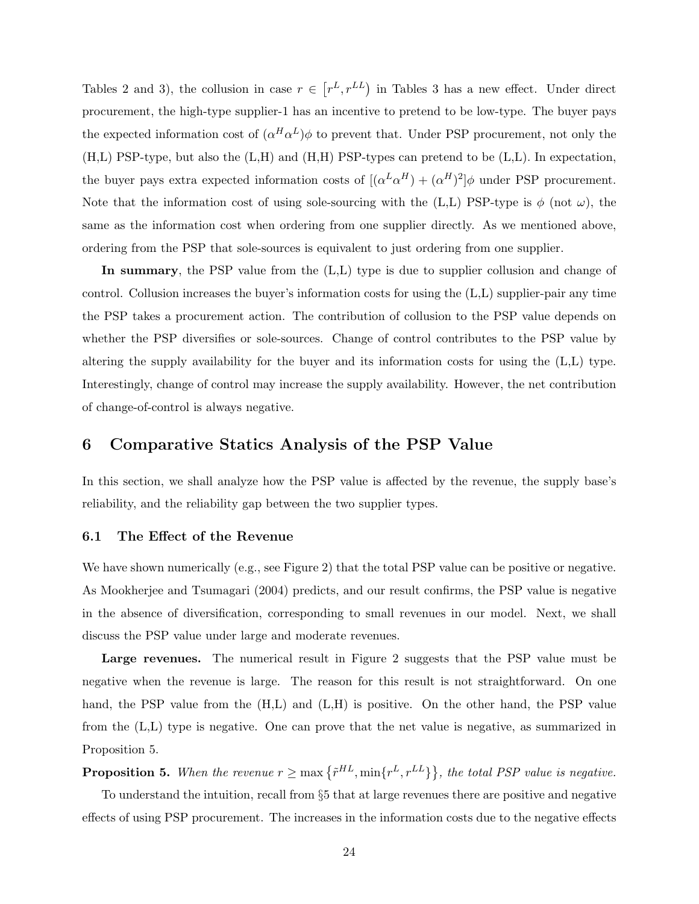Tables 2 and 3), the collusion in case  $r \in [r^L, r^{LL}]$  in Tables 3 has a new effect. Under direct procurement, the high-type supplier-1 has an incentive to pretend to be low-type. The buyer pays the expected information cost of  $(\alpha^H \alpha^L) \phi$  to prevent that. Under PSP procurement, not only the (H,L) PSP-type, but also the (L,H) and (H,H) PSP-types can pretend to be (L,L). In expectation, the buyer pays extra expected information costs of  $[(\alpha^L \alpha^H) + (\alpha^H)^2] \phi$  under PSP procurement. Note that the information cost of using sole-sourcing with the (L,L) PSP-type is  $\phi$  (not  $\omega$ ), the same as the information cost when ordering from one supplier directly. As we mentioned above, ordering from the PSP that sole-sources is equivalent to just ordering from one supplier.

In summary, the PSP value from the  $(L,L)$  type is due to supplier collusion and change of control. Collusion increases the buyer's information costs for using the (L,L) supplier-pair any time the PSP takes a procurement action. The contribution of collusion to the PSP value depends on whether the PSP diversifies or sole-sources. Change of control contributes to the PSP value by altering the supply availability for the buyer and its information costs for using the (L,L) type. Interestingly, change of control may increase the supply availability. However, the net contribution of change-of-control is always negative.

## 6 Comparative Statics Analysis of the PSP Value

In this section, we shall analyze how the PSP value is affected by the revenue, the supply base's reliability, and the reliability gap between the two supplier types.

#### 6.1 The Effect of the Revenue

We have shown numerically (e.g., see Figure 2) that the total PSP value can be positive or negative. As Mookherjee and Tsumagari (2004) predicts, and our result confirms, the PSP value is negative in the absence of diversification, corresponding to small revenues in our model. Next, we shall discuss the PSP value under large and moderate revenues.

Large revenues. The numerical result in Figure 2 suggests that the PSP value must be negative when the revenue is large. The reason for this result is not straightforward. On one hand, the PSP value from the  $(H,L)$  and  $(L,H)$  is positive. On the other hand, the PSP value from the (L,L) type is negative. One can prove that the net value is negative, as summarized in Proposition 5.

**Proposition 5.** When the revenue  $r \ge \max{\{\tilde{r}^{HL}, \min{\{r^L, r^{LL}\}}\}}$ , the total PSP value is negative.

To understand the intuition, recall from §5 that at large revenues there are positive and negative effects of using PSP procurement. The increases in the information costs due to the negative effects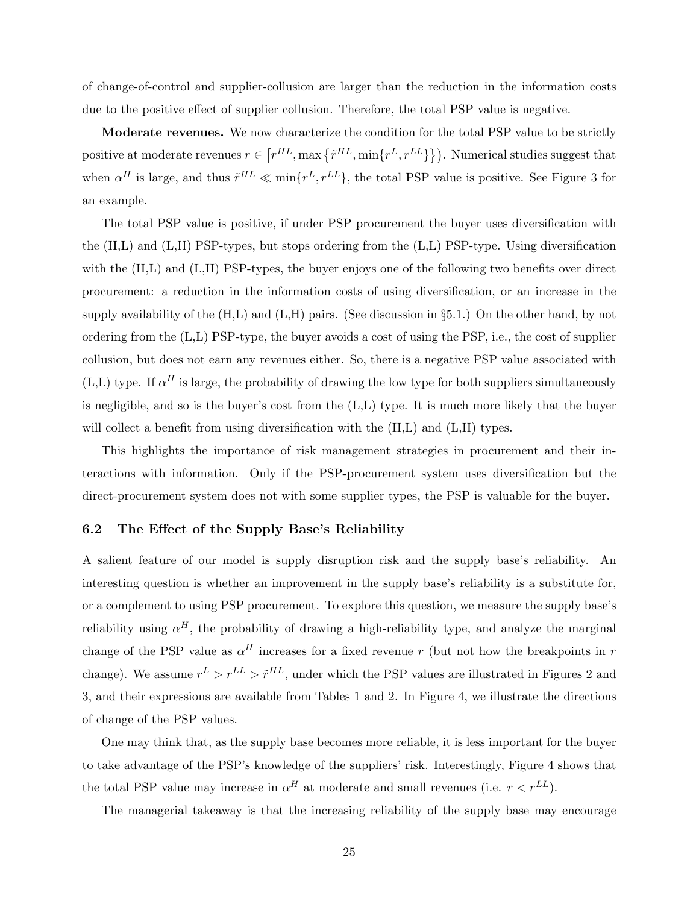of change-of-control and supplier-collusion are larger than the reduction in the information costs due to the positive effect of supplier collusion. Therefore, the total PSP value is negative.

Moderate revenues. We now characterize the condition for the total PSP value to be strictly positive at moderate revenues  $r \in [r^{HL}, \max\{\tilde{r}^{HL}, \min\{r^L, r^{LL}\}\}\)$ . Numerical studies suggest that when  $\alpha^H$  is large, and thus  $\tilde{r}^{HL} \ll \min\{r^L, r^{LL}\}\$ , the total PSP value is positive. See Figure 3 for an example.

The total PSP value is positive, if under PSP procurement the buyer uses diversification with the (H,L) and (L,H) PSP-types, but stops ordering from the (L,L) PSP-type. Using diversification with the (H,L) and (L,H) PSP-types, the buyer enjoys one of the following two benefits over direct procurement: a reduction in the information costs of using diversification, or an increase in the supply availability of the  $(H,L)$  and  $(L,H)$  pairs. (See discussion in §5.1.) On the other hand, by not ordering from the (L,L) PSP-type, the buyer avoids a cost of using the PSP, i.e., the cost of supplier collusion, but does not earn any revenues either. So, there is a negative PSP value associated with  $(L,L)$  type. If  $\alpha^H$  is large, the probability of drawing the low type for both suppliers simultaneously is negligible, and so is the buyer's cost from the (L,L) type. It is much more likely that the buyer will collect a benefit from using diversification with the  $(H,L)$  and  $(L,H)$  types.

This highlights the importance of risk management strategies in procurement and their interactions with information. Only if the PSP-procurement system uses diversification but the direct-procurement system does not with some supplier types, the PSP is valuable for the buyer.

#### 6.2 The Effect of the Supply Base's Reliability

A salient feature of our model is supply disruption risk and the supply base's reliability. An interesting question is whether an improvement in the supply base's reliability is a substitute for, or a complement to using PSP procurement. To explore this question, we measure the supply base's reliability using  $\alpha^H$ , the probability of drawing a high-reliability type, and analyze the marginal change of the PSP value as  $\alpha^H$  increases for a fixed revenue r (but not how the breakpoints in r change). We assume  $r^L > r^{LL} > \tilde{r}^{HL}$ , under which the PSP values are illustrated in Figures 2 and 3, and their expressions are available from Tables 1 and 2. In Figure 4, we illustrate the directions of change of the PSP values.

One may think that, as the supply base becomes more reliable, it is less important for the buyer to take advantage of the PSP's knowledge of the suppliers' risk. Interestingly, Figure 4 shows that the total PSP value may increase in  $\alpha^H$  at moderate and small revenues (i.e.  $r < r^{LL}$ ).

The managerial takeaway is that the increasing reliability of the supply base may encourage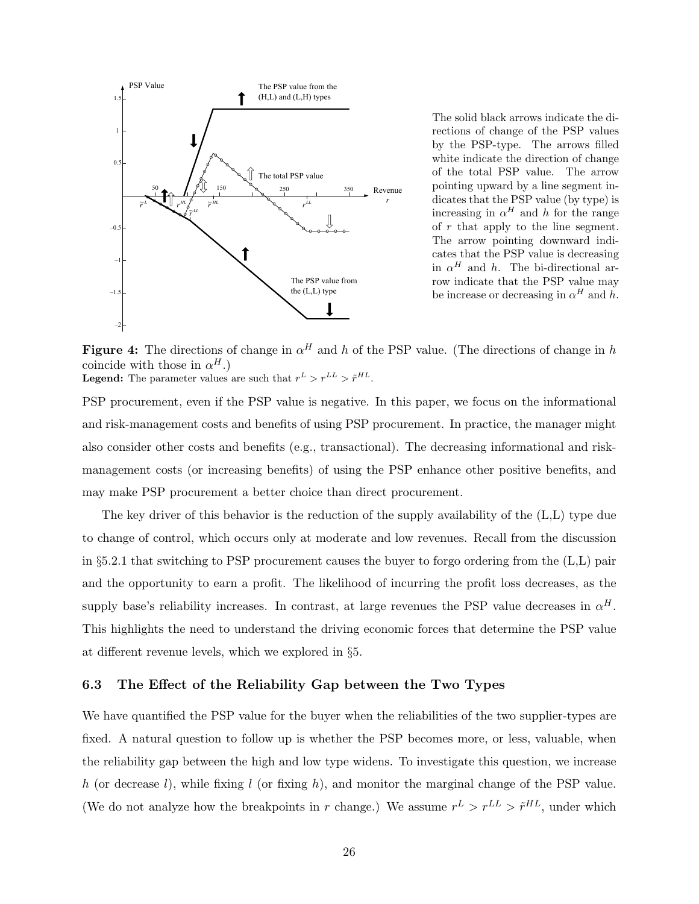

The solid black arrows indicate the directions of change of the PSP values by the PSP-type. The arrows filled white indicate the direction of change of the total PSP value. The arrow pointing upward by a line segment indicates that the PSP value (by type) is increasing in  $\alpha^H$  and h for the range of  $r$  that apply to the line segment. The arrow pointing downward indicates that the PSP value is decreasing in  $\alpha^H$  and h. The bi-directional arrow indicate that the PSP value may be increase or decreasing in  $\alpha^H$  and h.

Figure 4: The directions of change in  $\alpha^H$  and h of the PSP value. (The directions of change in h coincide with those in  $\alpha^H$ .) **Legend:** The parameter values are such that  $r^L > r^{LL} > \tilde{r}^{HL}$ .

PSP procurement, even if the PSP value is negative. In this paper, we focus on the informational and risk-management costs and benefits of using PSP procurement. In practice, the manager might also consider other costs and benefits (e.g., transactional). The decreasing informational and riskmanagement costs (or increasing benefits) of using the PSP enhance other positive benefits, and may make PSP procurement a better choice than direct procurement.

The key driver of this behavior is the reduction of the supply availability of the (L,L) type due to change of control, which occurs only at moderate and low revenues. Recall from the discussion in §5.2.1 that switching to PSP procurement causes the buyer to forgo ordering from the (L,L) pair and the opportunity to earn a profit. The likelihood of incurring the profit loss decreases, as the supply base's reliability increases. In contrast, at large revenues the PSP value decreases in  $\alpha^H$ . This highlights the need to understand the driving economic forces that determine the PSP value at different revenue levels, which we explored in §5.

#### 6.3 The Effect of the Reliability Gap between the Two Types

We have quantified the PSP value for the buyer when the reliabilities of the two supplier-types are fixed. A natural question to follow up is whether the PSP becomes more, or less, valuable, when the reliability gap between the high and low type widens. To investigate this question, we increase h (or decrease  $l$ ), while fixing  $l$  (or fixing h), and monitor the marginal change of the PSP value. (We do not analyze how the breakpoints in r change.) We assume  $r^L > r^{LL} > \tilde{r}^{HL}$ , under which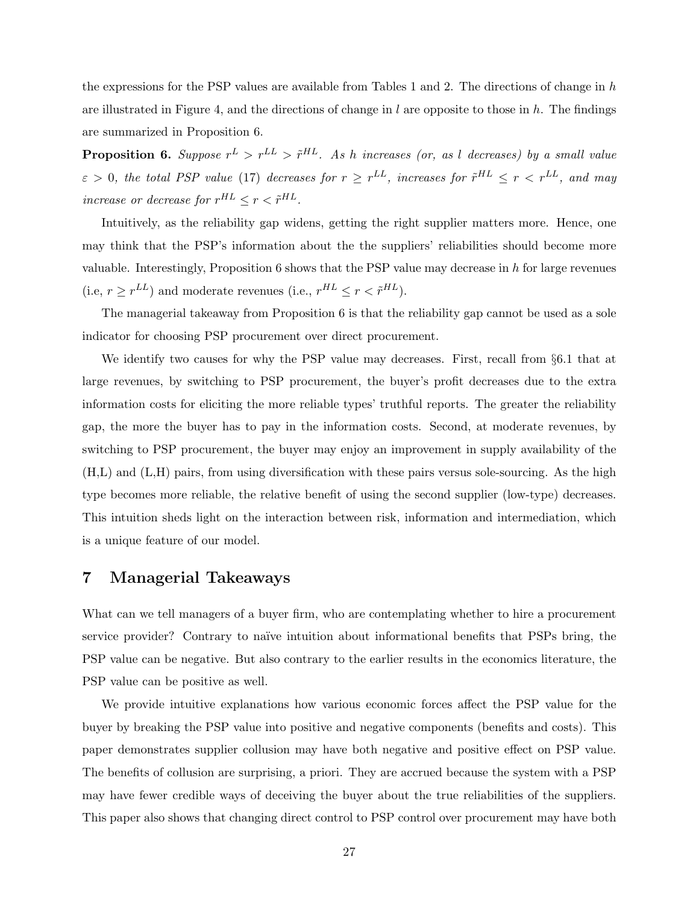the expressions for the PSP values are available from Tables 1 and 2. The directions of change in  $h$ are illustrated in Figure 4, and the directions of change in  $l$  are opposite to those in  $h$ . The findings are summarized in Proposition 6.

**Proposition 6.** Suppose  $r^L > r^{LL} > \tilde{r}^{HL}$ . As h increases (or, as l decreases) by a small value  $\varepsilon > 0$ , the total PSP value (17) decreases for  $r \geq r^{LL}$ , increases for  $\tilde{r}^{HL} \leq r < r^{LL}$ , and may increase or decrease for  $r^{HL} \leq r < \tilde{r}^{HL}$ .

Intuitively, as the reliability gap widens, getting the right supplier matters more. Hence, one may think that the PSP's information about the the suppliers' reliabilities should become more valuable. Interestingly, Proposition 6 shows that the PSP value may decrease in h for large revenues (i.e.,  $r \geq r^{LL}$ ) and moderate revenues (i.e.,  $r^{HL} \leq r < \tilde{r}^{HL}$ ).

The managerial takeaway from Proposition 6 is that the reliability gap cannot be used as a sole indicator for choosing PSP procurement over direct procurement.

We identify two causes for why the PSP value may decreases. First, recall from §6.1 that at large revenues, by switching to PSP procurement, the buyer's profit decreases due to the extra information costs for eliciting the more reliable types' truthful reports. The greater the reliability gap, the more the buyer has to pay in the information costs. Second, at moderate revenues, by switching to PSP procurement, the buyer may enjoy an improvement in supply availability of the (H,L) and (L,H) pairs, from using diversification with these pairs versus sole-sourcing. As the high type becomes more reliable, the relative benefit of using the second supplier (low-type) decreases. This intuition sheds light on the interaction between risk, information and intermediation, which is a unique feature of our model.

## 7 Managerial Takeaways

What can we tell managers of a buyer firm, who are contemplating whether to hire a procurement service provider? Contrary to naïve intuition about informational benefits that PSPs bring, the PSP value can be negative. But also contrary to the earlier results in the economics literature, the PSP value can be positive as well.

We provide intuitive explanations how various economic forces affect the PSP value for the buyer by breaking the PSP value into positive and negative components (benefits and costs). This paper demonstrates supplier collusion may have both negative and positive effect on PSP value. The benefits of collusion are surprising, a priori. They are accrued because the system with a PSP may have fewer credible ways of deceiving the buyer about the true reliabilities of the suppliers. This paper also shows that changing direct control to PSP control over procurement may have both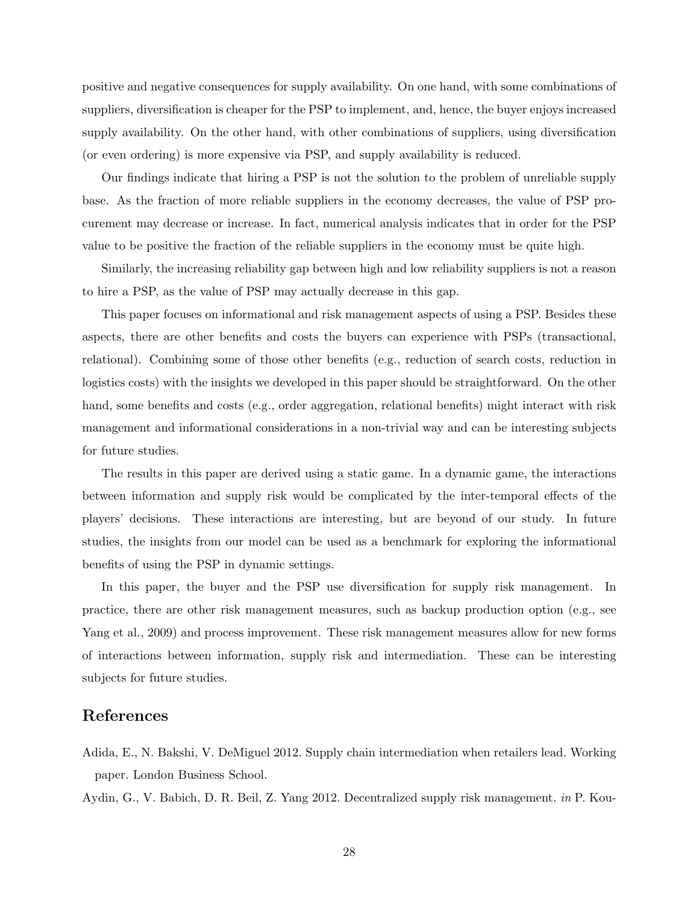positive and negative consequences for supply availability. On one hand, with some combinations of suppliers, diversification is cheaper for the PSP to implement, and, hence, the buyer enjoys increased supply availability. On the other hand, with other combinations of suppliers, using diversification (or even ordering) is more expensive via PSP, and supply availability is reduced.

Our findings indicate that hiring a PSP is not the solution to the problem of unreliable supply base. As the fraction of more reliable suppliers in the economy decreases, the value of PSP procurement may decrease or increase. In fact, numerical analysis indicates that in order for the PSP value to be positive the fraction of the reliable suppliers in the economy must be quite high.

Similarly, the increasing reliability gap between high and low reliability suppliers is not a reason to hire a PSP, as the value of PSP may actually decrease in this gap.

This paper focuses on informational and risk management aspects of using a PSP. Besides these aspects, there are other benefits and costs the buyers can experience with PSPs (transactional, relational). Combining some of those other benefits (e.g., reduction of search costs, reduction in logistics costs) with the insights we developed in this paper should be straightforward. On the other hand, some benefits and costs (e.g., order aggregation, relational benefits) might interact with risk management and informational considerations in a non-trivial way and can be interesting subjects for future studies.

The results in this paper are derived using a static game. In a dynamic game, the interactions between information and supply risk would be complicated by the inter-temporal effects of the players' decisions. These interactions are interesting, but are beyond of our study. In future studies, the insights from our model can be used as a benchmark for exploring the informational benefits of using the PSP in dynamic settings.

In this paper, the buyer and the PSP use diversification for supply risk management. In practice, there are other risk management measures, such as backup production option (e.g., see Yang et al., 2009) and process improvement. These risk management measures allow for new forms of interactions between information, supply risk and intermediation. These can be interesting subjects for future studies.

## References

Adida, E., N. Bakshi, V. DeMiguel 2012. Supply chain intermediation when retailers lead. Working paper. London Business School.

Aydin, G., V. Babich, D. R. Beil, Z. Yang 2012. Decentralized supply risk management. in P. Kou-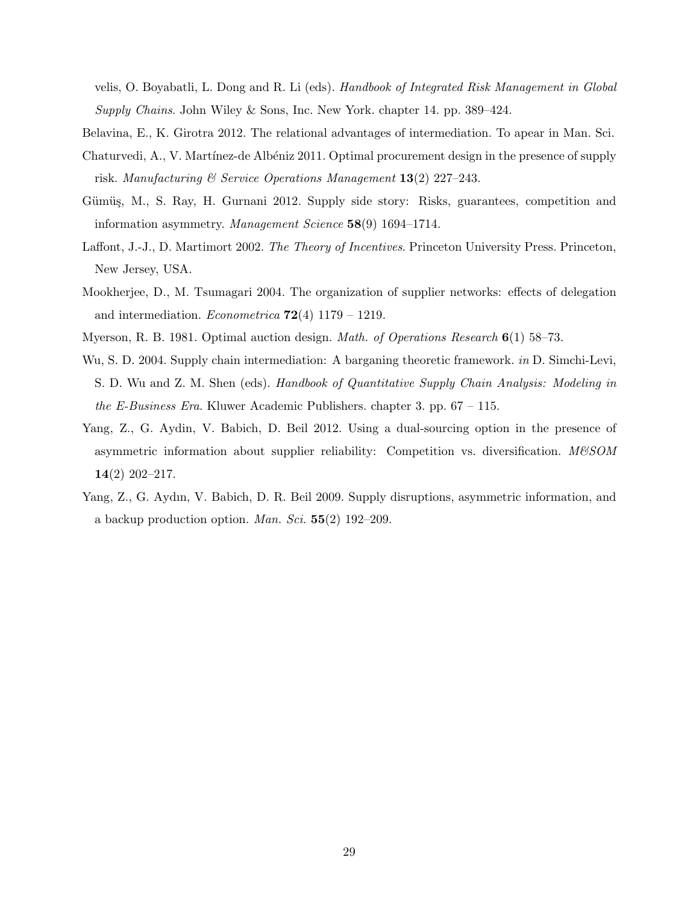velis, O. Boyabatli, L. Dong and R. Li (eds). Handbook of Integrated Risk Management in Global Supply Chains. John Wiley & Sons, Inc. New York. chapter 14. pp. 389–424.

- Belavina, E., K. Girotra 2012. The relational advantages of intermediation. To apear in Man. Sci.
- Chaturvedi, A., V. Martínez-de Albéniz 2011. Optimal procurement design in the presence of supply risk. Manufacturing & Service Operations Management  $13(2)$  227–243.
- Gümüş, M., S. Ray, H. Gurnani 2012. Supply side story: Risks, guarantees, competition and information asymmetry. Management Science 58(9) 1694–1714.
- Laffont, J.-J., D. Martimort 2002. The Theory of Incentives. Princeton University Press. Princeton, New Jersey, USA.
- Mookherjee, D., M. Tsumagari 2004. The organization of supplier networks: effects of delegation and intermediation. *Econometrica*  $72(4)$  1179 – 1219.
- Myerson, R. B. 1981. Optimal auction design. Math. of Operations Research 6(1) 58–73.
- Wu, S. D. 2004. Supply chain intermediation: A barganing theoretic framework. *in* D. Simchi-Levi, S. D. Wu and Z. M. Shen (eds). Handbook of Quantitative Supply Chain Analysis: Modeling in the E-Business Era. Kluwer Academic Publishers. chapter 3. pp. 67 – 115.
- Yang, Z., G. Aydin, V. Babich, D. Beil 2012. Using a dual-sourcing option in the presence of asymmetric information about supplier reliability: Competition vs. diversification. M&SOM 14(2) 202–217.
- Yang, Z., G. Aydın, V. Babich, D. R. Beil 2009. Supply disruptions, asymmetric information, and a backup production option. *Man. Sci.*  $55(2)$  192–209.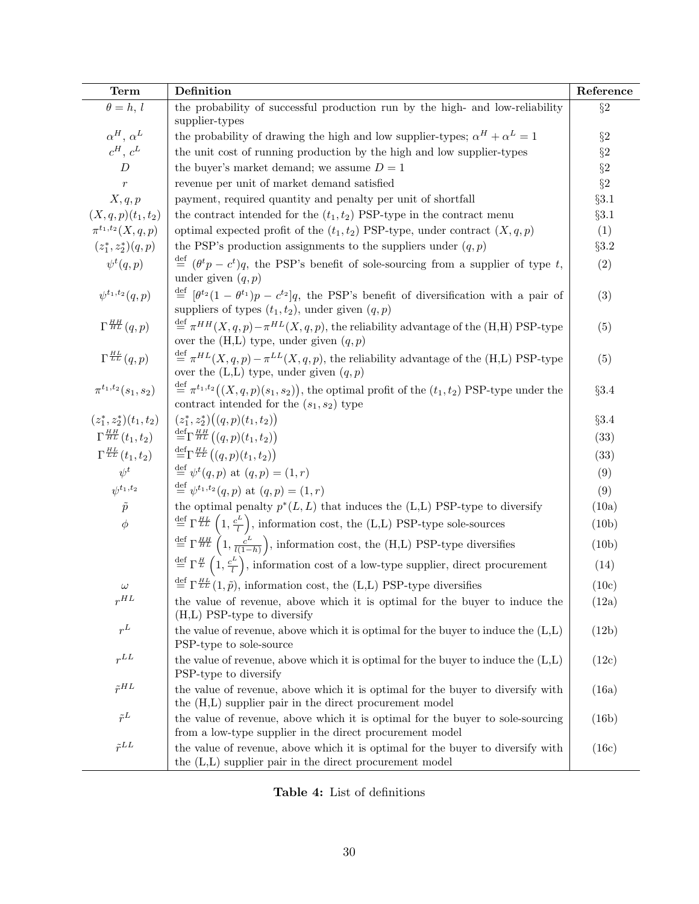| <b>Term</b>                       | Definition                                                                                                                                                                          | Reference |
|-----------------------------------|-------------------------------------------------------------------------------------------------------------------------------------------------------------------------------------|-----------|
| $\theta = h, l$                   | the probability of successful production run by the high- and low-reliability<br>supplier-types                                                                                     | $\S2$     |
| $\alpha^H$ , $\alpha^L$           | the probability of drawing the high and low supplier-types; $\alpha^H + \alpha^L = 1$                                                                                               | $\S 2$    |
| $c^H$ , $c^L$                     | the unit cost of running production by the high and low supplier-types                                                                                                              | $\S 2$    |
| $\boldsymbol{D}$                  | the buyer's market demand; we assume $D=1$                                                                                                                                          | $\S 2$    |
| $\boldsymbol{r}$                  | revenue per unit of market demand satisfied                                                                                                                                         | $\S 2$    |
| X, q, p                           | payment, required quantity and penalty per unit of shortfall                                                                                                                        | $\S3.1$   |
| $(X, q, p)(t_1, t_2)$             | the contract intended for the $(t_1, t_2)$ PSP-type in the contract menu                                                                                                            | $\S3.1$   |
| $\pi^{t_1,t_2}(X,q,p)$            | optimal expected profit of the $(t_1, t_2)$ PSP-type, under contract $(X, q, p)$                                                                                                    | (1)       |
| $(z_1^*, z_2^*)(q, p)$            | the PSP's production assignments to the suppliers under $(q, p)$                                                                                                                    | §3.2      |
| $\psi^t(q,p)$                     | $\stackrel{\text{def}}{=} (\theta^t p - c^t)q$ , the PSP's benefit of sole-sourcing from a supplier of type t,<br>under given $(q, p)$                                              | (2)       |
| $\psi^{t_1,t_2}(q,p)$             | $\stackrel{\text{def}}{=} [\theta^{t_2}(1-\theta^{t_1})p-c^{t_2}]q$ , the PSP's benefit of diversification with a pair of<br>suppliers of types $(t_1, t_2)$ , under given $(q, p)$ | (3)       |
| $\Gamma^{\frac{HH}{HL}}(q,p)$     | $\stackrel{\text{def}}{=} \pi^{HH}(X, q, p) - \pi^{HL}(X, q, p)$ , the reliability advantage of the (H,H) PSP-type<br>over the $(H,L)$ type, under given $(q, p)$                   | (5)       |
| $\Gamma^{\frac{HL}{LL}}(q,p)$     | $\stackrel{\text{def}}{=} \pi^{HL}(X, q, p) - \pi^{LL}(X, q, p)$ , the reliability advantage of the (H,L) PSP-type<br>over the $(L,L)$ type, under given $(q, p)$                   | (5)       |
| $\pi^{t_1,t_2}(s_1,s_2)$          | $\stackrel{\text{def}}{=} \pi^{t_1,t_2}((X,q,p)(s_1,s_2)),$ the optimal profit of the $(t_1,t_2)$ PSP-type under the<br>contract intended for the $(s_1, s_2)$ type                 | §3.4      |
| $(z_1^*, z_2^*)(t_1, t_2)$        | $(z_1^*, z_2^*)((q, p)(t_1, t_2))$                                                                                                                                                  | §3.4      |
| $\Gamma^{\frac{HH}{HL}}(t_1,t_2)$ | $\stackrel{\text{def}}{=} \Gamma^{\frac{HH}{HL}}((q,p)(t_1,t_2))$                                                                                                                   | (33)      |
| $\Gamma^{\frac{HL}{LL}}(t_1,t_2)$ | $\stackrel{\text{def}}{=} \Gamma^{\frac{HL}{LL}}((q,p)(t_1,t_2))$                                                                                                                   | (33)      |
| $\psi^t$                          | $\stackrel{\text{def}}{=} \psi^t(q, p)$ at $(q, p) = (1, r)$                                                                                                                        | (9)       |
| $\psi^{t_1,t_2}$                  | $\stackrel{\text{def}}{=} \psi^{t_1,t_2}(q,p)$ at $(q,p) = (1,r)$                                                                                                                   | (9)       |
| $\tilde{p}$                       | the optimal penalty $p^*(L, L)$ that induces the (L,L) PSP-type to diversify                                                                                                        | (10a)     |
| $\phi$                            | $\stackrel{\rm def}{=} \Gamma^{\frac{HL}{LL}}\left(1, \frac{c^L}{l}\right)$ , information cost, the (L,L) PSP-type sole-sources                                                     | (10b)     |
|                                   | $\stackrel{\text{def}}{=} \Gamma^{\frac{HH}{HL}}\left(1, \frac{c^L}{l(1-h)}\right)$ , information cost, the (H,L) PSP-type diversifies                                              | (10b)     |
|                                   | $\stackrel{\text{def}}{=} \Gamma^{\frac{H}{L}}(1, \frac{c^L}{l})$ , information cost of a low-type supplier, direct procurement                                                     | (14)      |
| $\omega$                          | $\stackrel{\text{def}}{=} \Gamma^{\frac{HL}{LL}}(1,\tilde{p})$ , information cost, the (L,L) PSP-type diversifies                                                                   | (10c)     |
| $r^{HL}$                          | the value of revenue, above which it is optimal for the buyer to induce the<br>$(H,L)$ PSP-type to diversify                                                                        | (12a)     |
| $r^L$                             | the value of revenue, above which it is optimal for the buyer to induce the $(L,L)$<br>PSP-type to sole-source                                                                      | (12b)     |
| $r^{LL}$                          | the value of revenue, above which it is optimal for the buyer to induce the $(L,L)$<br>PSP-type to diversify                                                                        | (12c)     |
| $\tilde{r}^{HL}$                  | the value of revenue, above which it is optimal for the buyer to diversify with<br>the (H,L) supplier pair in the direct procurement model                                          | (16a)     |
| $\tilde{r}^L$                     | the value of revenue, above which it is optimal for the buyer to sole-sourcing<br>from a low-type supplier in the direct procurement model                                          | (16b)     |
| $\tilde{r}^{LL}$                  | the value of revenue, above which it is optimal for the buyer to diversify with<br>the (L,L) supplier pair in the direct procurement model                                          | (16c)     |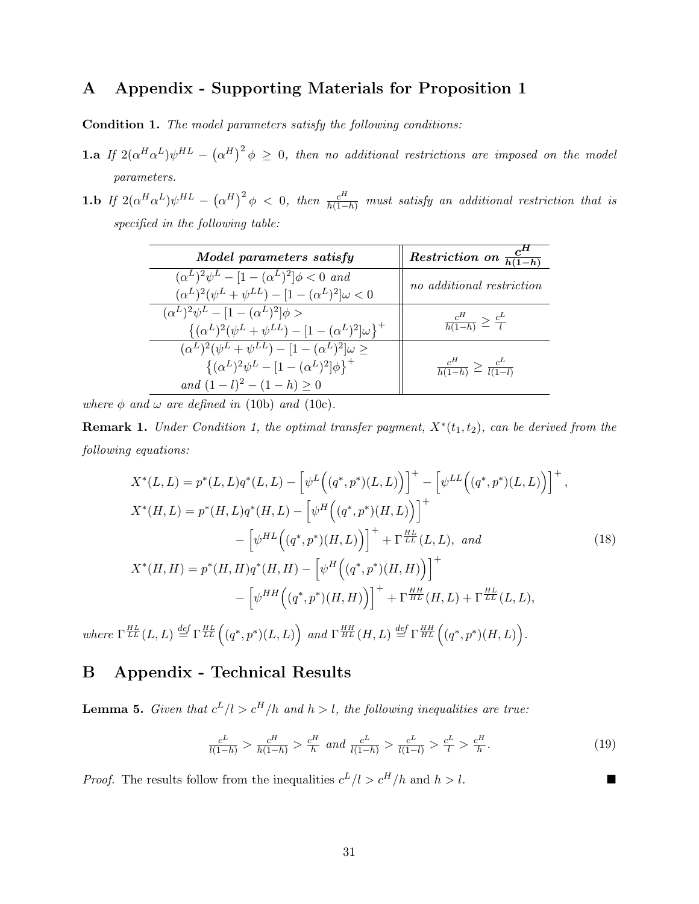## A Appendix - Supporting Materials for Proposition 1

Condition 1. The model parameters satisfy the following conditions:

- **1.a** If  $2(\alpha^H\alpha^L)\psi^{HL} (\alpha^H)^2 \phi \geq 0$ , then no additional restrictions are imposed on the model parameters.
- **1.b** If  $2(\alpha^H\alpha^L)\psi^{HL} (\alpha^H)^2\phi < 0$ , then  $\frac{c^H}{h(1-h)}$  must satisfy an additional restriction that is specified in the following table:

| Model parameters satisfy                                                                                                                                         | Restriction on $\frac{c^n}{h(1-h)}$          |
|------------------------------------------------------------------------------------------------------------------------------------------------------------------|----------------------------------------------|
| $(\alpha^{L})^{2}\psi^{L} - [1 - (\alpha^{L})^{2}]\phi < 0$ and<br>$(\alpha^{L})^2(\psi^L + \psi^{LL}) - [1 - (\alpha^{L})^2]\omega < 0$                         | no additional restriction                    |
| $(\alpha^L)^2 \psi^L - [1 - (\alpha^L)^2] \phi >$<br>$\{(\alpha^L)^2(\psi^L+\psi^{LL})-[1-(\alpha^L)^2]\omega\}^+$                                               | $\frac{c^H}{h(1-h)} \geq \frac{c^L}{l}$      |
| $(\alpha^{L})^{2}(\psi^{L} + \psi^{LL}) - [1 - (\alpha^{L})^{2}]\omega >$<br>$\{(\alpha^L)^2\psi^L - [1 - (\alpha^L)^2]\phi\}^+$<br>and $(1-l)^2 - (1-h) \geq 0$ | $\frac{c^H}{h(1-h)} \geq \frac{c^L}{l(1-l)}$ |

where  $\phi$  and  $\omega$  are defined in (10b) and (10c).

**Remark 1.** Under Condition 1, the optimal transfer payment,  $X^*(t_1, t_2)$ , can be derived from the following equations:

$$
X^*(L, L) = p^*(L, L)q^*(L, L) - \left[\psi^L((q^*, p^*)(L, L))\right]^+ - \left[\psi^{LL}((q^*, p^*)(L, L))\right]^+,
$$
  
\n
$$
X^*(H, L) = p^*(H, L)q^*(H, L) - \left[\psi^H((q^*, p^*)(H, L))\right]^+
$$
  
\n
$$
- \left[\psi^{HL}((q^*, p^*)(H, L))\right]^+ + \Gamma^{\frac{HL}{LL}}(L, L), \text{ and}
$$
  
\n
$$
X^*(H, H) = p^*(H, H)q^*(H, H) - \left[\psi^H((q^*, p^*)(H, H))\right]^+
$$
  
\n
$$
- \left[\psi^{HH}((q^*, p^*)(H, H))\right]^+ + \Gamma^{\frac{HH}{HL}}(H, L) + \Gamma^{\frac{HL}{LL}}(L, L),
$$
  
\n
$$
H^L = \mathbb{E}[Q^L] = \mathbb{E}[Q^L] = \mathbb{E}[Q^L] = \mathbb{E}[Q^L] = \mathbb{E}[Q^L] = \mathbb{E}[Q^L] = \mathbb{E}[Q^L] = \mathbb{E}[Q^L] = \mathbb{E}[Q^L] = \mathbb{E}[Q^L] = \mathbb{E}[Q^L] = \mathbb{E}[Q^L] = \mathbb{E}[Q^L] = \mathbb{E}[Q^L] = \mathbb{E}[Q^L] = \mathbb{E}[Q^L] = \mathbb{E}[Q^L] = \mathbb{E}[Q^L] = \mathbb{E}[Q^L] = \mathbb{E}[Q^L] = \mathbb{E}[Q^L] = \mathbb{E}[Q^L] = \mathbb{E}[Q^L] = \mathbb{E}[Q^L] = \mathbb{E}[Q^L] = \mathbb{E}[Q^L] = \mathbb{E}[Q^L] = \mathbb{E}[Q^L] = \mathbb{E}[Q^L] = \mathbb{E}[Q^L] = \mathbb{E}[Q^L] = \mathbb{E}[Q^L] = \mathbb{E}[Q^L] = \mathbb{E}[Q^L] = \mathbb{E}[Q^L] = \mathbb{E}[Q^L] = \mathbb{E}[Q^L] = \mathbb{E}[Q^L] = \mathbb{E}[Q^L] = \mathbb{E}[Q^L] = \mathbb{
$$

where  $\Gamma^{\frac{HL}{LL}}(L,L) \stackrel{def}{=} \Gamma^{\frac{HL}{LL}}((q^*,p^*)(L,L))$  and  $\Gamma^{\frac{HH}{HL}}(H,L) \stackrel{def}{=} \Gamma^{\frac{HH}{HL}}((q^*,p^*)(H,L)).$ 

## B Appendix - Technical Results

**Lemma 5.** Given that  $c^L/l > c^H/h$  and  $h > l$ , the following inequalities are true:

$$
\frac{c^L}{l(1-h)} > \frac{c^H}{h(1-h)} > \frac{c^H}{h} \text{ and } \frac{c^L}{l(1-h)} > \frac{c^L}{l(1-l)} > \frac{c^L}{l} > \frac{c^H}{h}.
$$
 (19)

*Proof.* The results follow from the inequalities  $c^L/l > c^H/h$  and  $h > l$ .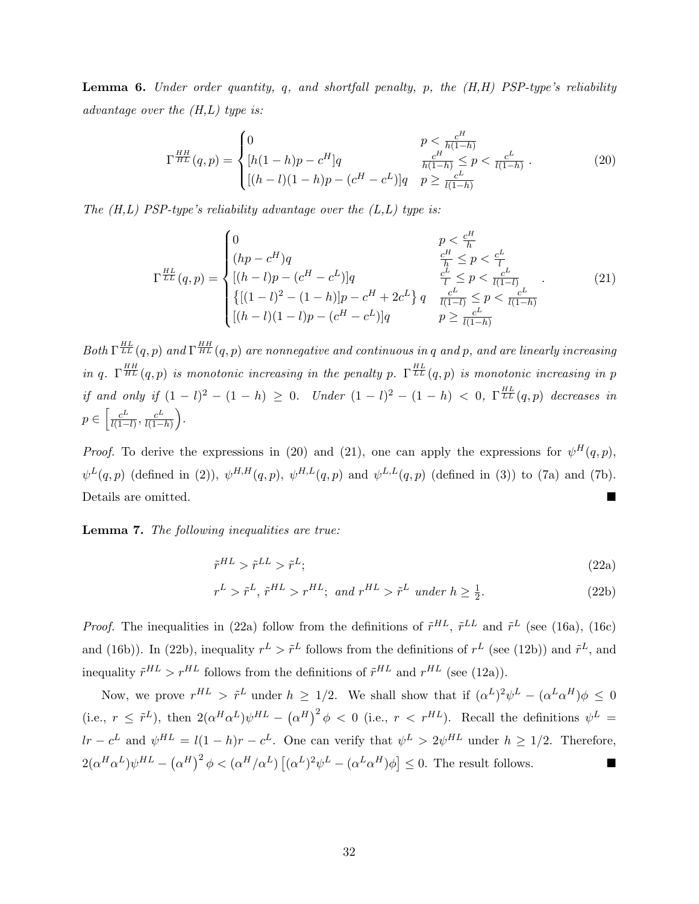**Lemma 6.** Under order quantity, q, and shortfall penalty, p, the  $(H,H)$  PSP-type's reliability advantage over the  $(H,L)$  type is:

$$
\Gamma^{\frac{HH}{HL}}(q,p) = \begin{cases} 0 & p < \frac{c^H}{h(1-h)} \\ [h(1-h)p - c^H]q & \frac{c^H}{h(1-h)} \le p < \frac{c^L}{l(1-h)} \\ [(h-l)(1-h)p - (c^H - c^L)]q & p \ge \frac{c^L}{l(1-h)} \end{cases} \tag{20}
$$

The  $(H,L)$  PSP-type's reliability advantage over the  $(L,L)$  type is:

$$
\Gamma^{\frac{HL}{LL}}(q,p) = \begin{cases}\n0 & p < \frac{c^H}{h} \\
(hp - c^H)q & \frac{c^H}{h} \leq p < \frac{c^L}{l} \\
[(h - l)p - (c^H - c^L)]q & \frac{c^L}{l} \leq p < \frac{c^L}{l(1-l)} \\
\{[(1 - l)^2 - (1 - h)]p - c^H + 2c^L\}q & \frac{c^L}{l(1-l)} \leq p < \frac{c^L}{l(1-h)} \\
[(h - l)(1 - l)p - (c^H - c^L)]q & p \geq \frac{c^L}{l(1-h)}\n\end{cases} (21)
$$

Both  $\Gamma^{\frac{HL}{LL}}(q,p)$  and  $\Gamma^{\frac{HH}{HL}}(q,p)$  are nonnegative and continuous in q and p, and are linearly increasing in q.  $\Gamma^{HH}_{HL}(q,p)$  is monotonic increasing in the penalty p.  $\Gamma^{HL}_{LL}(q,p)$  is monotonic increasing in p if and only if  $(1 - l)^2 - (1 - h) \geq 0$ . Under  $(1 - l)^2 - (1 - h) < 0$ ,  $\Gamma^{\frac{HL}{LL}}(q, p)$  decreases in  $p \in \left[\frac{c^L}{l(1-\epsilon)}\right]$  $\frac{c^L}{l(1-l)}, \frac{c^L}{l(1-l)}$  $\frac{c^L}{l(1-h)}\bigg).$ 

*Proof.* To derive the expressions in (20) and (21), one can apply the expressions for  $\psi^H(q, p)$ ,  $\psi^L(q,p)$  (defined in (2)),  $\psi^{H,H}(q,p)$ ,  $\psi^{H,L}(q,p)$  and  $\psi^{L,L}(q,p)$  (defined in (3)) to (7a) and (7b). Details are omitted.

Lemma 7. The following inequalities are true:

$$
\tilde{r}^{HL} > \tilde{r}^{LL} > \tilde{r}^L; \tag{22a}
$$

$$
r^{L} > \tilde{r}^{L}, \tilde{r}^{HL} > r^{HL}; \text{ and } r^{HL} > \tilde{r}^{L} \text{ under } h \ge \frac{1}{2}.
$$
 (22b)

*Proof.* The inequalities in (22a) follow from the definitions of  $\tilde{r}^{HL}$ ,  $\tilde{r}^{LL}$  and  $\tilde{r}^L$  (see (16a), (16c) and (16b)). In (22b), inequality  $r^L > \tilde{r}^L$  follows from the definitions of  $r^L$  (see (12b)) and  $\tilde{r}^L$ , and inequality  $\tilde{r}^{HL} > r^{HL}$  follows from the definitions of  $\tilde{r}^{HL}$  and  $r^{HL}$  (see (12a)).

Now, we prove  $r^{HL} > \tilde{r}^L$  under  $h \geq 1/2$ . We shall show that if  $(\alpha^L)^2 \psi^L - (\alpha^L \alpha^H) \phi \leq 0$ (i.e.,  $r \leq \tilde{r}^L$ ), then  $2(\alpha^H \alpha^L) \psi^{HL} - (\alpha^H)^2 \phi < 0$  (i.e.,  $r < r^{HL}$ ). Recall the definitions  $\psi^L =$  $lr - c^L$  and  $\psi^{HL} = l(1-h)r - c^L$ . One can verify that  $\psi^L > 2\psi^{HL}$  under  $h \geq 1/2$ . Therefore,  $2(\alpha^H\alpha^L)\psi^{HL}-(\alpha^H)^2\phi<(\alpha^H/\alpha^L)\left[(\alpha^L)^2\psi^L-(\alpha^L\alpha^H)\phi\right]\leq 0.$  The result follows.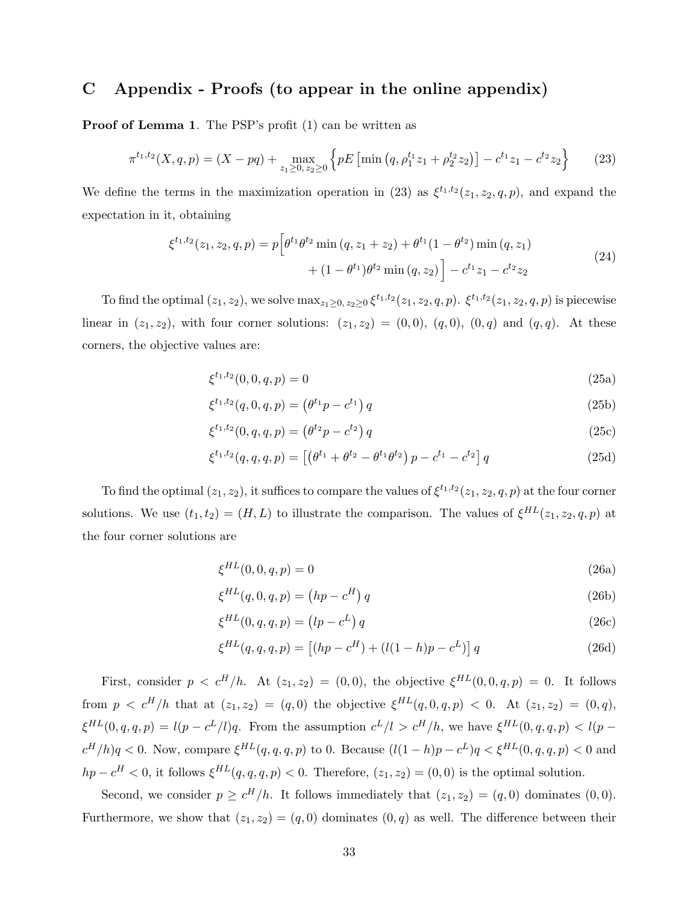## C Appendix - Proofs (to appear in the online appendix)

Proof of Lemma 1. The PSP's profit (1) can be written as

$$
\pi^{t_1,t_2}(X,q,p) = (X - pq) + \max_{z_1 \ge 0, z_2 \ge 0} \left\{ pE \left[ \min \left( q, \rho_1^{t_1} z_1 + \rho_2^{t_2} z_2 \right) \right] - c^{t_1} z_1 - c^{t_2} z_2 \right\} \tag{23}
$$

We define the terms in the maximization operation in (23) as  $\xi^{t_1,t_2}(z_1, z_2, q, p)$ , and expand the expectation in it, obtaining

$$
\xi^{t_1, t_2}(z_1, z_2, q, p) = p \left[ \theta^{t_1} \theta^{t_2} \min(q, z_1 + z_2) + \theta^{t_1} (1 - \theta^{t_2}) \min(q, z_1) + (1 - \theta^{t_1}) \theta^{t_2} \min(q, z_2) \right] - c^{t_1} z_1 - c^{t_2} z_2
$$
\n(24)

To find the optimal  $(z_1, z_2)$ , we solve  $\max_{z_1 \geq 0, z_2 \geq 0} \xi^{t_1,t_2}(z_1, z_2, q, p)$ .  $\xi^{t_1,t_2}(z_1, z_2, q, p)$  is piecewise linear in  $(z_1, z_2)$ , with four corner solutions:  $(z_1, z_2) = (0, 0), (q, 0), (0, q)$  and  $(q, q)$ . At these corners, the objective values are:

$$
\xi^{t_1, t_2}(0, 0, q, p) = 0\tag{25a}
$$

$$
\xi^{t_1, t_2}(q, 0, q, p) = (\theta^{t_1} p - c^{t_1}) q \tag{25b}
$$

$$
\xi^{t_1, t_2}(0, q, q, p) = (\theta^{t_2}p - c^{t_2})q
$$
\n(25c)

$$
\xi^{t_1, t_2}(q, q, q, p) = \left[ \left( \theta^{t_1} + \theta^{t_2} - \theta^{t_1} \theta^{t_2} \right) p - c^{t_1} - c^{t_2} \right] q \tag{25d}
$$

To find the optimal  $(z_1, z_2)$ , it suffices to compare the values of  $\xi^{t_1,t_2}(z_1, z_2, q, p)$  at the four corner solutions. We use  $(t_1, t_2) = (H, L)$  to illustrate the comparison. The values of  $\xi^{HL}(z_1, z_2, q, p)$  at the four corner solutions are

$$
\xi^{HL}(0,0,q,p) = 0 \tag{26a}
$$

$$
\xi^{HL}(q,0,q,p) = \left(hp - c^H\right)q\tag{26b}
$$

$$
\xi^{HL}(0, q, q, p) = (lp - c^L) q \tag{26c}
$$

$$
\xi^{HL}(q, q, q, p) = [(hp - c^H) + (l(1-h)p - c^L)] q \qquad (26d)
$$

First, consider  $p < c^H/h$ . At  $(z_1, z_2) = (0, 0)$ , the objective  $\xi^{HL}(0, 0, q, p) = 0$ . It follows from  $p < c^H/h$  that at  $(z_1, z_2) = (q, 0)$  the objective  $\xi^{HL}(q, 0, q, p) < 0$ . At  $(z_1, z_2) = (0, q),$  $\xi^{HL}(0,q,q,p) = l(p - c^L/l)q$ . From the assumption  $c^L/l > c^H/h$ , we have  $\xi^{HL}(0,q,q,p) < l(p - c^L/l)q$ .  $c^H/h$ )q < 0. Now, compare  $\xi^{HL}(q, q, q, p)$  to 0. Because  $(l(1-h)p - c^L)q < \xi^{HL}(0, q, q, p) < 0$  and  $hp - c^H < 0$ , it follows  $\xi^{HL}(q, q, q, p) < 0$ . Therefore,  $(z_1, z_2) = (0, 0)$  is the optimal solution.

Second, we consider  $p \geq c^H/h$ . It follows immediately that  $(z_1, z_2) = (q, 0)$  dominates  $(0, 0)$ . Furthermore, we show that  $(z_1, z_2) = (q, 0)$  dominates  $(0, q)$  as well. The difference between their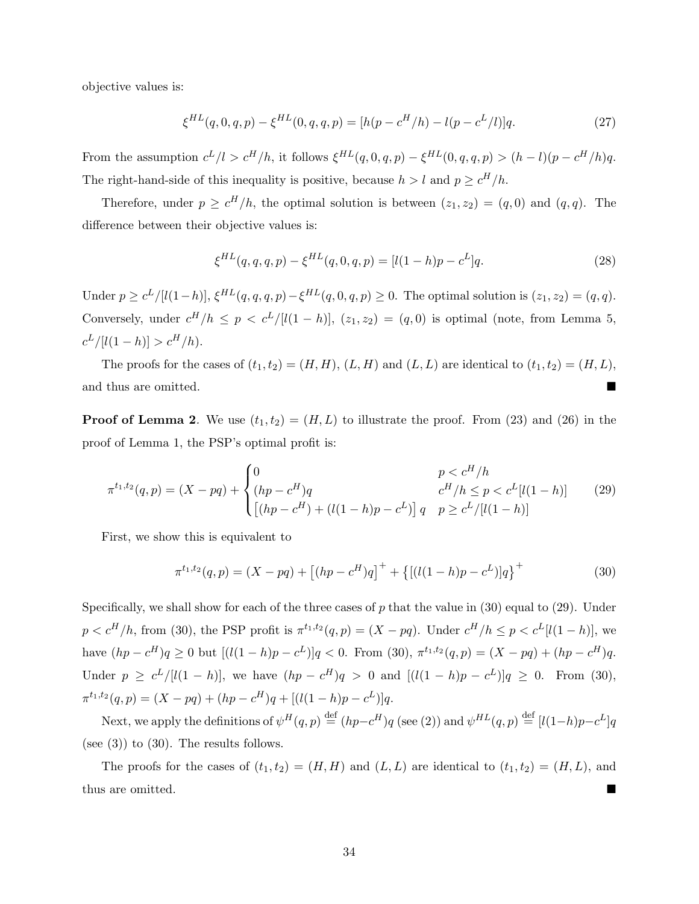objective values is:

$$
\xi^{HL}(q,0,q,p) - \xi^{HL}(0,q,q,p) = [h(p - c^H/h) - l(p - c^L/l)]q.
$$
\n(27)

From the assumption  $c^L/l > c^H/h$ , it follows  $\xi^{HL}(q, 0, q, p) - \xi^{HL}(0, q, q, p) > (h - l)(p - c^H/h)q$ . The right-hand-side of this inequality is positive, because  $h > l$  and  $p \geq c^H/h$ .

Therefore, under  $p \geq c^H/h$ , the optimal solution is between  $(z_1, z_2) = (q, 0)$  and  $(q, q)$ . The difference between their objective values is:

$$
\xi^{HL}(q,q,q,p) - \xi^{HL}(q,0,q,p) = [l(1-h)p - c^{L}]q.
$$
\n(28)

Under  $p \ge c^L/[l(1-h)], \xi^{HL}(q,q,q,p) - \xi^{HL}(q,0,q,p) \ge 0$ . The optimal solution is  $(z_1, z_2) = (q, q)$ . Conversely, under  $c^H/h \leq p < c^L/[l(1-h)], (z_1, z_2) = (q, 0)$  is optimal (note, from Lemma 5,  $c^L/[l(1-h)] > c^H/h$ .

The proofs for the cases of  $(t_1, t_2) = (H, H), (L, H)$  and  $(L, L)$  are identical to  $(t_1, t_2) = (H, L),$ and thus are omitted.

**Proof of Lemma 2.** We use  $(t_1, t_2) = (H, L)$  to illustrate the proof. From (23) and (26) in the proof of Lemma 1, the PSP's optimal profit is:

$$
\pi^{t_1, t_2}(q, p) = (X - pq) + \begin{cases} 0 & p < c^H/h \\ (hp - c^H)q & c^H/h \le p < c^L[l(1 - h)] \\ \left[ (hp - c^H) + (l(1 - h)p - c^L) \right] q & p \ge c^L/[l(1 - h)] \end{cases} \tag{29}
$$

First, we show this is equivalent to

$$
\pi^{t_1, t_2}(q, p) = (X - pq) + [(hp - c^H)q]^+ + \{[(l(1 - h)p - c^L)]q\}^+ \tag{30}
$$

Specifically, we shall show for each of the three cases of  $p$  that the value in (30) equal to (29). Under  $p < c^H/h$ , from (30), the PSP profit is  $\pi^{t_1,t_2}(q,p) = (X - pq)$ . Under  $c^H/h \leq p < c^L[l(1-h)]$ , we have  $(hp - c^H)q \ge 0$  but  $[(l(1-h)p - c^L)]q < 0$ . From (30),  $\pi^{t_1,t_2}(q,p) = (X - pq) + (hp - c^H)q$ . Under  $p \geq c^L/[(1-h)]$ , we have  $(hp - c^H)q > 0$  and  $[(1/(1-h)p - c^L)]q \geq 0$ . From (30),  $\pi^{t_1,t_2}(q,p) = (X - pq) + (hp - c^H)q + [(l(1-h)p - c^L)]q.$ 

Next, we apply the definitions of  $\psi^H(q, p) \stackrel{\text{def}}{=} (hp - c^H)q$  (see (2)) and  $\psi^{HL}(q, p) \stackrel{\text{def}}{=} [l(1-h)p - c^L]q$ (see  $(3)$ ) to  $(30)$ . The results follows.

The proofs for the cases of  $(t_1, t_2) = (H, H)$  and  $(L, L)$  are identical to  $(t_1, t_2) = (H, L)$ , and thus are omitted.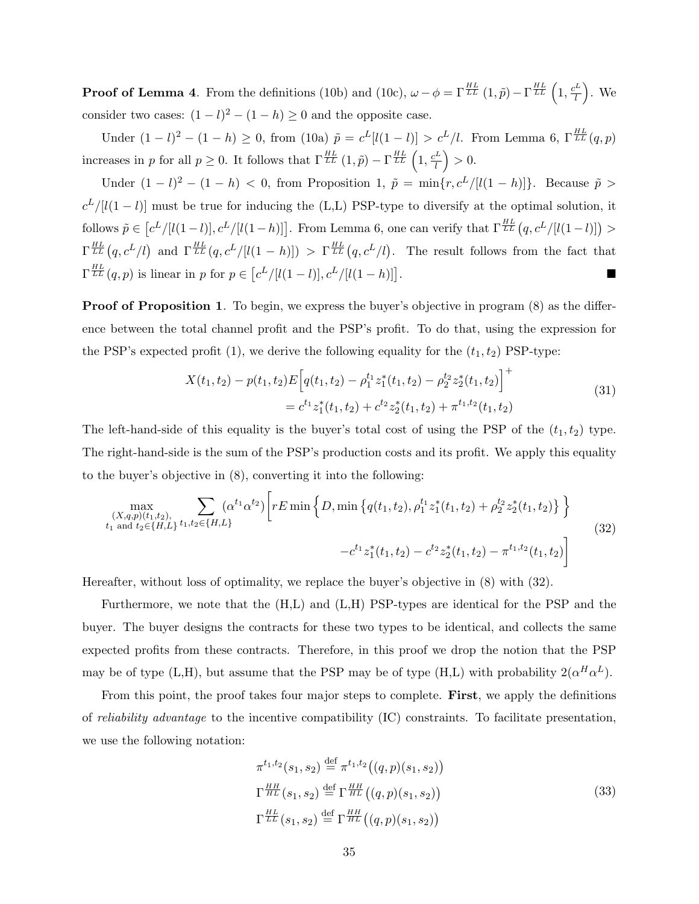**Proof of Lemma 4.** From the definitions (10b) and (10c),  $\omega - \phi = \Gamma_{LL}^{HL}(1,\tilde{p}) - \Gamma_{LL}^{HL}(1,\frac{c^L}{l})$  $\left(\frac{L}{l}\right)$ . We consider two cases:  $(1 - l)^2 - (1 - h) \ge 0$  and the opposite case.

Under  $(1 - l)^2 - (1 - h) \ge 0$ , from  $(10a) \tilde{p} = c^L[l(1 - l)] > c^L/l$ . From Lemma 6, Γ<sup>HL</sup> $(q, p)$ increases in p for all  $p \geq 0$ . It follows that  $\Gamma_{LL}^{HL}(1,\tilde{p}) - \Gamma_{LL}^{HL}(1,\frac{c^L}{l})$  $\left(\frac{L}{l}\right) > 0.$ 

Under  $(1 - l)^2 - (1 - h) < 0$ , from Proposition 1,  $\tilde{p} = \min\{r, c^L/|l(1 - h)|\}$ . Because  $\tilde{p} >$  $c^L/[l(1-l)]$  must be true for inducing the (L,L) PSP-type to diversify at the optimal solution, it follows  $\tilde{p} \in [c^L/[(1-l)], c^L/[(1-h)]]$ . From Lemma 6, one can verify that  $\Gamma^{\frac{HL}{LL}}(q, c^L/[[(1-l)]) >$  $\Gamma_{LL}^{HL}(q, c^L/l)$  and  $\Gamma_{LL}^{HL}(q, c^L/[l(1-h)]) > \Gamma_{LL}^{HL}(q, c^L/l)$ . The result follows from the fact that  $\Gamma_{LL}^{HL}(q, p)$  is linear in p for  $p \in [c^L/[l(1-l)], c^L/[l(1-h)]$ .

**Proof of Proposition 1.** To begin, we express the buyer's objective in program (8) as the difference between the total channel profit and the PSP's profit. To do that, using the expression for the PSP's expected profit (1), we derive the following equality for the  $(t_1, t_2)$  PSP-type:

$$
X(t_1, t_2) - p(t_1, t_2)E\left[q(t_1, t_2) - \rho_1^{t_1} z_1^*(t_1, t_2) - \rho_2^{t_2} z_2^*(t_1, t_2)\right]^+\n= c^{t_1} z_1^*(t_1, t_2) + c^{t_2} z_2^*(t_1, t_2) + \pi^{t_1, t_2}(t_1, t_2)
$$
\n(31)

The left-hand-side of this equality is the buyer's total cost of using the PSP of the  $(t_1, t_2)$  type. The right-hand-side is the sum of the PSP's production costs and its profit. We apply this equality to the buyer's objective in (8), converting it into the following:

$$
\max_{\substack{(X,q,p)(t_1,t_2),\\t_1 \text{ and } t_2 \in \{H,L\}}}\sum_{t_1,t_2 \in \{H,L\}} (\alpha^{t_1} \alpha^{t_2}) \left[ rE \min \left\{D, \min \left\{q(t_1,t_2), \rho_1^{t_1} z_1^*(t_1,t_2) + \rho_2^{t_2} z_2^*(t_1,t_2)\right\}\right\} - c^{t_1} z_1^*(t_1,t_2) - c^{t_2} z_2^*(t_1,t_2) - \pi^{t_1,t_2}(t_1,t_2) \right]
$$
\n
$$
(32)
$$

Hereafter, without loss of optimality, we replace the buyer's objective in (8) with (32).

Furthermore, we note that the (H,L) and (L,H) PSP-types are identical for the PSP and the buyer. The buyer designs the contracts for these two types to be identical, and collects the same expected profits from these contracts. Therefore, in this proof we drop the notion that the PSP may be of type (L,H), but assume that the PSP may be of type (H,L) with probability  $2(\alpha^H \alpha^L)$ .

From this point, the proof takes four major steps to complete. First, we apply the definitions of reliability advantage to the incentive compatibility (IC) constraints. To facilitate presentation, we use the following notation:

$$
\pi^{t_1, t_2}(s_1, s_2) \stackrel{\text{def}}{=} \pi^{t_1, t_2}((q, p)(s_1, s_2))
$$
\n
$$
\Gamma^{\frac{HH}{HL}}(s_1, s_2) \stackrel{\text{def}}{=} \Gamma^{\frac{HH}{HL}}((q, p)(s_1, s_2))
$$
\n
$$
\Gamma^{\frac{HL}{LL}}(s_1, s_2) \stackrel{\text{def}}{=} \Gamma^{\frac{HH}{HL}}((q, p)(s_1, s_2))
$$
\n(33)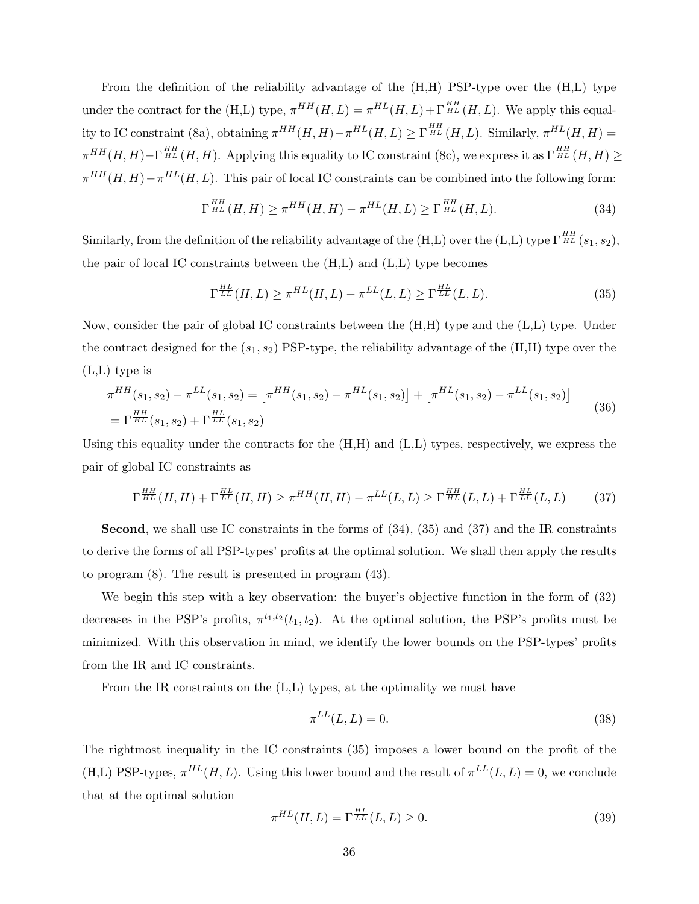From the definition of the reliability advantage of the (H,H) PSP-type over the (H,L) type under the contract for the (H,L) type,  $\pi^{HH}(H, L) = \pi^{HL}(H, L) + \Gamma^{\frac{HH}{HL}}(H, L)$ . We apply this equality to IC constraint (8a), obtaining  $\pi^{HH}(H, H) - \pi^{HL}(H, L) \ge \Gamma_{HL}^{HH}(H, L)$ . Similarly,  $\pi^{HL}(H, H) =$  $\pi^{HH}(H,H) - \Gamma^{\frac{HH}{HL}}(H,H)$ . Applying this equality to IC constraint (8c), we express it as  $\Gamma^{\frac{HH}{HL}}(H,H) \geq$  $\pi^{HH}(H, H) - \pi^{HL}(H, L)$ . This pair of local IC constraints can be combined into the following form:

$$
\Gamma^{\frac{HH}{HL}}(H,H) \ge \pi^{HH}(H,H) - \pi^{HL}(H,L) \ge \Gamma^{\frac{HH}{HL}}(H,L). \tag{34}
$$

Similarly, from the definition of the reliability advantage of the (H,L) over the (L,L) type  $\Gamma^{\frac{HH}{HL}}(s_1,s_2)$ , the pair of local IC constraints between the (H,L) and (L,L) type becomes

$$
\Gamma^{\frac{HL}{LL}}(H,L) \ge \pi^{HL}(H,L) - \pi^{LL}(L,L) \ge \Gamma^{\frac{HL}{LL}}(L,L). \tag{35}
$$

Now, consider the pair of global IC constraints between the (H,H) type and the (L,L) type. Under the contract designed for the  $(s_1, s_2)$  PSP-type, the reliability advantage of the  $(H,H)$  type over the (L,L) type is

$$
\pi^{HH}(s_1, s_2) - \pi^{LL}(s_1, s_2) = \left[\pi^{HH}(s_1, s_2) - \pi^{HL}(s_1, s_2)\right] + \left[\pi^{HL}(s_1, s_2) - \pi^{LL}(s_1, s_2)\right]
$$
\n
$$
= \Gamma^{\frac{HH}{HL}}(s_1, s_2) + \Gamma^{\frac{HL}{LL}}(s_1, s_2)
$$
\n(36)

Using this equality under the contracts for the (H,H) and (L,L) types, respectively, we express the pair of global IC constraints as

$$
\Gamma^{\frac{HH}{HL}}(H,H) + \Gamma^{\frac{HL}{LL}}(H,H) \ge \pi^{HH}(H,H) - \pi^{LL}(L,L) \ge \Gamma^{\frac{HH}{HL}}(L,L) + \Gamma^{\frac{HL}{LL}}(L,L) \tag{37}
$$

Second, we shall use IC constraints in the forms of (34), (35) and (37) and the IR constraints to derive the forms of all PSP-types' profits at the optimal solution. We shall then apply the results to program (8). The result is presented in program (43).

We begin this step with a key observation: the buyer's objective function in the form of (32) decreases in the PSP's profits,  $\pi^{t_1,t_2}(t_1,t_2)$ . At the optimal solution, the PSP's profits must be minimized. With this observation in mind, we identify the lower bounds on the PSP-types' profits from the IR and IC constraints.

From the IR constraints on the (L,L) types, at the optimality we must have

$$
\pi^{LL}(L, L) = 0.\tag{38}
$$

The rightmost inequality in the IC constraints (35) imposes a lower bound on the profit of the (H,L) PSP-types,  $\pi^{HL}(H, L)$ . Using this lower bound and the result of  $\pi^{LL}(L, L) = 0$ , we conclude that at the optimal solution

$$
\pi^{HL}(H,L) = \Gamma^{\frac{HL}{LL}}(L,L) \ge 0.
$$
\n(39)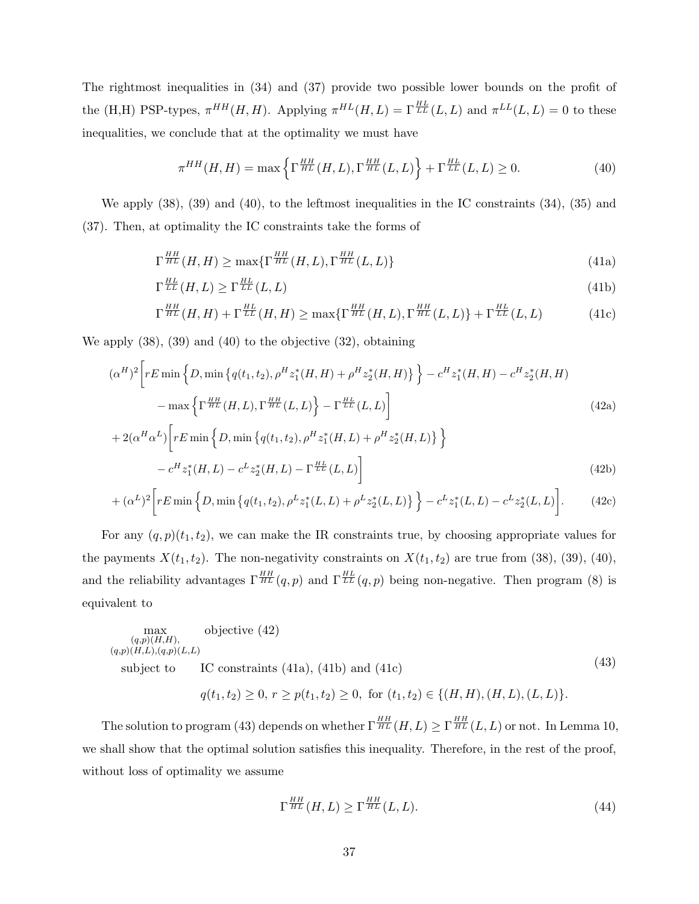The rightmost inequalities in (34) and (37) provide two possible lower bounds on the profit of the (H,H) PSP-types,  $\pi^{HH}(H, H)$ . Applying  $\pi^{HL}(H, L) = \Gamma_{LL}^{\frac{HL}{LL}}(L, L)$  and  $\pi^{LL}(L, L) = 0$  to these inequalities, we conclude that at the optimality we must have

$$
\pi^{HH}(H, H) = \max\left\{\Gamma^{\frac{HH}{HL}}(H, L), \Gamma^{\frac{HH}{HL}}(L, L)\right\} + \Gamma^{\frac{HL}{LL}}(L, L) \ge 0.
$$
\n(40)

We apply (38), (39) and (40), to the leftmost inequalities in the IC constraints (34), (35) and (37). Then, at optimality the IC constraints take the forms of

$$
\Gamma^{\frac{HH}{HL}}(H,H) \ge \max\{\Gamma^{\frac{HH}{HL}}(H,L),\Gamma^{\frac{HH}{HL}}(L,L)\}\tag{41a}
$$

$$
\Gamma^{\frac{HL}{LL}}(H,L) \ge \Gamma^{\frac{HL}{LL}}(L,L)
$$
\n(41b)

$$
\Gamma^{\frac{HH}{HL}}(H,H) + \Gamma^{\frac{HL}{LL}}(H,H) \ge \max\{\Gamma^{\frac{HH}{HL}}(H,L),\Gamma^{\frac{HH}{HL}}(L,L)\} + \Gamma^{\frac{HL}{LL}}(L,L) \tag{41c}
$$

We apply (38), (39) and (40) to the objective (32), obtaining

$$
(\alpha^{H})^{2} \left[ rE \min \left\{ D, \min \left\{ q(t_{1}, t_{2}), \rho^{H} z_{1}^{*}(H, H) + \rho^{H} z_{2}^{*}(H, H) \right\} \right\} - c^{H} z_{1}^{*}(H, H) - c^{H} z_{2}^{*}(H, H) - \max \left\{ \Gamma^{\frac{HH}{HL}}(H, L), \Gamma^{\frac{HH}{HL}}(L, L) \right\} - \Gamma^{\frac{HL}{LL}}(L, L) \right\}
$$
\n
$$
+ 2(\alpha^{H} \alpha^{L}) \left[ rE \min \left\{ D, \min \left\{ q(t_{1}, t_{2}), \rho^{H} z_{1}^{*}(H, L) + \rho^{H} z_{2}^{*}(H, L) \right\} \right\} \right]
$$
\n
$$
(42a)
$$

$$
-c^{H}z_{1}^{*}(H,L) - c^{L}z_{2}^{*}(H,L) - \Gamma^{\frac{HL}{LL}}(L,L)
$$
\n(42b)

$$
+(\alpha^L)^2 \bigg[ rE \min \Big\{ D, \min \Big\{ q(t_1, t_2), \rho^L z_1^*(L, L) + \rho^L z_2^*(L, L) \Big\} \Big\} - c^L z_1^*(L, L) - c^L z_2^*(L, L) \bigg]. \tag{42c}
$$

For any  $(q, p)(t_1, t_2)$ , we can make the IR constraints true, by choosing appropriate values for the payments  $X(t_1, t_2)$ . The non-negativity constraints on  $X(t_1, t_2)$  are true from (38), (39), (40), and the reliability advantages  $\Gamma^{\frac{HH}{HL}}(q, p)$  and  $\Gamma^{\frac{HL}{LL}}(q, p)$  being non-negative. Then program (8) is equivalent to

$$
\max_{\substack{(q,p)(H,H),\\(q,p)(H,L),(q,p)(L,L)}} \text{objective (42)}
$$
\nsubject to IC constraints (41a), (41b) and (41c) (43)

$$
q(t_1, t_2) \ge 0, r \ge p(t_1, t_2) \ge 0, \text{ for } (t_1, t_2) \in \{(H, H), (H, L), (L, L)\}.
$$

The solution to program (43) depends on whether  $\Gamma^{\frac{HH}{HL}}(H,L) \geq \Gamma^{\frac{HH}{HL}}(L,L)$  or not. In Lemma 10, we shall show that the optimal solution satisfies this inequality. Therefore, in the rest of the proof, without loss of optimality we assume

$$
\Gamma^{\frac{HH}{HL}}(H,L) \ge \Gamma^{\frac{HH}{HL}}(L,L). \tag{44}
$$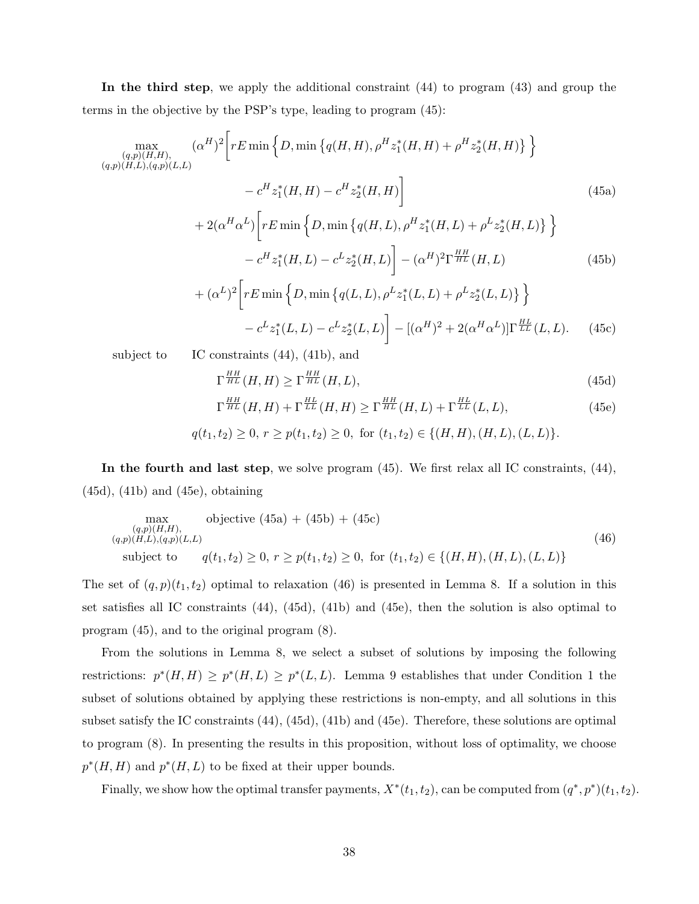In the third step, we apply the additional constraint (44) to program (43) and group the terms in the objective by the PSP's type, leading to program (45):

$$
\max_{(q,p)(H,H), (q,p)(L,L)} (\alpha^{H})^{2} \Bigg[ rE \min \Big\{ D, \min \Big\{ q(H,H), \rho^{H} z_{1}^{*}(H,H) + \rho^{H} z_{2}^{*}(H,H) \Big\} \Big\} \n- c^{H} z_{1}^{*}(H,H) - c^{H} z_{2}^{*}(H,H) \Bigg]
$$
\n(45a)  
\n+ 2( $\alpha^{H} \alpha^{L}$ )  $\Bigg[ rE \min \Big\{ D, \min \Big\{ q(H,L), \rho^{H} z_{1}^{*}(H,L) + \rho^{L} z_{2}^{*}(H,L) \Big\} \Big\} \n- c^{H} z_{1}^{*}(H,L) - c^{L} z_{2}^{*}(H,L) \Bigg] - (\alpha^{H})^{2} \Gamma^{\frac{HH}{HL}}(H,L)$ \n(45b)  
\n+ ( $\alpha^{L}$ )<sup>2</sup>  $\Bigg[ rE \min \Big\{ D, \min \Big\{ q(L,L), \rho^{L} z_{1}^{*}(L,L) + \rho^{L} z_{2}^{*}(L,L) \Big\} \Big\} \n- c^{L} z_{1}^{*}(L,L) - c^{L} z_{2}^{*}(L,L) \Bigg] - [(\alpha^{H})^{2} + 2(\alpha^{H} \alpha^{L})] \Gamma^{\frac{HL}{LL}}(L,L).$  (45c)  
\nsubject to IC constraints (44), (41b), and

$$
\Gamma^{\frac{HH}{HL}}(H,H) \ge \Gamma^{\frac{HH}{HL}}(H,L),\tag{45d}
$$

$$
\Gamma^{\frac{HH}{HL}}(H,H) + \Gamma^{\frac{HL}{LL}}(H,H) \ge \Gamma^{\frac{HH}{HL}}(H,L) + \Gamma^{\frac{HL}{LL}}(L,L),\tag{45e}
$$

$$
q(t_1, t_2) \ge 0, r \ge p(t_1, t_2) \ge 0, \text{ for } (t_1, t_2) \in \{(H, H), (H, L), (L, L)\}.
$$

In the fourth and last step, we solve program (45). We first relax all IC constraints, (44), (45d), (41b) and (45e), obtaining

$$
\max_{\substack{(q,p)(H,H),\\(q,p)(H,L),(q,p)(L,L)}} \text{objective (45a) + (45b) + (45c)} \tag{46}
$$
\n
$$
\text{subject to} \quad q(t_1, t_2) \ge 0, \ r \ge p(t_1, t_2) \ge 0, \text{ for } (t_1, t_2) \in \{(H, H), (H, L), (L, L)\} \tag{46}
$$

The set of  $(q, p)(t_1, t_2)$  optimal to relaxation (46) is presented in Lemma 8. If a solution in this set satisfies all IC constraints (44), (45d), (41b) and (45e), then the solution is also optimal to program (45), and to the original program (8).

From the solutions in Lemma 8, we select a subset of solutions by imposing the following restrictions:  $p^*(H, H) \geq p^*(H, L) \geq p^*(L, L)$ . Lemma 9 establishes that under Condition 1 the subset of solutions obtained by applying these restrictions is non-empty, and all solutions in this subset satisfy the IC constraints (44), (45d), (41b) and (45e). Therefore, these solutions are optimal to program (8). In presenting the results in this proposition, without loss of optimality, we choose  $p^*(H, H)$  and  $p^*(H, L)$  to be fixed at their upper bounds.

Finally, we show how the optimal transfer payments,  $X^*(t_1, t_2)$ , can be computed from  $(q^*, p^*)(t_1, t_2)$ .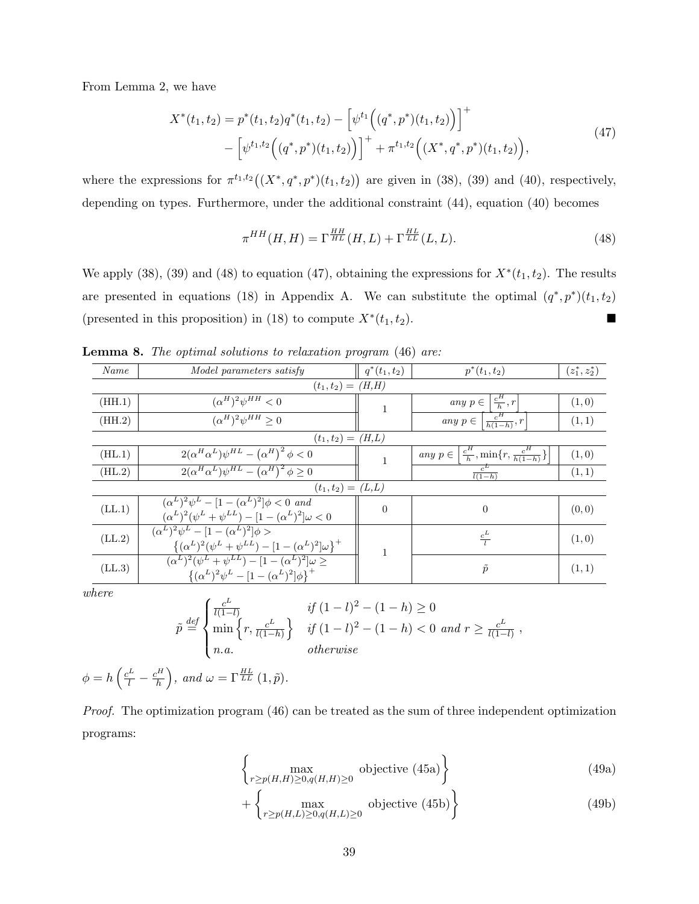From Lemma 2, we have

$$
X^*(t_1, t_2) = p^*(t_1, t_2)q^*(t_1, t_2) - \left[\psi^{t_1}\Big((q^*, p^*)(t_1, t_2)\Big)\right]^+\n- \left[\psi^{t_1, t_2}\Big((q^*, p^*)(t_1, t_2)\Big)\right]^+\n+ \pi^{t_1, t_2}\Big((X^*, q^*, p^*)(t_1, t_2)\Big),
$$
\n(47)

where the expressions for  $\pi^{t_1,t_2}((X^*,q^*,p^*)(t_1,t_2))$  are given in (38), (39) and (40), respectively, depending on types. Furthermore, under the additional constraint (44), equation (40) becomes

$$
\pi^{HH}(H, H) = \Gamma^{\frac{HH}{HL}}(H, L) + \Gamma^{\frac{HL}{LL}}(L, L). \tag{48}
$$

We apply (38), (39) and (48) to equation (47), obtaining the expressions for  $X^*(t_1, t_2)$ . The results are presented in equations (18) in Appendix A. We can substitute the optimal  $(q^*, p^*)(t_1, t_2)$ (presented in this proposition) in (18) to compute  $X^*(t_1, t_2)$ .

| Name   | Model parameters satisfy                                                                                                                     | $q^*(t_1,t_2)$ | $p^*(t_1,t_2)$                                                        | $(z_1^*, z_2^*)$ |
|--------|----------------------------------------------------------------------------------------------------------------------------------------------|----------------|-----------------------------------------------------------------------|------------------|
|        | $(t_1, t_2) = (H,H)$                                                                                                                         |                |                                                                       |                  |
| (HH.1) | $(\alpha^H)^2 \psi^{HH} < 0$                                                                                                                 | 1              | any $p \in \left[\frac{c^H}{h}, r\right]$                             | (1,0)            |
| (HH.2) | $(\alpha^H)^2 \psi^{HH} > 0$                                                                                                                 |                | any $p \in \left\lceil \frac{c^H}{h(1-h)}, r \right\rceil$            | (1, 1)           |
|        | $(t_1, t_2) = (H,L)$                                                                                                                         |                |                                                                       |                  |
| (HL.1) | $2(\alpha^H \alpha^L) \psi^{HL} - (\alpha^H)^2 \phi < 0$                                                                                     | $\mathbf{1}$   | any $p \in \left[\frac{c^H}{h}, \min\{r, \frac{c^H}{h(1-h)}\}\right]$ | (1,0)            |
| (HL.2) | $\frac{2(\alpha^H\alpha^L)\psi^{HL}-(\alpha^H)^2}{\phi\geq 0}$                                                                               |                | $c^L$<br>$\overline{l(1-h)}$                                          | (1, 1)           |
|        | $(t_1, t_2) = (L, L)$                                                                                                                        |                |                                                                       |                  |
| (LL.1) | $({\alpha}^L)^2 {\psi}^L - [1 - ({\alpha}^L)^2] \phi < 0$ and<br>$(\alpha^{L})^{2}(\psi^{L} + \psi^{LL}) - [1 - (\alpha^{L})^{2}]\omega < 0$ | $\overline{0}$ | $\overline{0}$                                                        | (0, 0)           |
| (LL.2) | $(\alpha^L)^2 \psi^L - [1 - (\alpha^L)^2] \phi >$<br>$\{(\alpha^L)^2(\psi^L+\psi^{LL})-[1-(\alpha^L)^2]\omega\}^+$                           |                | $rac{c^L}{l}$                                                         | (1,0)            |
| (LL.3) | $(\alpha^{L})^{2}(\psi^{L} + \psi^{LL}) - [1 - (\alpha^{L})^{2}]\omega \ge$<br>$\{(\alpha^L)^2\psi^L - [1 - (\alpha^L)^2]\phi\}^+$           |                | $\tilde{p}$                                                           | (1, 1)           |

Lemma 8. The optimal solutions to relaxation program (46) are:

where

$$
\tilde{p} \stackrel{\text{def}}{=} \begin{cases}\n\frac{c^L}{l(1-l)} & \text{if } (1-l)^2 - (1-h) \ge 0 \\
\min\left\{r, \frac{c^L}{l(1-h)}\right\} & \text{if } (1-l)^2 - (1-h) < 0 \text{ and } r \ge \frac{c^L}{l(1-l)}\n\end{cases}
$$
\n
$$
n.a. \qquad \text{otherwise}
$$

$$
\phi = h\left(\frac{c^L}{l} - \frac{c^H}{h}\right), \text{ and } \omega = \Gamma^{\frac{HL}{LL}}(1, \tilde{p}).
$$

Proof. The optimization program (46) can be treated as the sum of three independent optimization programs:

$$
\left\{\max_{r\geq p(H,H)\geq 0, q(H,H)\geq 0} \text{ objective (45a)}\right\} \tag{49a}
$$

$$
+\left\{\max_{r\geq p(H,L)\geq 0, q(H,L)\geq 0} \text{ objective (45b)}\right\} \tag{49b}
$$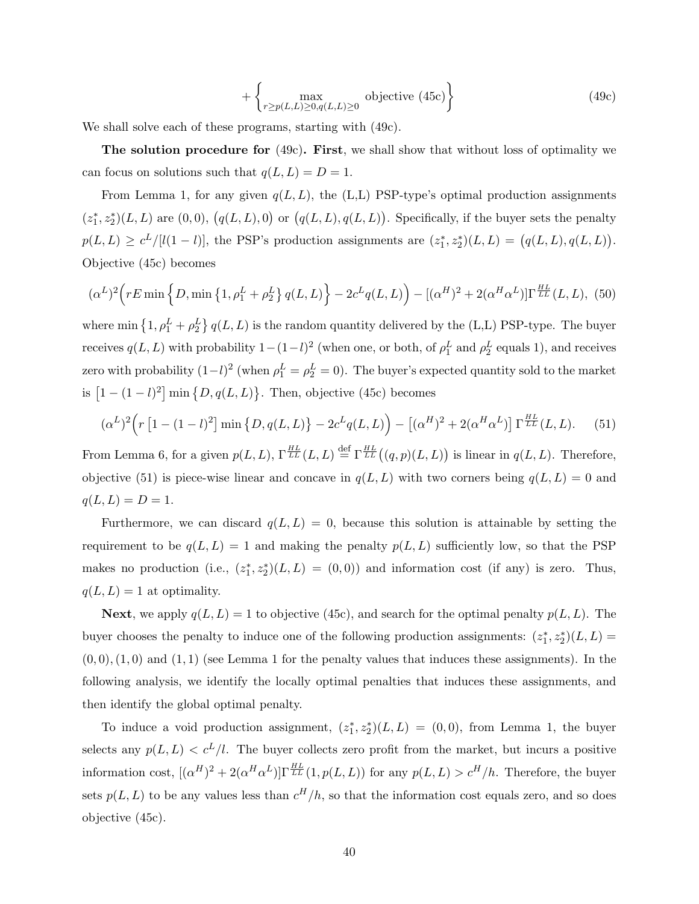$$
+\left\{\max_{r\geq p(L,L)\geq 0, q(L,L)\geq 0} \text{ objective (45c)}\right\} \tag{49c}
$$

We shall solve each of these programs, starting with (49c).

The solution procedure for (49c). First, we shall show that without loss of optimality we can focus on solutions such that  $q(L, L) = D = 1$ .

From Lemma 1, for any given  $q(L, L)$ , the (L,L) PSP-type's optimal production assignments  $(z_1^*, z_2^*)(L, L)$  are  $(0, 0)$ ,  $(q(L, L), 0)$  or  $(q(L, L), q(L, L))$ . Specifically, if the buyer sets the penalty  $p(L, L) \geq c^L/[l(1-l)]$ , the PSP's production assignments are  $(z_1^*, z_2^*)(L, L) = (q(L, L), q(L, L))$ . Objective (45c) becomes

$$
(\alpha^{L})^{2}\Big(rE\min\Big\{D,\min\big\{1,\rho_{1}^{L}+\rho_{2}^{L}\big\}\,q(L,L)\Big\}-2c^{L}q(L,L)\Big)-[(\alpha^{H})^{2}+2(\alpha^{H}\alpha^{L})]\Gamma^{\frac{HL}{LL}}(L,L),\tag{50}
$$

where min  $\left\{1, \rho_1^L + \rho_2^L\right\} q(L, L)$  is the random quantity delivered by the (L,L) PSP-type. The buyer receives  $q(L, L)$  with probability  $1 - (1 - l)^2$  (when one, or both, of  $\rho_1^L$  and  $\rho_2^L$  equals 1), and receives zero with probability  $(1-l)^2$  (when  $\rho_1^L = \rho_2^L = 0$ ). The buyer's expected quantity sold to the market is  $[1-(1-l)^2]$  min  $\{D,q(L,L)\}\$ . Then, objective (45c) becomes

$$
(\alpha^{L})^{2}\Big(r\left[1-(1-l)^{2}\right]\min\left\{D,q(L,L)\right\}-2c^{L}q(L,L)\Big)-\left[(\alpha^{H})^{2}+2(\alpha^{H}\alpha^{L})\right]\Gamma^{\frac{HL}{LL}}(L,L). \tag{51}
$$

From Lemma 6, for a given  $p(L, L)$ ,  $\Gamma^{\frac{HL}{LL}}(L, L) \stackrel{\text{def}}{=} \Gamma^{\frac{HL}{LL}}((q, p)(L, L))$  is linear in  $q(L, L)$ . Therefore, objective (51) is piece-wise linear and concave in  $q(L, L)$  with two corners being  $q(L, L) = 0$  and  $q(L, L) = D = 1.$ 

Furthermore, we can discard  $q(L, L) = 0$ , because this solution is attainable by setting the requirement to be  $q(L, L) = 1$  and making the penalty  $p(L, L)$  sufficiently low, so that the PSP makes no production (i.e.,  $(z_1^*, z_2^*)(L, L) = (0, 0)$ ) and information cost (if any) is zero. Thus,  $q(L, L) = 1$  at optimality.

**Next**, we apply  $q(L, L) = 1$  to objective (45c), and search for the optimal penalty  $p(L, L)$ . The buyer chooses the penalty to induce one of the following production assignments:  $(z_1^*, z_2^*)(L, L)$  $(0,0), (1,0)$  and  $(1,1)$  (see Lemma 1 for the penalty values that induces these assignments). In the following analysis, we identify the locally optimal penalties that induces these assignments, and then identify the global optimal penalty.

To induce a void production assignment,  $(z_1^*, z_2^*)(L, L) = (0, 0)$ , from Lemma 1, the buyer selects any  $p(L, L) < c^L/l$ . The buyer collects zero profit from the market, but incurs a positive information cost,  $[(\alpha^H)^2 + 2(\alpha^H \alpha^L)] \Gamma_{LL}^{HL}(1, p(L, L))$  for any  $p(L, L) > c^H/h$ . Therefore, the buyer sets  $p(L, L)$  to be any values less than  $c^H/h$ , so that the information cost equals zero, and so does objective (45c).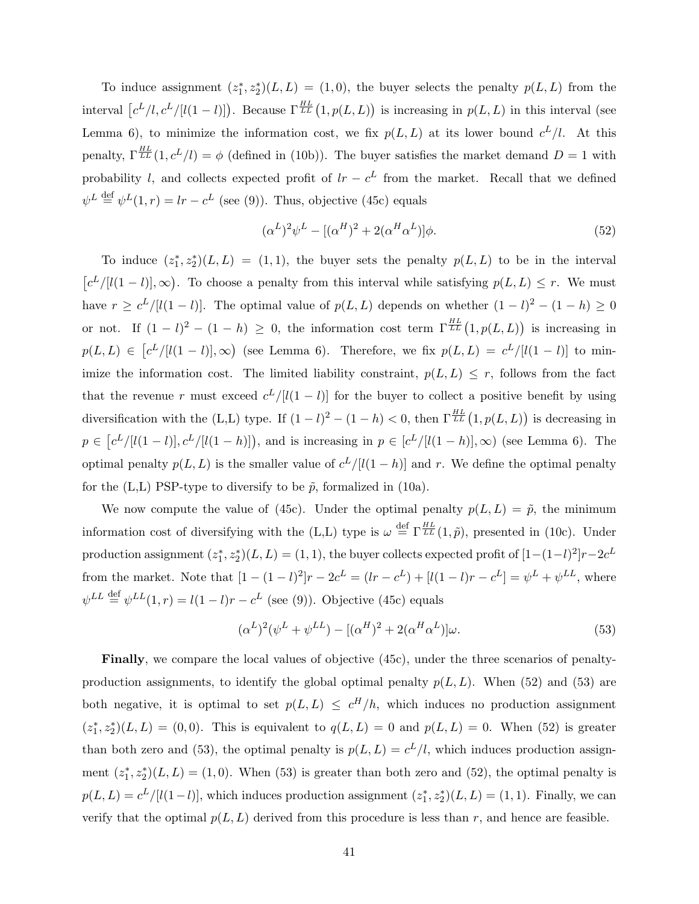To induce assignment  $(z_1^*, z_2^*)(L, L) = (1, 0)$ , the buyer selects the penalty  $p(L, L)$  from the interval  $[c^L/l, c^L/[l(1-l)])$ . Because  $\Gamma^{\frac{HL}{LL}}(1, p(L, L))$  is increasing in  $p(L, L)$  in this interval (see Lemma 6), to minimize the information cost, we fix  $p(L, L)$  at its lower bound  $c^L/l$ . At this penalty,  $\Gamma_{LL}^{HL}(1, c^L/l) = \phi$  (defined in (10b)). The buyer satisfies the market demand  $D = 1$  with probability l, and collects expected profit of  $lr - c^L$  from the market. Recall that we defined  $\psi^L \stackrel{\text{def}}{=} \psi^L(1,r) = lr - c^L$  (see (9)). Thus, objective (45c) equals

$$
(\alpha^L)^2 \psi^L - [(\alpha^H)^2 + 2(\alpha^H \alpha^L)]\phi.
$$
\n
$$
(52)
$$

To induce  $(z_1^*, z_2^*)(L, L) = (1, 1)$ , the buyer sets the penalty  $p(L, L)$  to be in the interval  $[c^{L}/[l(1-l)],\infty)$ . To choose a penalty from this interval while satisfying  $p(L,L) \leq r$ . We must have  $r \geq c^L/[(1-l)]$ . The optimal value of  $p(L,L)$  depends on whether  $(1-l)^2 - (1-h) \geq 0$ or not. If  $(1 - l)^2 - (1 - h) \geq 0$ , the information cost term  $\Gamma^{HL}_{LL}(1, p(L,L))$  is increasing in  $p(L, L) \in [c^L/[(l-1)], \infty)$  (see Lemma 6). Therefore, we fix  $p(L, L) = c^L/[(l-1)]$  to minimize the information cost. The limited liability constraint,  $p(L, L) \leq r$ , follows from the fact that the revenue r must exceed  $c^L/[(1 - l)]$  for the buyer to collect a positive benefit by using diversification with the  $(L,L)$  type. If  $(1-l)^2 - (1-h) < 0$ , then  $\Gamma^{\frac{HL}{LL}}(1, p(L,L))$  is decreasing in  $p \in [c^L/[l(1-l)], c^L/[l(1-h)]$ , and is increasing in  $p \in [c^L/[l(1-h)], \infty)$  (see Lemma 6). The optimal penalty  $p(L, L)$  is the smaller value of  $c^L/[(1-h)]$  and r. We define the optimal penalty for the (L,L) PSP-type to diversify to be  $\tilde{p}$ , formalized in (10a).

We now compute the value of (45c). Under the optimal penalty  $p(L, L) = \tilde{p}$ , the minimum information cost of diversifying with the (L,L) type is  $\omega \stackrel{\text{def}}{=} \Gamma^{\frac{HL}{LL}}(1,\tilde{p})$ , presented in (10c). Under  $\text{production assignment } (z_1^*, z_2^*)(L, L) = (1, 1), \text{ the buyer collects expected profit of } [1 - (1 - l)^2]r - 2c^L$ from the market. Note that  $[1 - (1 - l)^2]r - 2c^L = (lr - c^L) + [l(1 - l)r - c^L] = \psi^L + \psi^{LL}$ , where  $\psi^{LL} \stackrel{\text{def}}{=} \psi^{LL}(1,r) = l(1-l)r - c^L$  (see (9)). Objective (45c) equals

$$
(\alpha^L)^2(\psi^L + \psi^{LL}) - [(\alpha^H)^2 + 2(\alpha^H\alpha^L)]\omega.
$$
\n
$$
(53)
$$

Finally, we compare the local values of objective (45c), under the three scenarios of penaltyproduction assignments, to identify the global optimal penalty  $p(L, L)$ . When (52) and (53) are both negative, it is optimal to set  $p(L,L) \leq c^H/h$ , which induces no production assignment  $(z_1^*, z_2^*)(L, L) = (0, 0)$ . This is equivalent to  $q(L, L) = 0$  and  $p(L, L) = 0$ . When (52) is greater than both zero and (53), the optimal penalty is  $p(L, L) = c<sup>L</sup>/l$ , which induces production assignment  $(z_1^*, z_2^*)(L, L) = (1, 0)$ . When (53) is greater than both zero and (52), the optimal penalty is  $p(L, L) = c^L/[l(1-l)]$ , which induces production assignment  $(z_1^*, z_2^*)(L, L) = (1, 1)$ . Finally, we can verify that the optimal  $p(L, L)$  derived from this procedure is less than r, and hence are feasible.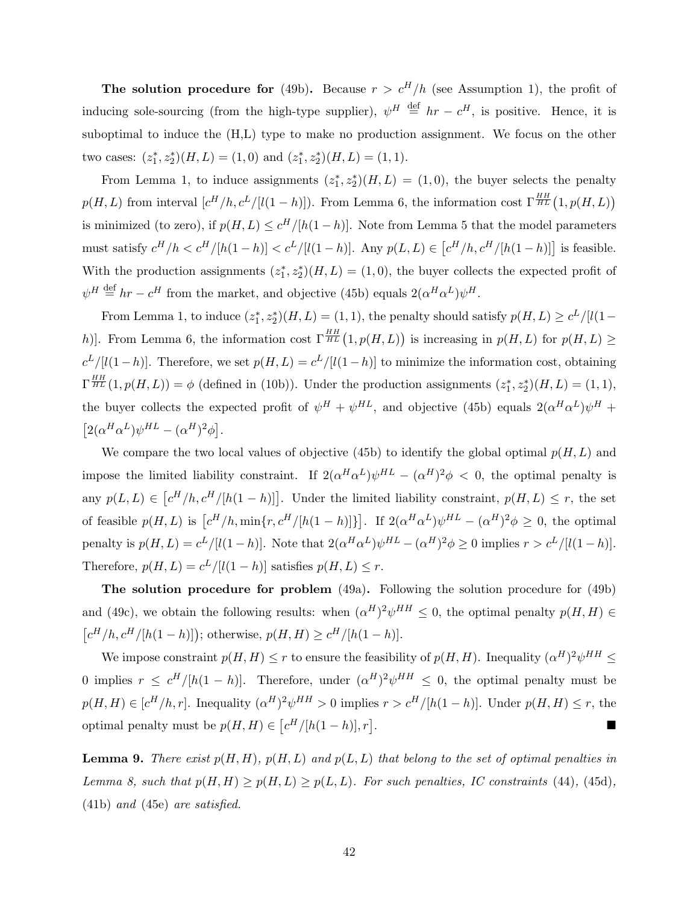The solution procedure for (49b). Because  $r > c^H/h$  (see Assumption 1), the profit of inducing sole-sourcing (from the high-type supplier),  $\psi^H \stackrel{\text{def}}{=} hr - c^H$ , is positive. Hence, it is suboptimal to induce the (H,L) type to make no production assignment. We focus on the other two cases:  $(z_1^*, z_2^*)(H, L) = (1, 0)$  and  $(z_1^*, z_2^*)(H, L) = (1, 1)$ .

From Lemma 1, to induce assignments  $(z_1^*, z_2^*)(H, L) = (1, 0)$ , the buyer selects the penalty  $p(H, L)$  from interval  $[c^H/h, c^L/[l(1-h)]$ . From Lemma 6, the information cost  $\Gamma^{HH}_{HL}(1, p(H, L))$ is minimized (to zero), if  $p(H, L) \leq c^H/[h(1-h)]$ . Note from Lemma 5 that the model parameters must satisfy  $c^H/h < c^H/[h(1-h)] < c^L/[l(1-h)]$ . Any  $p(L,L) \in [c^H/h, c^H/[h(1-h)]]$  is feasible. With the production assignments  $(z_1^*, z_2^*)(H, L) = (1, 0)$ , the buyer collects the expected profit of  $\psi^H \stackrel{\text{def}}{=} hr - c^H$  from the market, and objective (45b) equals  $2(\alpha^H \alpha^L) \psi^H$ .

From Lemma 1, to induce  $(z_1^*, z_2^*)(H, L) = (1, 1)$ , the penalty should satisfy  $p(H, L) \geq c^L / [l(1$ h). From Lemma 6, the information cost  $\Gamma^{\frac{HH}{HL}}(1, p(H, L))$  is increasing in  $p(H, L)$  for  $p(H, L) \ge$  $c^L/[(1-h)]$ . Therefore, we set  $p(H, L) = c^L/[(1-h)]$  to minimize the information cost, obtaining  $\Gamma^{\frac{HH}{HL}}(1,p(H,L)) = \phi$  (defined in (10b)). Under the production assignments  $(z_1^*, z_2^*)(H,L) = (1,1)$ , the buyer collects the expected profit of  $\psi^H + \psi^{HL}$ , and objective (45b) equals  $2(\alpha^H \alpha^L) \psi^H +$  $[2(\alpha^H\alpha^L)\psi^{HL}-(\alpha^H)^2\phi].$ 

We compare the two local values of objective (45b) to identify the global optimal  $p(H, L)$  and impose the limited liability constraint. If  $2(\alpha^H \alpha^L) \psi^{HL} - (\alpha^H)^2 \phi < 0$ , the optimal penalty is any  $p(L,L) \in [c^H/h, c^H/[h(1-h)]]$ . Under the limited liability constraint,  $p(H,L) \leq r$ , the set of feasible  $p(H, L)$  is  $[c^H/h, \min\{r, c^H/[h(1-h)]\}]$ . If  $2(\alpha^H\alpha^L)\psi^{HL} - (\alpha^H)^2\phi \geq 0$ , the optimal penalty is  $p(H, L) = c^L/[(1-h)]$ . Note that  $2(\alpha^H \alpha^L) \psi^{HL} - (\alpha^H)^2 \phi \ge 0$  implies  $r > c^L/[(1-h)]$ . Therefore,  $p(H, L) = c^L / [l(1-h)]$  satisfies  $p(H, L) \leq r$ .

The solution procedure for problem (49a). Following the solution procedure for (49b) and (49c), we obtain the following results: when  $({\alpha}^H)^2 \psi^{HH} \leq 0$ , the optimal penalty  $p(H, H) \in$  $[c^{H}/h, c^{H}/[h(1-h)]]$ ; otherwise,  $p(H, H) \ge c^{H}/[h(1-h)]$ .

We impose constraint  $p(H, H) \leq r$  to ensure the feasibility of  $p(H, H)$ . Inequality  $(\alpha^H)^2 \psi^{HH} \leq$ 0 implies  $r \leq c^H/|h(1-h)|$ . Therefore, under  $(\alpha^H)^2 \psi^{HH} \leq 0$ , the optimal penalty must be  $p(H, H) \in [c^H/h, r]$ . Inequality  $(\alpha^H)^2 \psi^{HH} > 0$  implies  $r > c^H/[h(1-h)]$ . Under  $p(H, H) \leq r$ , the optimal penalty must be  $p(H, H) \in [c^H/[h(1-h)], r]$ .

**Lemma 9.** There exist  $p(H, H)$ ,  $p(H, L)$  and  $p(L, L)$  that belong to the set of optimal penalties in Lemma 8, such that  $p(H, H) \geq p(H, L) \geq p(L, L)$ . For such penalties, IC constraints (44), (45d), (41b) and (45e) are satisfied.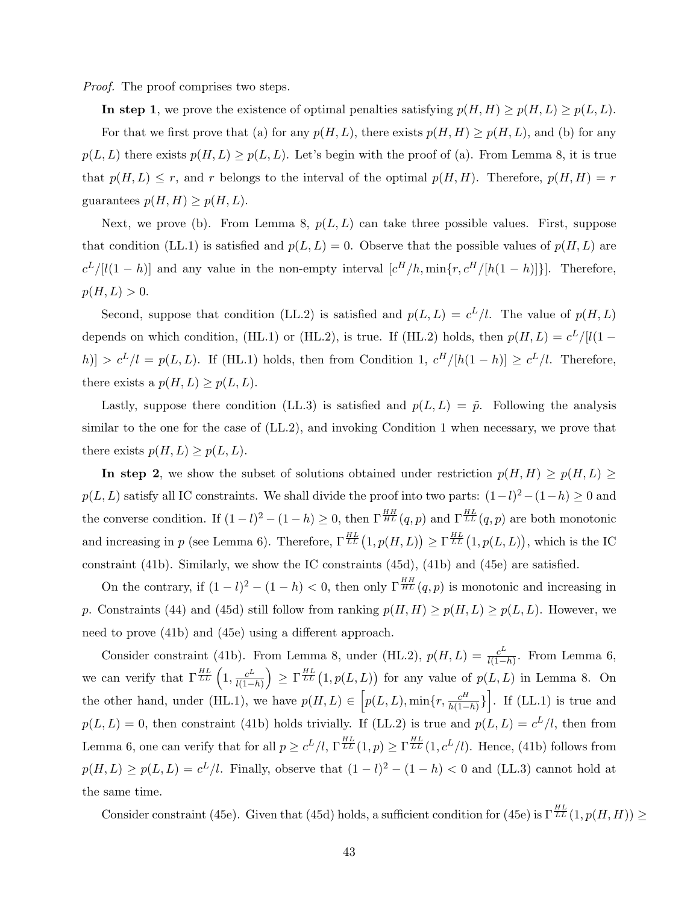Proof. The proof comprises two steps.

In step 1, we prove the existence of optimal penalties satisfying  $p(H, H) \geq p(H, L) \geq p(L, L)$ .

For that we first prove that (a) for any  $p(H, L)$ , there exists  $p(H, H) \geq p(H, L)$ , and (b) for any  $p(L, L)$  there exists  $p(H, L) \geq p(L, L)$ . Let's begin with the proof of (a). From Lemma 8, it is true that  $p(H, L) \leq r$ , and r belongs to the interval of the optimal  $p(H, H)$ . Therefore,  $p(H, H) = r$ guarantees  $p(H, H) \geq p(H, L)$ .

Next, we prove (b). From Lemma 8,  $p(L, L)$  can take three possible values. First, suppose that condition (LL.1) is satisfied and  $p(L, L) = 0$ . Observe that the possible values of  $p(H, L)$  are  $c^L/[l(1-h)]$  and any value in the non-empty interval  $[c^H/h, \min\{r, c^H/[h(1-h)]\}]$ . Therefore,  $p(H, L) > 0.$ 

Second, suppose that condition (LL.2) is satisfied and  $p(L, L) = c^L/l$ . The value of  $p(H, L)$ depends on which condition, (HL.1) or (HL.2), is true. If (HL.2) holds, then  $p(H, L) = c^L/|l(1 |h| > c^L/l = p(L, L)$ . If (HL.1) holds, then from Condition 1,  $c^H/[h(1-h)] \geq c^L/l$ . Therefore, there exists a  $p(H, L) \geq p(L, L)$ .

Lastly, suppose there condition (LL.3) is satisfied and  $p(L, L) = \tilde{p}$ . Following the analysis similar to the one for the case of (LL.2), and invoking Condition 1 when necessary, we prove that there exists  $p(H, L) \geq p(L, L)$ .

In step 2, we show the subset of solutions obtained under restriction  $p(H, H) \geq p(H, L) \geq$  $p(L, L)$  satisfy all IC constraints. We shall divide the proof into two parts:  $(1 - l)^2 - (1 - h) \geq 0$  and the converse condition. If  $(1-l)^2 - (1-h) \ge 0$ , then  $\Gamma^{\frac{HH}{HL}}(q, p)$  and  $\Gamma^{\frac{HL}{LL}}(q, p)$  are both monotonic and increasing in p (see Lemma 6). Therefore,  $\Gamma^{HL}_{LL}(1, p(H, L)) \geq \Gamma^{HL}_{LL}(1, p(L, L))$ , which is the IC constraint (41b). Similarly, we show the IC constraints (45d), (41b) and (45e) are satisfied.

On the contrary, if  $(1 - l)^2 - (1 - h) < 0$ , then only  $\Gamma^{\frac{HH}{HL}}(q, p)$  is monotonic and increasing in p. Constraints (44) and (45d) still follow from ranking  $p(H, H) \geq p(H, L) \geq p(L, L)$ . However, we need to prove (41b) and (45e) using a different approach.

Consider constraint (41b). From Lemma 8, under (HL.2),  $p(H, L) = \frac{c^L}{l(1 - L)}$  $\frac{c^L}{l(1-h)}$ . From Lemma 6, we can verify that  $\Gamma_{LL}^{HL}$   $\left(1, \frac{c^L}{l(1-\epsilon)}\right)$  $\left(\frac{c^L}{l(1-h)}\right) \ge \Gamma^{\frac{HL}{LL}}(1, p(L,L))$  for any value of  $p(L,L)$  in Lemma 8. On the other hand, under (HL.1), we have  $p(H, L) \in [p(L, L), \min\{r, \frac{c^H}{h(1-h)}\}]$ . If (LL.1) is true and  $p(L, L) = 0$ , then constraint (41b) holds trivially. If (LL.2) is true and  $p(L, L) = c<sup>L</sup>/l$ , then from Lemma 6, one can verify that for all  $p \geq c^L/l$ ,  $\Gamma^{\frac{HL}{LL}}_{LL}(1,p) \geq \Gamma^{\frac{HL}{LL}}_{LL}(1,c^L/l)$ . Hence, (41b) follows from  $p(H, L) \geq p(L, L) = c^L/l$ . Finally, observe that  $(1 - l)^2 - (1 - h) < 0$  and (LL.3) cannot hold at the same time.

Consider constraint (45e). Given that (45d) holds, a sufficient condition for (45e) is  $\Gamma^{HL}_{LL}(1, p(H, H)) \geq$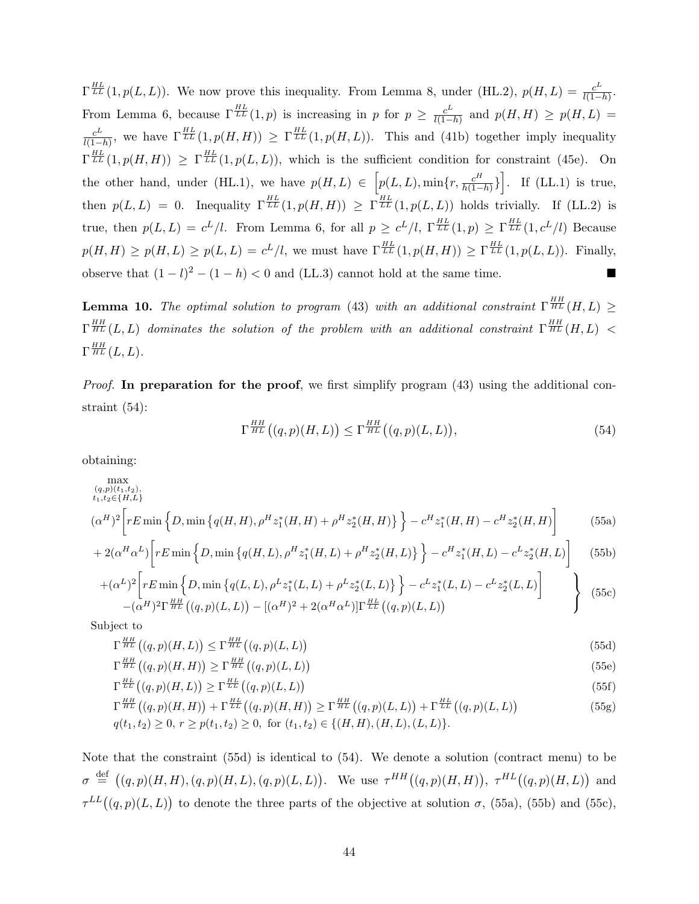$\Gamma_{LL}^{HL}(1,p(L,L))$ . We now prove this inequality. From Lemma 8, under (HL.2),  $p(H,L) = \frac{c^L}{l(1-L)}$  $\frac{c^D}{l(1-h)}$ . From Lemma 6, because  $\Gamma_{LL}^{HL}(1,p)$  is increasing in p for  $p \geq \frac{c^L}{l(1-p)}$  $\frac{c^{\omega}}{l(1-h)}$  and  $p(H, H) \geq p(H, L)$  =  $c^L$  $\frac{c^L}{l(1-h)}$ , we have  $\Gamma^{\frac{HL}{LL}}(1,p(H,H)) \geq \Gamma^{\frac{HL}{LL}}(1,p(H,L))$ . This and (41b) together imply inequality  $\Gamma_{LL}^{HL}(1,p(H,H)) \geq \Gamma_{LL}^{HL}(1,p(L,L))$ , which is the sufficient condition for constraint (45e). On the other hand, under (HL.1), we have  $p(H, L) \in [p(L, L), \min\{r, \frac{c^H}{h(1-h)}\}]$ . If (LL.1) is true, then  $p(L, L) = 0$ . Inequality  $\Gamma^{\frac{HL}{LL}}(1, p(H, H)) \geq \Gamma^{\frac{HL}{LL}}(1, p(L, L))$  holds trivially. If (LL.2) is true, then  $p(L, L) = c^L/l$ . From Lemma 6, for all  $p \ge c^L/l$ ,  $\Gamma_{LL}^{\frac{HL}{LL}}(1,p) \ge \Gamma_{LL}^{\frac{HL}{LL}}(1,c^L/l)$  Because  $p(H, H) \geq p(H, L) \geq p(L, L) = c^L/l$ , we must have  $\Gamma^{\frac{HL}{LL}}(1, p(H, H)) \geq \Gamma^{\frac{HL}{LL}}(1, p(L, L))$ . Finally, observe that  $(1 - l)^2 - (1 - h) < 0$  and (LL.3) cannot hold at the same time. ■

**Lemma 10.** The optimal solution to program (43) with an additional constraint  $\Gamma^{\frac{HH}{HL}}(H,L) \geq$  $\Gamma^{HH}_{HL}(L,L)$  dominates the solution of the problem with an additional constraint  $\Gamma^{HH}_{HL}(H,L)$  <  $\Gamma^{\frac{HH}{HL}}(L,L).$ 

*Proof.* In preparation for the proof, we first simplify program  $(43)$  using the additional constraint (54):

$$
\Gamma^{\frac{HH}{HL}}\big((q,p)(H,L)\big) \le \Gamma^{\frac{HH}{HL}}\big((q,p)(L,L)\big),\tag{54}
$$

obtaining:

$$
\max_{\substack{(q,p)(t_1,t_2),\\t_1,t_2\in\{H,L\}}} (q,p)(t_1,t_2),
$$
\n
$$
(\alpha^H)^2 \left[ rE \min \left\{ D, \min \left\{ q(H,H), \rho^H z_1^*(H,H) + \rho^H z_2^*(H,H) \right\} \right\} - c^H z_1^*(H,H) - c^H z_2^*(H,H) \right\} \right]
$$
\n(55a)

$$
+2(\alpha^H\alpha^L)\left[rE\min\left\{D,\min\left\{q(H,L),\rho^Hz_1^*(H,L)+\rho^Hz_2^*(H,L)\right\}\right\}-c^Hz_1^*(H,L)-c^Lz_2^*(H,L)\right\}\right]
$$
(55b)

$$
+(\alpha^{L})^{2}\left[rE \min\left\{D, \min\left\{q(L, L), \rho^{L} z_{1}^{*}(L, L)+\rho^{L} z_{2}^{*}(L, L)\right\}\right\}-c^{L} z_{1}^{*}(L, L)-c^{L} z_{2}^{*}(L, L)\right]
$$
\n
$$
-(\alpha^{H})^{2}\Gamma^{\frac{HH}{HL}}((q, p)(L, L)) - [(\alpha^{H})^{2} + 2(\alpha^{H}\alpha^{L})]\Gamma^{\frac{HL}{LL}}((q, p)(L, L))
$$
\n
$$
(55c)
$$

Subject to

$$
\Gamma^{\frac{HH}{HL}}\big((q,p)(H,L)\big) \le \Gamma^{\frac{HH}{HL}}\big((q,p)(L,L)\big) \tag{55d}
$$

$$
\Gamma^{\frac{HH}{HL}}\big((q,p)(H,H)\big) \ge \Gamma^{\frac{HH}{HL}}\big((q,p)(L,L)\big) \tag{55e}
$$

$$
\Gamma^{\frac{HL}{LL}}((q,p)(H,L)) \ge \Gamma^{\frac{HL}{LL}}((q,p)(L,L))
$$
\n(55f)

$$
\Gamma^{\frac{HH}{HL}}((q,p)(H,H)) + \Gamma^{\frac{HL}{LL}}((q,p)(H,H)) \ge \Gamma^{\frac{HH}{HL}}((q,p)(L,L)) + \Gamma^{\frac{HL}{LL}}((q,p)(L,L))
$$
\n
$$
q(t_1, t_2) \ge 0, r \ge p(t_1, t_2) \ge 0, \text{ for } (t_1, t_2) \in \{(H, H), (H, L), (L, L)\}.
$$
\n(55g)

Note that the constraint (55d) is identical to (54). We denote a solution (contract menu) to be  $\sigma \stackrel{\text{def}}{=} ((q,p)(H,H),(q,p)(H,L),(q,p)(L,L)).$  We use  $\tau^{HH}((q,p)(H,H)), \tau^{HL}((q,p)(H,L))$  and  $\tau^{LL}((q,p)(L,L))$  to denote the three parts of the objective at solution  $\sigma$ , (55a), (55b) and (55c),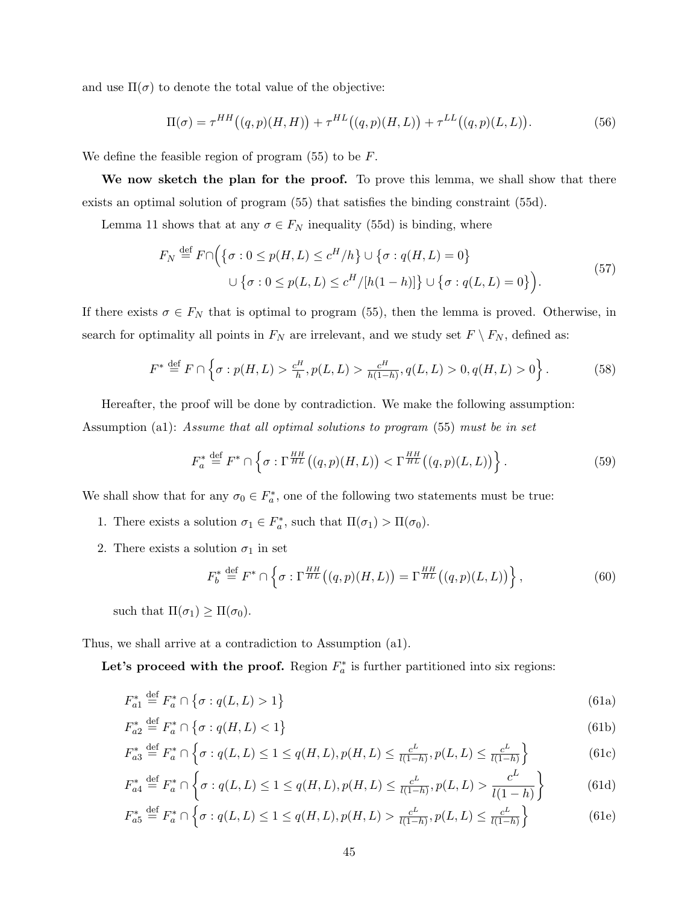and use  $\Pi(\sigma)$  to denote the total value of the objective:

$$
\Pi(\sigma) = \tau^{HH}((q,p)(H,H)) + \tau^{HL}((q,p)(H,L)) + \tau^{LL}((q,p)(L,L)).
$$
\n(56)

We define the feasible region of program  $(55)$  to be  $F$ .

We now sketch the plan for the proof. To prove this lemma, we shall show that there exists an optimal solution of program (55) that satisfies the binding constraint (55d).

Lemma 11 shows that at any  $\sigma \in F_N$  inequality (55d) is binding, where

$$
F_N \stackrel{\text{def}}{=} F \cap \Big( \{ \sigma : 0 \le p(H, L) \le c^H/h \} \cup \{ \sigma : q(H, L) = 0 \}
$$
  

$$
\cup \{ \sigma : 0 \le p(L, L) \le c^H / [h(1 - h)] \} \cup \{ \sigma : q(L, L) = 0 \} \Big). \tag{57}
$$

If there exists  $\sigma \in F_N$  that is optimal to program (55), then the lemma is proved. Otherwise, in search for optimality all points in  $F_N$  are irrelevant, and we study set  $F \setminus F_N$ , defined as:

$$
F^* \stackrel{\text{def}}{=} F \cap \left\{ \sigma : p(H, L) > \frac{c^H}{h}, p(L, L) > \frac{c^H}{h(1 - h)}, q(L, L) > 0, q(H, L) > 0 \right\}.
$$
 (58)

Hereafter, the proof will be done by contradiction. We make the following assumption: Assumption (a1): Assume that all optimal solutions to program (55) must be in set

$$
F_a^* \stackrel{\text{def}}{=} F^* \cap \left\{ \sigma : \Gamma^{\frac{HH}{HL}}\big((q,p)(H,L)\big) < \Gamma^{\frac{HH}{HL}}\big((q,p)(L,L)\big) \right\} . \tag{59}
$$

We shall show that for any  $\sigma_0 \in F_a^*$ , one of the following two statements must be true:

- 1. There exists a solution  $\sigma_1 \in F_a^*$ , such that  $\Pi(\sigma_1) > \Pi(\sigma_0)$ .
- 2. There exists a solution  $\sigma_1$  in set

$$
F_b^* \stackrel{\text{def}}{=} F^* \cap \left\{ \sigma : \Gamma^{\frac{HH}{HL}}((q,p)(H,L)) = \Gamma^{\frac{HH}{HL}}((q,p)(L,L)) \right\},\tag{60}
$$

such that  $\Pi(\sigma_1) \geq \Pi(\sigma_0)$ .

Thus, we shall arrive at a contradiction to Assumption (a1).

Let's proceed with the proof. Region  $F_a^*$  is further partitioned into six regions:

$$
F_{a1}^* \stackrel{\text{def}}{=} F_a^* \cap \{ \sigma : q(L, L) > 1 \}
$$
\n
$$
(61a)
$$

$$
F_{a2}^* \stackrel{\text{def}}{=} F_a^* \cap \{ \sigma : q(H, L) < 1 \} \tag{61b}
$$

$$
F_{a3}^* \stackrel{\text{def}}{=} F_a^* \cap \left\{ \sigma : q(L, L) \le 1 \le q(H, L), p(H, L) \le \frac{c^L}{l(1-h)}, p(L, L) \le \frac{c^L}{l(1-h)} \right\} \tag{61c}
$$

$$
F_{a4}^* \stackrel{\text{def}}{=} F_a^* \cap \left\{ \sigma : q(L, L) \le 1 \le q(H, L), p(H, L) \le \frac{c^L}{l(1 - h)}, p(L, L) > \frac{c^L}{l(1 - h)} \right\} \tag{61d}
$$

$$
F_{a5}^* \stackrel{\text{def}}{=} F_a^* \cap \left\{ \sigma : q(L, L) \le 1 \le q(H, L), p(H, L) > \frac{c^L}{l(1 - h)}, p(L, L) \le \frac{c^L}{l(1 - h)} \right\} \tag{61e}
$$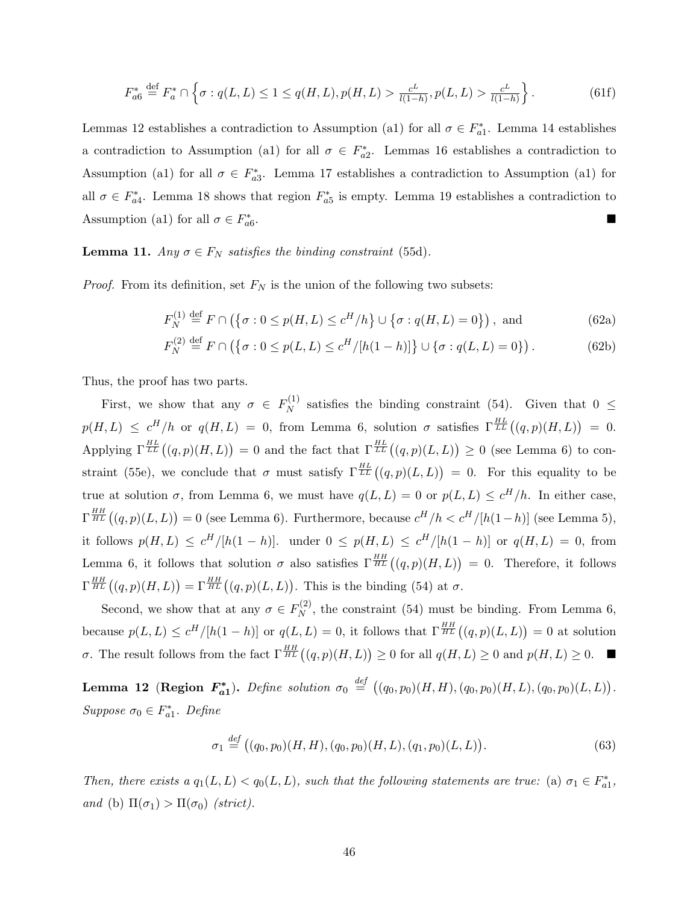$$
F_{a6}^* \stackrel{\text{def}}{=} F_a^* \cap \left\{ \sigma : q(L, L) \le 1 \le q(H, L), p(H, L) > \frac{c^L}{l(1 - h)}, p(L, L) > \frac{c^L}{l(1 - h)} \right\}.
$$
 (61f)

Lemmas 12 establishes a contradiction to Assumption (a1) for all  $\sigma \in F_{a1}^*$ . Lemma 14 establishes a contradiction to Assumption (a1) for all  $\sigma \in F_{a2}^*$ . Lemmas 16 establishes a contradiction to Assumption (a1) for all  $\sigma \in F_{a3}^*$ . Lemma 17 establishes a contradiction to Assumption (a1) for all  $\sigma \in F_{a4}^*$ . Lemma 18 shows that region  $F_{a5}^*$  is empty. Lemma 19 establishes a contradiction to Assumption (a1) for all  $\sigma \in F_{a6}^*$ .

#### **Lemma 11.** Any  $\sigma \in F_N$  satisfies the binding constraint (55d).

*Proof.* From its definition, set  $F_N$  is the union of the following two subsets:

$$
F_N^{(1)} \stackrel{\text{def}}{=} F \cap \left( \{ \sigma : 0 \le p(H, L) \le c^H / h \} \cup \{ \sigma : q(H, L) = 0 \} \right), \text{ and} \tag{62a}
$$

$$
F_N^{(2)} \stackrel{\text{def}}{=} F \cap (\{\sigma : 0 \le p(L, L) \le c^H/[h(1-h)]\} \cup \{\sigma : q(L, L) = 0\}).
$$
 (62b)

Thus, the proof has two parts.

First, we show that any  $\sigma \in F_N^{(1)}$  $N^{(1)}$  satisfies the binding constraint (54). Given that  $0 \leq$  $p(H, L) \leq c^H/h$  or  $q(H, L) = 0$ , from Lemma 6, solution  $\sigma$  satisfies  $\Gamma_{LL}^{\frac{HL}{LL}}((q, p)(H, L)) = 0$ . Applying  $\Gamma^{\frac{HL}{LL}}((q,p)(H,L))=0$  and the fact that  $\Gamma^{\frac{HL}{LL}}((q,p)(L,L))\geq 0$  (see Lemma 6) to constraint (55e), we conclude that  $\sigma$  must satisfy  $\Gamma^{HL}_{LL}((q,p)(L,L)) = 0$ . For this equality to be true at solution  $\sigma$ , from Lemma 6, we must have  $q(L, L) = 0$  or  $p(L, L) \leq c^H/h$ . In either case,  $\Gamma^{\frac{HH}{HL}}((q,p)(L,L))=0$  (see Lemma 6). Furthermore, because  $c^H/h < c^H/[h(1-h)]$  (see Lemma 5), it follows  $p(H, L) \leq c^H/[h(1-h)]$ . under  $0 \leq p(H, L) \leq c^H/[h(1-h)]$  or  $q(H, L) = 0$ , from Lemma 6, it follows that solution  $\sigma$  also satisfies  $\Gamma^{HH}_{HL}((q,p)(H,L)) = 0$ . Therefore, it follows  $\Gamma^{\frac{HH}{HL}}((q,p)(H,L)) = \Gamma^{\frac{HH}{HL}}((q,p)(L,L)).$  This is the binding (54) at  $\sigma$ .

Second, we show that at any  $\sigma \in F_N^{(2)}$  $N^{(2)}$ , the constraint (54) must be binding. From Lemma 6, because  $p(L,L) \leq c^H/[h(1-h)]$  or  $q(L,L) = 0$ , it follows that  $\Gamma^{\frac{HH}{HL}}((q,p)(L,L)) = 0$  at solution σ. The result follows from the fact  $\Gamma^{\frac{HH}{HL}}((q,p)(H,L)) \geq 0$  for all  $q(H,L) \geq 0$  and  $p(H,L) \geq 0$ .

Lemma 12 (Region  $F_{a1}^*$ ). Define solution  $\sigma_0 \stackrel{def}{=} ((q_0, p_0)(H, H), (q_0, p_0)(H, L), (q_0, p_0)(L, L)).$ Suppose  $\sigma_0 \in F_{a1}^*$ . Define

$$
\sigma_1 \stackrel{def}{=} ((q_0, p_0)(H, H), (q_0, p_0)(H, L), (q_1, p_0)(L, L)).
$$
\n(63)

Then, there exists a  $q_1(L,L) < q_0(L,L)$ , such that the following statements are true: (a)  $\sigma_1 \in F_{a1}^*$ , and (b)  $\Pi(\sigma_1) > \Pi(\sigma_0)$  (strict).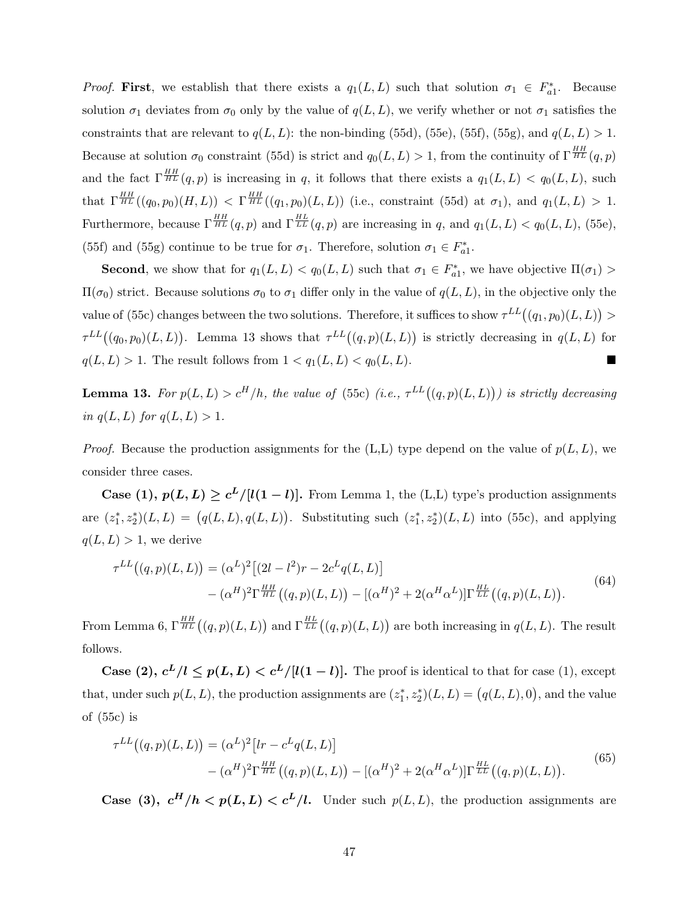*Proof.* First, we establish that there exists a  $q_1(L, L)$  such that solution  $\sigma_1 \in F_{a_1}^*$ . Because solution  $\sigma_1$  deviates from  $\sigma_0$  only by the value of  $q(L, L)$ , we verify whether or not  $\sigma_1$  satisfies the constraints that are relevant to  $q(L, L)$ : the non-binding (55d), (55e), (55f), (55g), and  $q(L, L) > 1$ . Because at solution  $\sigma_0$  constraint (55d) is strict and  $q_0(L, L) > 1$ , from the continuity of  $\Gamma^{\frac{HH}{HL}}(q, p)$ and the fact  $\Gamma^{\frac{HH}{HL}}(q,p)$  is increasing in q, it follows that there exists a  $q_1(L,L) < q_0(L,L)$ , such that  $\Gamma^{\frac{HH}{HL}}((q_0, p_0)(H, L)) < \Gamma^{\frac{HH}{HL}}((q_1, p_0)(L, L))$  (i.e., constraint (55d) at  $\sigma_1$ ), and  $q_1(L, L) > 1$ . Furthermore, because  $\Gamma^{\frac{HH}{HL}}(q,p)$  and  $\Gamma^{\frac{HL}{LL}}(q,p)$  are increasing in q, and  $q_1(L,L) < q_0(L,L)$ , (55e), (55f) and (55g) continue to be true for  $\sigma_1$ . Therefore, solution  $\sigma_1 \in F_{a1}^*$ .

**Second**, we show that for  $q_1(L, L) < q_0(L, L)$  such that  $\sigma_1 \in F_{a_1}^*$ , we have objective  $\Pi(\sigma_1)$  $\Pi(\sigma_0)$  strict. Because solutions  $\sigma_0$  to  $\sigma_1$  differ only in the value of  $q(L, L)$ , in the objective only the value of (55c) changes between the two solutions. Therefore, it suffices to show  $\tau^{LL}((q_1, p_0)(L, L)) >$  $\tau^{LL}((q_0, p_0)(L, L))$ . Lemma 13 shows that  $\tau^{LL}((q, p)(L, L))$  is strictly decreasing in  $q(L, L)$  for  $q(L, L) > 1$ . The result follows from  $1 < q_1(L, L) < q_0(L, L)$ .

**Lemma 13.** For  $p(L,L) > c^H/h$ , the value of (55c) (i.e.,  $\tau^{LL}((q,p)(L,L))$ ) is strictly decreasing in  $q(L, L)$  for  $q(L, L) > 1$ .

*Proof.* Because the production assignments for the  $(L,L)$  type depend on the value of  $p(L, L)$ , we consider three cases.

**Case** (1),  $p(L, L) \geq c^L/[l(1 - l)]$ . From Lemma 1, the (L,L) type's production assignments are  $(z_1^*, z_2^*)(L, L) = (q(L, L), q(L, L))$ . Substituting such  $(z_1^*, z_2^*)(L, L)$  into (55c), and applying  $q(L, L) > 1$ , we derive

$$
\tau^{LL}((q,p)(L,L)) = (\alpha^L)^2 [(2l - l^2)r - 2c^L q(L,L)]
$$
  
 
$$
- (\alpha^H)^2 \Gamma^{\frac{HH}{HL}}((q,p)(L,L)) - [(\alpha^H)^2 + 2(\alpha^H \alpha^L)] \Gamma^{\frac{HL}{LL}}((q,p)(L,L)).
$$
 (64)

From Lemma 6,  $\Gamma^{HH}_{HL}((q,p)(L,L))$  and  $\Gamma^{HL}_{LL}((q,p)(L,L))$  are both increasing in  $q(L,L)$ . The result follows.

**Case** (2),  $c^L/l \leq p(L, L) < c^L/[l(1 - l)]$ . The proof is identical to that for case (1), except that, under such  $p(L, L)$ , the production assignments are  $(z_1^*, z_2^*)(L, L) = (q(L, L), 0)$ , and the value of (55c) is

$$
\tau^{LL}((q,p)(L,L)) = (\alpha^L)^2 [lr - c^L q(L,L)] - (\alpha^H)^2 \Gamma^{\frac{HH}{HL}}((q,p)(L,L)) - [(\alpha^H)^2 + 2(\alpha^H \alpha^L)] \Gamma^{\frac{HL}{LL}}((q,p)(L,L)).
$$
\n(65)

**Case** (3),  $c^H/h < p(L, L) < c^L/l$ . Under such  $p(L, L)$ , the production assignments are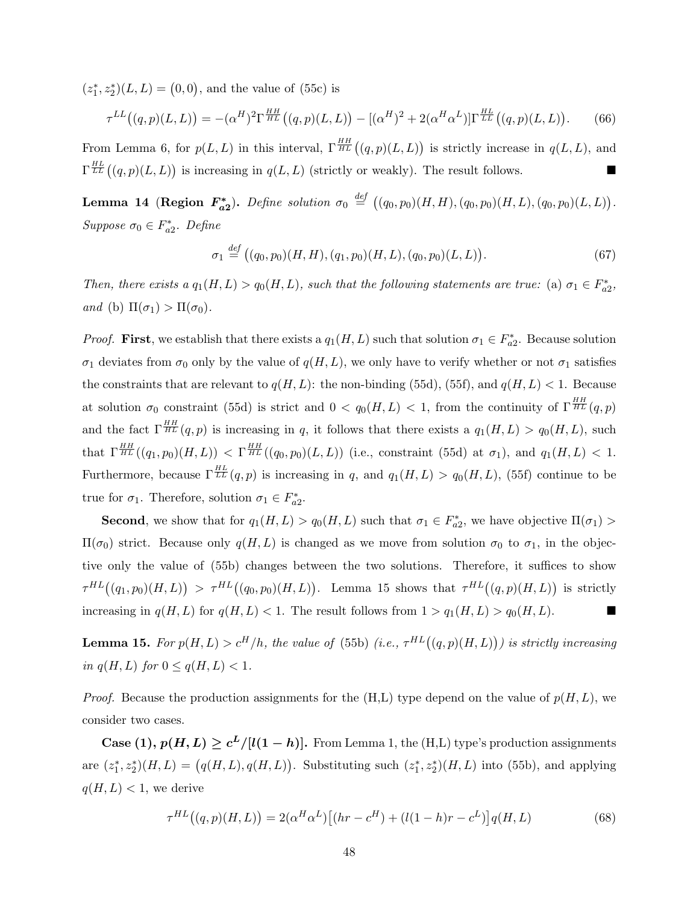$(z_1^*, z_2^*)(L, L) = (0, 0)$ , and the value of (55c) is

$$
\tau^{LL}((q,p)(L,L)) = -(\alpha^H)^2 \Gamma^{\frac{HH}{HL}}((q,p)(L,L)) - [(\alpha^H)^2 + 2(\alpha^H \alpha^L)] \Gamma^{\frac{HL}{LL}}((q,p)(L,L)).
$$
 (66)

From Lemma 6, for  $p(L, L)$  in this interval,  $\Gamma^{HH}_{HL}((q, p)(L, L))$  is strictly increase in  $q(L, L)$ , and  $\Gamma^{\frac{HL}{LL}}((q,p)(L,L))$  is increasing in  $q(L,L)$  (strictly or weakly). The result follows.

Lemma 14 (Region  $F_{a2}^*$ ). Define solution  $\sigma_0 \stackrel{def}{=} ((q_0, p_0)(H, H), (q_0, p_0)(H, L), (q_0, p_0)(L, L)).$ Suppose  $\sigma_0 \in F_{a2}^*$ . Define

$$
\sigma_1 \stackrel{def}{=} ((q_0, p_0)(H, H), (q_1, p_0)(H, L), (q_0, p_0)(L, L)).
$$
\n(67)

Then, there exists a  $q_1(H, L) > q_0(H, L)$ , such that the following statements are true: (a)  $\sigma_1 \in F_{a2}^*$ , and (b)  $\Pi(\sigma_1) > \Pi(\sigma_0)$ .

*Proof.* First, we establish that there exists a  $q_1(H, L)$  such that solution  $\sigma_1 \in F_{a2}^*$ . Because solution  $\sigma_1$  deviates from  $\sigma_0$  only by the value of  $q(H, L)$ , we only have to verify whether or not  $\sigma_1$  satisfies the constraints that are relevant to  $q(H, L)$ : the non-binding (55d), (55f), and  $q(H, L) < 1$ . Because at solution  $\sigma_0$  constraint (55d) is strict and  $0 < q_0(H,L) < 1$ , from the continuity of  $\Gamma^{\frac{HH}{HL}}(q,p)$ and the fact  $\Gamma^{\frac{HH}{HL}}(q, p)$  is increasing in q, it follows that there exists a  $q_1(H, L) > q_0(H, L)$ , such  $\text{that } \Gamma^{\frac{HH}{HL}}((q_1, p_0)(H, L)) < \Gamma^{\frac{HH}{HL}}((q_0, p_0)(L, L)) \text{ (i.e., constraint (55d) at } \sigma_1), \text{ and } q_1(H, L) < 1.$ Furthermore, because  $\Gamma^{HL}_{LL}(q, p)$  is increasing in q, and  $q_1(H, L) > q_0(H, L)$ , (55f) continue to be true for  $\sigma_1$ . Therefore, solution  $\sigma_1 \in F_{a2}^*$ .

**Second**, we show that for  $q_1(H, L) > q_0(H, L)$  such that  $\sigma_1 \in F_{a2}^*$ , we have objective  $\Pi(\sigma_1)$  $\Pi(\sigma_0)$  strict. Because only  $q(H, L)$  is changed as we move from solution  $\sigma_0$  to  $\sigma_1$ , in the objective only the value of (55b) changes between the two solutions. Therefore, it suffices to show  $\tau^{HL}((q_1, p_0)(H, L)) > \tau^{HL}((q_0, p_0)(H, L))$ . Lemma 15 shows that  $\tau^{HL}((q, p)(H, L))$  is strictly increasing in  $q(H, L)$  for  $q(H, L) < 1$ . The result follows from  $1 > q_1(H, L) > q_0(H, L)$ .

**Lemma 15.** For  $p(H, L) > c^H/h$ , the value of (55b) (i.e.,  $\tau^{HL}((q, p)(H, L))$ ) is strictly increasing in  $q(H, L)$  for  $0 \leq q(H, L) < 1$ .

*Proof.* Because the production assignments for the  $(H, L)$  type depend on the value of  $p(H, L)$ , we consider two cases.

**Case** (1),  $p(H, L) \geq c^L/[l(1-h)]$ . From Lemma 1, the (H,L) type's production assignments are  $(z_1^*, z_2^*)(H, L) = (q(H, L), q(H, L))$ . Substituting such  $(z_1^*, z_2^*)(H, L)$  into (55b), and applying  $q(H, L) < 1$ , we derive

$$
\tau^{HL}((q,p)(H,L)) = 2(\alpha^H \alpha^L) [(hr - c^H) + (l(1-h)r - c^L)] q(H,L)
$$
\n(68)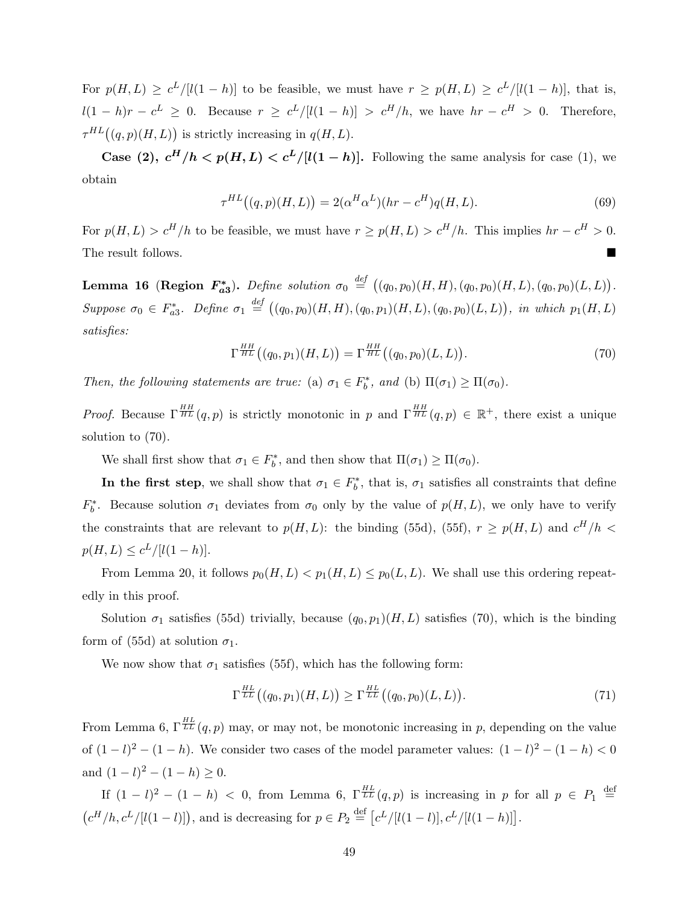For  $p(H, L) \geq c^L/[(1-h)]$  to be feasible, we must have  $r \geq p(H, L) \geq c^L/[(1-h)]$ , that is,  $l(1-h)r - c^L \geq 0$ . Because  $r \geq c^L/|l(1-h)| > c^H/h$ , we have  $hr - c^H > 0$ . Therefore,  $\tau^{HL}((q,p)(H,L))$  is strictly increasing in  $q(H,L)$ .

Case (2),  $c^H/h \langle p(H, L) \rangle c^L/[l(1-h)]$ . Following the same analysis for case (1), we obtain

$$
\tau^{HL}((q,p)(H,L)) = 2(\alpha^H \alpha^L)(hr - c^H)q(H,L). \tag{69}
$$

For  $p(H, L) > c^H/h$  to be feasible, we must have  $r \ge p(H, L) > c^H/h$ . This implies  $hr - c^H > 0$ . The result follows.

Lemma 16 (Region  $F_{a3}^*$ ). Define solution  $\sigma_0 \stackrel{def}{=} ((q_0, p_0)(H, H), (q_0, p_0)(H, L), (q_0, p_0)(L, L)).$ Suppose  $\sigma_0 \in F_{a3}^*$ . Define  $\sigma_1 \stackrel{def}{=} ((q_0, p_0)(H, H), (q_0, p_1)(H, L), (q_0, p_0)(L, L)),$  in which  $p_1(H, L)$ satisfies:

$$
\Gamma^{\frac{HH}{HL}}\big((q_0, p_1)(H, L)\big) = \Gamma^{\frac{HH}{HL}}\big((q_0, p_0)(L, L)\big). \tag{70}
$$

Then, the following statements are true: (a)  $\sigma_1 \in F_b^*$ , and (b)  $\Pi(\sigma_1) \geq \Pi(\sigma_0)$ .

*Proof.* Because  $\Gamma^{\frac{HH}{HL}}(q,p)$  is strictly monotonic in p and  $\Gamma^{\frac{HH}{HL}}(q,p) \in \mathbb{R}^+$ , there exist a unique solution to (70).

We shall first show that  $\sigma_1 \in F_b^*$ , and then show that  $\Pi(\sigma_1) \ge \Pi(\sigma_0)$ .

In the first step, we shall show that  $\sigma_1 \in F_b^*$ , that is,  $\sigma_1$  satisfies all constraints that define  $F_b^*$ . Because solution  $\sigma_1$  deviates from  $\sigma_0$  only by the value of  $p(H, L)$ , we only have to verify the constraints that are relevant to  $p(H, L)$ : the binding (55d), (55f),  $r \geq p(H, L)$  and  $c^H/h <$  $p(H, L) \leq c^{L}/[l(1-h)].$ 

From Lemma 20, it follows  $p_0(H, L) < p_1(H, L) \leq p_0(L, L)$ . We shall use this ordering repeatedly in this proof.

Solution  $\sigma_1$  satisfies (55d) trivially, because  $(q_0, p_1)(H, L)$  satisfies (70), which is the binding form of (55d) at solution  $\sigma_1$ .

We now show that  $\sigma_1$  satisfies (55f), which has the following form:

$$
\Gamma^{\frac{HL}{LL}}\big((q_0, p_1)(H, L)\big) \ge \Gamma^{\frac{HL}{LL}}\big((q_0, p_0)(L, L)\big). \tag{71}
$$

From Lemma 6,  $\Gamma^{HL}_{LL}(q,p)$  may, or may not, be monotonic increasing in p, depending on the value of  $(1 - l)^2 - (1 - h)$ . We consider two cases of the model parameter values:  $(1 - l)^2 - (1 - h) < 0$ and  $(1-l)^2 - (1-h) \geq 0$ .

If  $(1 - l)^2 - (1 - h) < 0$ , from Lemma 6,  $\Gamma^{\frac{HL}{LL}}(q, p)$  is increasing in p for all  $p \in P_1 \stackrel{\text{def}}{=}$  $(c^H/h, c^L/[l(1-l)]),$  and is decreasing for  $p \in P_2 \stackrel{\text{def}}{=} [c^L/[l(1-l)], c^L/[l(1-h)]].$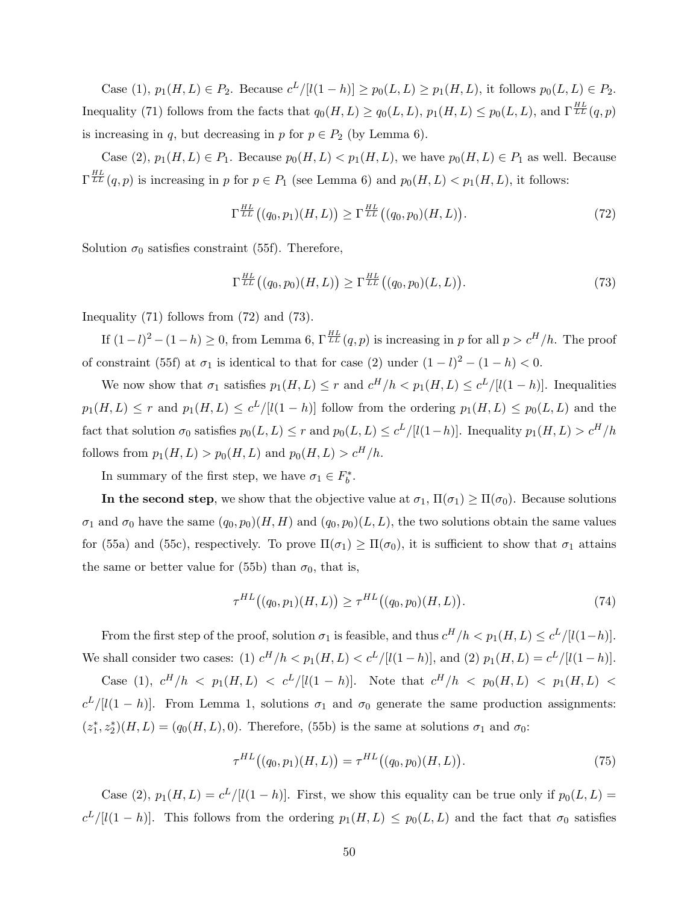Case (1),  $p_1(H, L) \in P_2$ . Because  $c^L / [l(1-h)] \geq p_0(L, L) \geq p_1(H, L)$ , it follows  $p_0(L, L) \in P_2$ . Inequality (71) follows from the facts that  $q_0(H,L) \ge q_0(L,L)$ ,  $p_1(H,L) \le p_0(L,L)$ , and  $\Gamma^{\frac{HL}{LL}}(q,p)$ is increasing in q, but decreasing in p for  $p \in P_2$  (by Lemma 6).

Case (2),  $p_1(H, L) \in P_1$ . Because  $p_0(H, L) < p_1(H, L)$ , we have  $p_0(H, L) \in P_1$  as well. Because  $\Gamma^{\frac{HL}{LL}}(q,p)$  is increasing in p for  $p \in P_1$  (see Lemma 6) and  $p_0(H,L) < p_1(H,L)$ , it follows:

$$
\Gamma^{\frac{HL}{LL}}\big((q_0, p_1)(H, L)\big) \ge \Gamma^{\frac{HL}{LL}}\big((q_0, p_0)(H, L)\big). \tag{72}
$$

Solution  $\sigma_0$  satisfies constraint (55f). Therefore,

$$
\Gamma^{\frac{HL}{LL}}\big((q_0, p_0)(H, L)\big) \ge \Gamma^{\frac{HL}{LL}}\big((q_0, p_0)(L, L)\big). \tag{73}
$$

Inequality (71) follows from (72) and (73).

If  $(1-l)^2 - (1-h) \geq 0$ , from Lemma 6,  $\Gamma^{\frac{HL}{LL}}(q, p)$  is increasing in p for all  $p > c^H/h$ . The proof of constraint (55f) at  $\sigma_1$  is identical to that for case (2) under  $(1 - l)^2 - (1 - h) < 0$ .

We now show that  $\sigma_1$  satisfies  $p_1(H, L) \leq r$  and  $c^H/h < p_1(H, L) \leq c^L/[l(1-h)]$ . Inequalities  $p_1(H, L) \le r$  and  $p_1(H, L) \le c^L/[l(1-h)]$  follow from the ordering  $p_1(H, L) \le p_0(L, L)$  and the fact that solution  $\sigma_0$  satisfies  $p_0(L, L) \le r$  and  $p_0(L, L) \le c^L/[l(1-h)]$ . Inequality  $p_1(H, L) > c^H/h$ follows from  $p_1(H, L) > p_0(H, L)$  and  $p_0(H, L) > c^H/h$ .

In summary of the first step, we have  $\sigma_1 \in F_b^*$ .

In the second step, we show that the objective value at  $\sigma_1$ ,  $\Pi(\sigma_1) \geq \Pi(\sigma_0)$ . Because solutions  $\sigma_1$  and  $\sigma_0$  have the same  $(q_0, p_0)(H, H)$  and  $(q_0, p_0)(L, L)$ , the two solutions obtain the same values for (55a) and (55c), respectively. To prove  $\Pi(\sigma_1) \geq \Pi(\sigma_0)$ , it is sufficient to show that  $\sigma_1$  attains the same or better value for (55b) than  $\sigma_0$ , that is,

$$
\tau^{HL}((q_0, p_1)(H, L)) \geq \tau^{HL}((q_0, p_0)(H, L)).
$$
\n(74)

From the first step of the proof, solution  $\sigma_1$  is feasible, and thus  $c^H/h < p_1(H, L) \leq c^L/[l(1-h)].$ We shall consider two cases: (1)  $c^H/h < p_1(H, L) < c^L/[l(1-h)]$ , and (2)  $p_1(H, L) = c^L/[l(1-h)]$ .

Case (1),  $c^H/h$  <  $p_1(H,L)$  <  $c^L/[l(1-h)]$ . Note that  $c^H/h$  <  $p_0(H,L)$  <  $p_1(H,L)$  <  $c^L/[l(1-h)]$ . From Lemma 1, solutions  $\sigma_1$  and  $\sigma_0$  generate the same production assignments:  $(z_1^*, z_2^*)(H, L) = (q_0(H, L), 0)$ . Therefore, (55b) is the same at solutions  $\sigma_1$  and  $\sigma_0$ :

$$
\tau^{HL}((q_0, p_1)(H, L)) = \tau^{HL}((q_0, p_0)(H, L)).
$$
\n(75)

Case (2),  $p_1(H, L) = c^L/[l(1-h)]$ . First, we show this equality can be true only if  $p_0(L, L)$  $c^L/[l(1-h)]$ . This follows from the ordering  $p_1(H,L) \leq p_0(L,L)$  and the fact that  $\sigma_0$  satisfies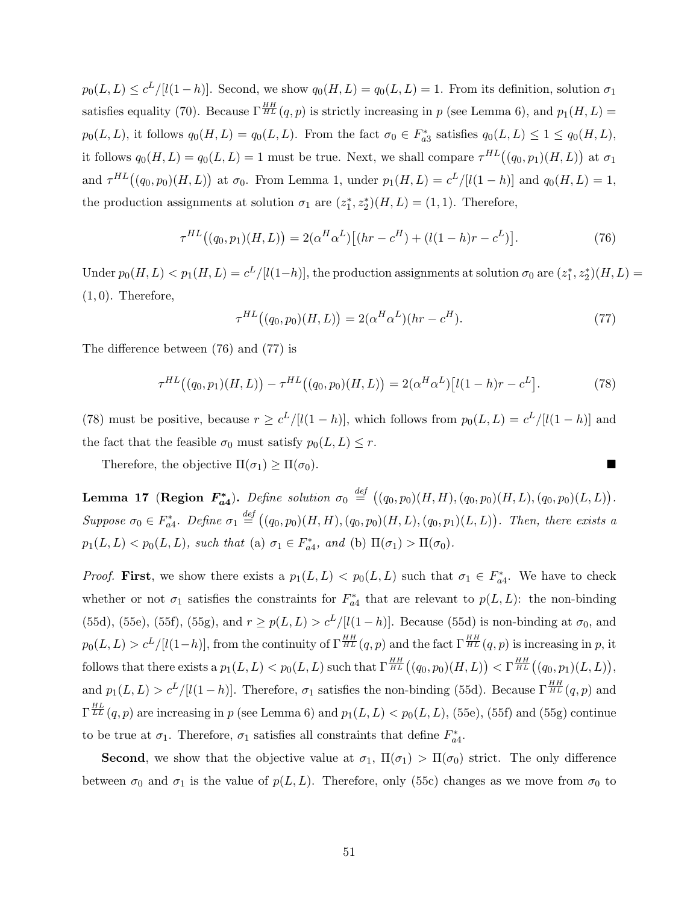$p_0(L, L) \leq c^L/[(1-h)]$ . Second, we show  $q_0(H, L) = q_0(L, L) = 1$ . From its definition, solution  $\sigma_1$ satisfies equality (70). Because  $\Gamma^{\frac{HH}{HL}}(q,p)$  is strictly increasing in p (see Lemma 6), and  $p_1(H,L)$  =  $p_0(L, L)$ , it follows  $q_0(H, L) = q_0(L, L)$ . From the fact  $\sigma_0 \in F_{a3}^*$  satisfies  $q_0(L, L) \leq 1 \leq q_0(H, L)$ , it follows  $q_0(H, L) = q_0(L, L) = 1$  must be true. Next, we shall compare  $\tau^{HL}((q_0, p_1)(H, L))$  at  $\sigma_1$ and  $\tau^{HL}((q_0, p_0)(H, L))$  at  $\sigma_0$ . From Lemma 1, under  $p_1(H, L) = c^L/[l(1-h)]$  and  $q_0(H, L) = 1$ , the production assignments at solution  $\sigma_1$  are  $(z_1^*, z_2^*)(H, L) = (1, 1)$ . Therefore,

$$
\tau^{HL}((q_0, p_1)(H, L)) = 2(\alpha^H \alpha^L) [(hr - c^H) + (l(1 - h)r - c^L)].
$$
\n(76)

Under  $p_0(H, L) < p_1(H, L) = c^L/[l(1-h)]$ , the production assignments at solution  $\sigma_0$  are  $(z_1^*, z_2^*)(H, L) =$  $(1, 0)$ . Therefore,

$$
\tau^{HL}((q_0, p_0)(H, L)) = 2(\alpha^H \alpha^L)(hr - c^H). \tag{77}
$$

The difference between (76) and (77) is

$$
\tau^{HL}((q_0, p_1)(H, L)) - \tau^{HL}((q_0, p_0)(H, L)) = 2(\alpha^H \alpha^L) [l(1 - h)r - c^L]. \tag{78}
$$

(78) must be positive, because  $r \geq c^L/[l(1-h)]$ , which follows from  $p_0(L,L) = c^L/[l(1-h)]$  and the fact that the feasible  $\sigma_0$  must satisfy  $p_0(L, L) \leq r$ .

Therefore, the objective  $\Pi(\sigma_1) \geq \Pi(\sigma_0)$ .

Lemma 17 (Region  $F_{a4}^*$ ). Define solution  $\sigma_0 \stackrel{def}{=} ((q_0, p_0)(H, H), (q_0, p_0)(H, L), (q_0, p_0)(L, L))$ . Suppose  $\sigma_0 \in F_{a4}^*$ . Define  $\sigma_1 \stackrel{def}{=} ((q_0, p_0)(H, H), (q_0, p_0)(H, L), (q_0, p_1)(L, L))$ . Then, there exists a  $p_1(L, L) < p_0(L, L)$ , such that (a)  $\sigma_1 \in F_{a4}^*$ , and (b)  $\Pi(\sigma_1) > \Pi(\sigma_0)$ .

*Proof.* First, we show there exists a  $p_1(L, L) < p_0(L, L)$  such that  $\sigma_1 \in F_{a4}^*$ . We have to check whether or not  $\sigma_1$  satisfies the constraints for  $F_{a4}^*$  that are relevant to  $p(L,L)$ : the non-binding (55d), (55e), (55f), (55g), and  $r \ge p(L, L) > c^L/[(1-h)]$ . Because (55d) is non-binding at  $\sigma_0$ , and  $p_0(L, L) > c^L/[l(1-h)]$ , from the continuity of  $\Gamma^{\frac{HH}{HL}}(q, p)$  and the fact  $\Gamma^{\frac{HH}{HL}}(q, p)$  is increasing in p, it  $\text{follows that there exists a } p_1(L,L) < p_0(L,L) \text{ such that } \Gamma^{\frac{HH}{HL}}\big((q_0,p_0)(H,L)\big) < \Gamma^{\frac{HH}{HL}}\big((q_0,p_1)(L,L)\big),$ and  $p_1(L, L) > c^L/[l(1-h)]$ . Therefore,  $\sigma_1$  satisfies the non-binding (55d). Because  $\Gamma^{\frac{HH}{HL}}(q, p)$  and  $\Gamma^{\frac{HL}{LL}}(q,p)$  are increasing in p (see Lemma 6) and  $p_1(L,L) < p_0(L,L)$ , (55e), (55f) and (55g) continue to be true at  $\sigma_1$ . Therefore,  $\sigma_1$  satisfies all constraints that define  $F_{a4}^*$ .

**Second**, we show that the objective value at  $\sigma_1$ ,  $\Pi(\sigma_1) > \Pi(\sigma_0)$  strict. The only difference between  $\sigma_0$  and  $\sigma_1$  is the value of  $p(L, L)$ . Therefore, only (55c) changes as we move from  $\sigma_0$  to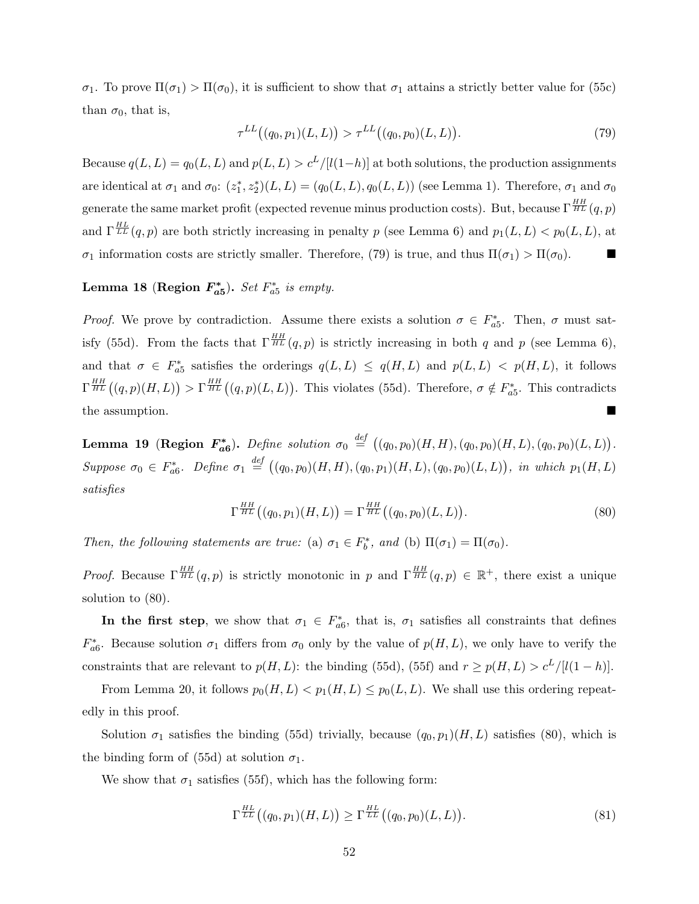σ<sub>1</sub>. To prove  $\Pi(\sigma_1) > \Pi(\sigma_0)$ , it is sufficient to show that  $\sigma_1$  attains a strictly better value for (55c) than  $\sigma_0$ , that is,

$$
\tau^{LL}((q_0, p_1)(L, L)) > \tau^{LL}((q_0, p_0)(L, L)).
$$
\n(79)

Because  $q(L, L) = q_0(L, L)$  and  $p(L, L) > c^L/[(1-h)]$  at both solutions, the production assignments are identical at  $\sigma_1$  and  $\sigma_0$ :  $(z_1^*, z_2^*)(L, L) = (q_0(L, L), q_0(L, L))$  (see Lemma 1). Therefore,  $\sigma_1$  and  $\sigma_0$ generate the same market profit (expected revenue minus production costs). But, because  $\Gamma^{\frac{HH}{HL}}(q,p)$ and  $\Gamma_{LL}^{HL}(q, p)$  are both strictly increasing in penalty p (see Lemma 6) and  $p_1(L, L) < p_0(L, L)$ , at σ<sub>1</sub> information costs are strictly smaller. Therefore, (79) is true, and thus  $\Pi(\sigma_1) > \Pi(\sigma_0)$ .

# Lemma 18 (Region  $F_{a5}^*$ ). Set  $F_{a5}^*$  is empty.

*Proof.* We prove by contradiction. Assume there exists a solution  $\sigma \in F_{a5}^*$ . Then,  $\sigma$  must satisfy (55d). From the facts that  $\Gamma^{\frac{HH}{HL}}(q, p)$  is strictly increasing in both q and p (see Lemma 6), and that  $\sigma \in F_{a5}^*$  satisfies the orderings  $q(L,L) \leq q(H,L)$  and  $p(L,L) < p(H,L)$ , it follows  $\Gamma^{\frac{HH}{HL}}((q,p)(H,L)) > \Gamma^{\frac{HH}{HL}}((q,p)(L,L)).$  This violates (55d). Therefore,  $\sigma \notin F_{a5}^*$ . This contradicts the assumption.

Lemma 19 (Region  $F_{a6}^*$ ). Define solution  $\sigma_0 \stackrel{def}{=} ((q_0, p_0)(H, H), (q_0, p_0)(H, L), (q_0, p_0)(L, L)).$ Suppose  $\sigma_0 \in F_{a6}^*$ . Define  $\sigma_1 \stackrel{def}{=} ((q_0, p_0)(H, H), (q_0, p_1)(H, L), (q_0, p_0)(L, L)),$  in which  $p_1(H, L)$ satisfies

$$
\Gamma^{\frac{HH}{HL}}\big((q_0, p_1)(H, L)\big) = \Gamma^{\frac{HH}{HL}}\big((q_0, p_0)(L, L)\big). \tag{80}
$$

Then, the following statements are true: (a)  $\sigma_1 \in F_b^*$ , and (b)  $\Pi(\sigma_1) = \Pi(\sigma_0)$ .

*Proof.* Because  $\Gamma^{\frac{HH}{HL}}(q,p)$  is strictly monotonic in p and  $\Gamma^{\frac{HH}{HL}}(q,p) \in \mathbb{R}^+$ , there exist a unique solution to (80).

In the first step, we show that  $\sigma_1 \in F_{a6}^*$ , that is,  $\sigma_1$  satisfies all constraints that defines  $F_{a6}^*$ . Because solution  $\sigma_1$  differs from  $\sigma_0$  only by the value of  $p(H, L)$ , we only have to verify the constraints that are relevant to  $p(H, L)$ : the binding (55d), (55f) and  $r \geq p(H, L) > c^L/[l(1-h)]$ .

From Lemma 20, it follows  $p_0(H, L) < p_1(H, L) \leq p_0(L, L)$ . We shall use this ordering repeatedly in this proof.

Solution  $\sigma_1$  satisfies the binding (55d) trivially, because  $(q_0, p_1)(H, L)$  satisfies (80), which is the binding form of (55d) at solution  $\sigma_1$ .

We show that  $\sigma_1$  satisfies (55f), which has the following form:

$$
\Gamma^{\frac{HL}{LL}}\big((q_0, p_1)(H, L)\big) \ge \Gamma^{\frac{HL}{LL}}\big((q_0, p_0)(L, L)\big). \tag{81}
$$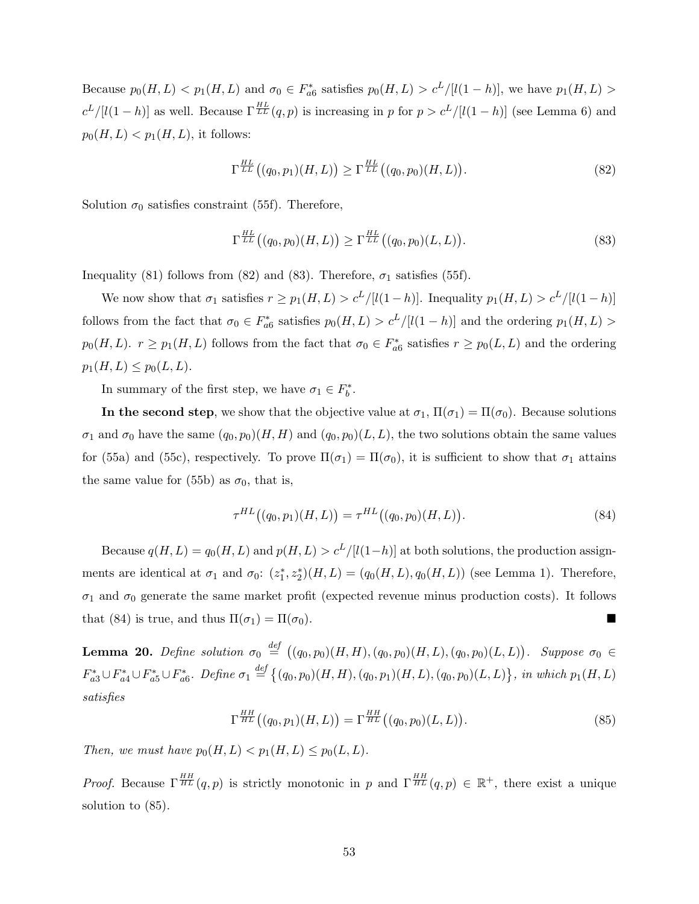Because  $p_0(H, L) < p_1(H, L)$  and  $\sigma_0 \in F_{a6}^*$  satisfies  $p_0(H, L) > c^L/[l(1-h)]$ , we have  $p_1(H, L) >$  $c^L/[(1-h)]$  as well. Because  $\Gamma^{HL}_{LL}(q, p)$  is increasing in p for  $p > c^L/[(1-h)]$  (see Lemma 6) and  $p_0(H, L) < p_1(H, L)$ , it follows:

$$
\Gamma^{\frac{HL}{LL}}\big((q_0, p_1)(H, L)\big) \ge \Gamma^{\frac{HL}{LL}}\big((q_0, p_0)(H, L)\big). \tag{82}
$$

Solution  $\sigma_0$  satisfies constraint (55f). Therefore,

$$
\Gamma^{\frac{HL}{LL}}((q_0, p_0)(H, L)) \ge \Gamma^{\frac{HL}{LL}}((q_0, p_0)(L, L)).
$$
\n(83)

Inequality (81) follows from (82) and (83). Therefore,  $\sigma_1$  satisfies (55f).

We now show that  $\sigma_1$  satisfies  $r \geq p_1(H, L) > c^L/[l(1-h)]$ . Inequality  $p_1(H, L) > c^L/[l(1-h)]$ follows from the fact that  $\sigma_0 \in F_{a6}^*$  satisfies  $p_0(H, L) > c^L/[l(1-h)]$  and the ordering  $p_1(H, L) >$  $p_0(H, L)$ .  $r \ge p_1(H, L)$  follows from the fact that  $\sigma_0 \in F_{a6}^*$  satisfies  $r \ge p_0(L, L)$  and the ordering  $p_1(H, L) \leq p_0(L, L).$ 

In summary of the first step, we have  $\sigma_1 \in F_b^*$ .

In the second step, we show that the objective value at  $\sigma_1$ ,  $\Pi(\sigma_1) = \Pi(\sigma_0)$ . Because solutions  $\sigma_1$  and  $\sigma_0$  have the same  $(q_0, p_0)(H, H)$  and  $(q_0, p_0)(L, L)$ , the two solutions obtain the same values for (55a) and (55c), respectively. To prove  $\Pi(\sigma_1) = \Pi(\sigma_0)$ , it is sufficient to show that  $\sigma_1$  attains the same value for (55b) as  $\sigma_0$ , that is,

$$
\tau^{HL}((q_0, p_1)(H, L)) = \tau^{HL}((q_0, p_0)(H, L)).
$$
\n(84)

Because  $q(H, L) = q_0(H, L)$  and  $p(H, L) > c^L/[(1-h)]$  at both solutions, the production assignments are identical at  $\sigma_1$  and  $\sigma_0$ :  $(z_1^*, z_2^*)(H, L) = (q_0(H, L), q_0(H, L))$  (see Lemma 1). Therefore,  $\sigma_1$  and  $\sigma_0$  generate the same market profit (expected revenue minus production costs). It follows that (84) is true, and thus  $\Pi(\sigma_1) = \Pi(\sigma_0)$ .

**Lemma 20.** Define solution  $\sigma_0 \stackrel{def}{=} ((q_0, p_0)(H, H), (q_0, p_0)(H, L), (q_0, p_0)(L, L))$ . Suppose  $\sigma_0 \in$  $F_{a3}^* \cup F_{a4}^* \cup F_{a5}^* \cup F_{a6}^*$ . Define  $\sigma_1 \stackrel{def}{=} \{(q_0, p_0)(H, H), (q_0, p_1)(H, L), (q_0, p_0)(L, L)\}\$ , in which  $p_1(H, L)$ satisfies

$$
\Gamma^{\frac{HH}{HL}}\big((q_0, p_1)(H, L)\big) = \Gamma^{\frac{HH}{HL}}\big((q_0, p_0)(L, L)\big). \tag{85}
$$

Then, we must have  $p_0(H, L) < p_1(H, L) \le p_0(L, L)$ .

*Proof.* Because  $\Gamma^{\frac{HH}{HL}}(q,p)$  is strictly monotonic in p and  $\Gamma^{\frac{HH}{HL}}(q,p) \in \mathbb{R}^+$ , there exist a unique solution to (85).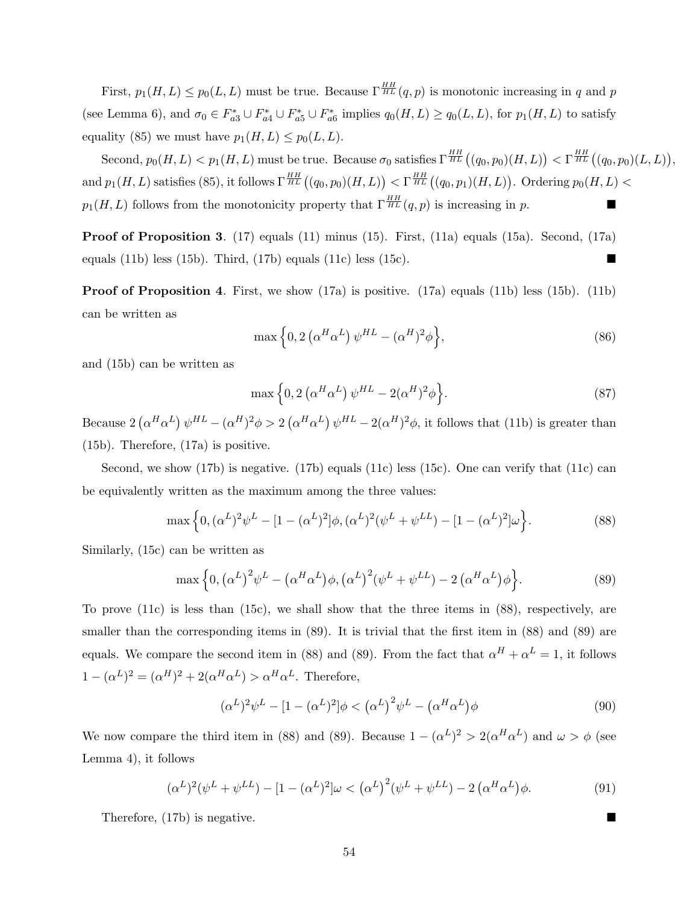First,  $p_1(H, L) \leq p_0(L, L)$  must be true. Because  $\Gamma^{\frac{HH}{HL}}(q, p)$  is monotonic increasing in q and p (see Lemma 6), and  $\sigma_0 \in F_{a3}^* \cup F_{a4}^* \cup F_{a5}^* \cup F_{a6}^*$  implies  $q_0(H, L) \geq q_0(L, L)$ , for  $p_1(H, L)$  to satisfy equality (85) we must have  $p_1(H, L) \leq p_0(L, L)$ .

 $\text{Second, } p_0(H, L) < p_1(H, L) \text{ must be true. Because } \sigma_0 \text{ satisfies } \Gamma^{\frac{HH}{HL}}\big((q_0, p_0)(H, L)\big) < \Gamma^{\frac{HH}{HL}}\big((q_0, p_0)(L, L)\big),$ and  $p_1(H, L)$  satisfies (85), it follows  $\Gamma^{\frac{HH}{HL}}((q_0, p_0)(H, L)) < \Gamma^{\frac{HH}{HL}}((q_0, p_1)(H, L))$ . Ordering  $p_0(H, L) <$  $p_1(H,L)$  follows from the monotonicity property that  $\Gamma^{\frac{HH}{HL}}(q,p)$  is increasing in p.

Proof of Proposition 3. (17) equals (11) minus (15). First, (11a) equals (15a). Second, (17a) equals (11b) less (15b). Third, (17b) equals (11c) less (15c).

**Proof of Proposition 4.** First, we show  $(17a)$  is positive.  $(17a)$  equals  $(11b)$  less  $(15b)$ .  $(11b)$ can be written as

$$
\max\left\{0,2\left(\alpha^H\alpha^L\right)\psi^{HL}-(\alpha^H)^2\phi\right\},\tag{86}
$$

and (15b) can be written as

$$
\max\left\{0,2\left(\alpha^H\alpha^L\right)\psi^{HL}-2(\alpha^H)^2\phi\right\}.\tag{87}
$$

Because  $2(\alpha^H\alpha^L)\psi^{HL}-(\alpha^H)^2\phi>2(\alpha^H\alpha^L)\psi^{HL}-2(\alpha^H)^2\phi$ , it follows that (11b) is greater than (15b). Therefore, (17a) is positive.

Second, we show (17b) is negative. (17b) equals (11c) less (15c). One can verify that (11c) can be equivalently written as the maximum among the three values:

$$
\max\left\{0, (\alpha^L)^2 \psi^L - [1 - (\alpha^L)^2] \phi, (\alpha^L)^2 (\psi^L + \psi^{LL}) - [1 - (\alpha^L)^2] \omega\right\}.
$$
\n(88)

Similarly, (15c) can be written as

$$
\max\left\{0, \left(\alpha^L\right)^2 \psi^L - \left(\alpha^H \alpha^L\right) \phi, \left(\alpha^L\right)^2 (\psi^L + \psi^{LL}) - 2 \left(\alpha^H \alpha^L\right) \phi\right\}.
$$
\n(89)

To prove (11c) is less than (15c), we shall show that the three items in (88), respectively, are smaller than the corresponding items in  $(89)$ . It is trivial that the first item in  $(88)$  and  $(89)$  are equals. We compare the second item in (88) and (89). From the fact that  $\alpha^H + \alpha^L = 1$ , it follows  $1 - (\alpha^L)^2 = (\alpha^H)^2 + 2(\alpha^H \alpha^L) > \alpha^H \alpha^L$ . Therefore,

$$
(\alpha^L)^2 \psi^L - [1 - (\alpha^L)^2] \phi < (\alpha^L)^2 \psi^L - (\alpha^H \alpha^L) \phi \tag{90}
$$

We now compare the third item in (88) and (89). Because  $1 - (\alpha^L)^2 > 2(\alpha^H \alpha^L)$  and  $\omega > \phi$  (see Lemma 4), it follows

$$
(\alpha^L)^2(\psi^L + \psi^{LL}) - [1 - (\alpha^L)^2]\omega < (\alpha^L)^2(\psi^L + \psi^{LL}) - 2(\alpha^H\alpha^L)\phi. \tag{91}
$$

Therefore, (17b) is negative.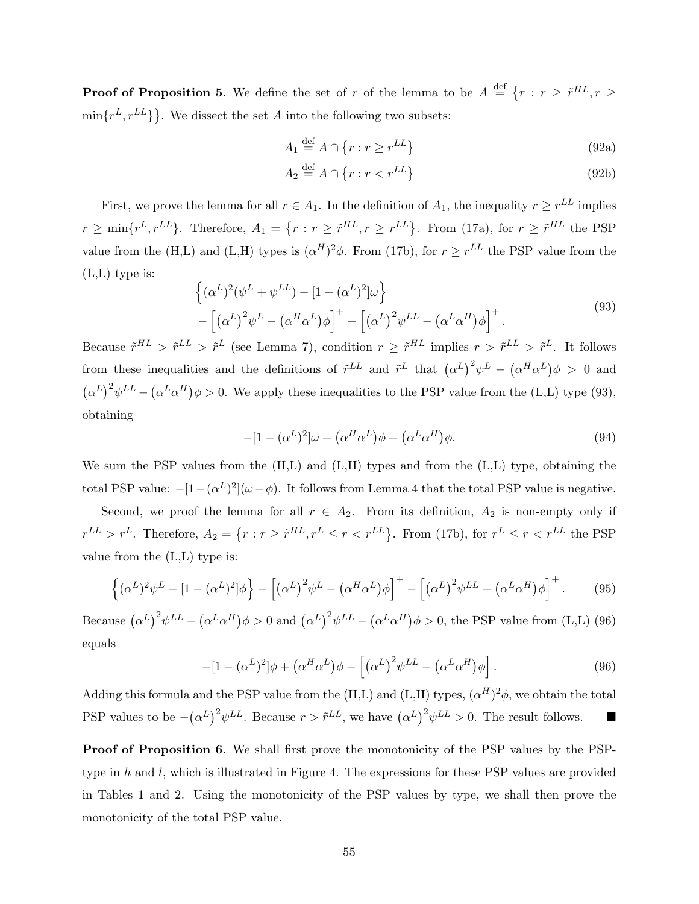**Proof of Proposition 5.** We define the set of r of the lemma to be  $A \stackrel{\text{def}}{=} \{r : r \geq \tilde{r}^{HL}, r \geq 0\}$  $\min\{r^L, r^{LL}\}\}.$  We dissect the set A into the following two subsets:

$$
A_1 \stackrel{\text{def}}{=} A \cap \{r : r \ge r^{LL}\}\tag{92a}
$$

$$
A_2 \stackrel{\text{def}}{=} A \cap \{r : r < r^{LL}\} \tag{92b}
$$

First, we prove the lemma for all  $r \in A_1$ . In the definition of  $A_1$ , the inequality  $r \geq r^{LL}$  implies  $r \ge \min\{r^L, r^{LL}\}.$  Therefore,  $A_1 = \{r : r \ge \tilde{r}^{HL}, r \ge r^{LL}\}.$  From (17a), for  $r \ge \tilde{r}^{HL}$  the PSP value from the (H,L) and (L,H) types is  $({\alpha}^H)^2 \phi$ . From (17b), for  $r \geq r^{LL}$  the PSP value from the (L,L) type is:

$$
\left\{ (\alpha^L)^2 (\psi^L + \psi^{LL}) - [1 - (\alpha^L)^2] \omega \right\} - \left[ (\alpha^L)^2 \psi^L - (\alpha^H \alpha^L) \phi \right]^+ - \left[ (\alpha^L)^2 \psi^{LL} - (\alpha^L \alpha^H) \phi \right]^+.
$$
 (93)

Because  $\tilde{r}^{HL} > \tilde{r}^L > \tilde{r}^L$  (see Lemma 7), condition  $r \geq \tilde{r}^{HL}$  implies  $r > \tilde{r}^L > \tilde{r}^L$ . It follows from these inequalities and the definitions of  $\tilde{r}^{LL}$  and  $\tilde{r}^{L}$  that  $(\alpha^{L})^{2}\psi^{L} - (\alpha^{H}\alpha^{L})\phi > 0$  and  $(\alpha^L)^2 \psi^{LL} - (\alpha^L \alpha^H) \phi > 0$ . We apply these inequalities to the PSP value from the (L,L) type (93), obtaining

$$
-[1 - (\alpha^L)^2]\omega + (\alpha^H \alpha^L)\phi + (\alpha^L \alpha^H)\phi.
$$
\n(94)

We sum the PSP values from the  $(H,L)$  and  $(L,H)$  types and from the  $(L,L)$  type, obtaining the total PSP value:  $-[1-(\alpha^L)^2](\omega-\phi)$ . It follows from Lemma 4 that the total PSP value is negative.

Second, we proof the lemma for all  $r \in A_2$ . From its definition,  $A_2$  is non-empty only if  $r^{LL} > r^L$ . Therefore,  $A_2 = \{r : r \geq \tilde{r}^{HL}, r^L \leq r < r^{LL}\}$ . From (17b), for  $r^L \leq r < r^{LL}$  the PSP value from the (L,L) type is:

$$
\left\{ (\alpha^L)^2 \psi^L - [1 - (\alpha^L)^2] \phi \right\} - \left[ (\alpha^L)^2 \psi^L - (\alpha^H \alpha^L) \phi \right]^+ - \left[ (\alpha^L)^2 \psi^{LL} - (\alpha^L \alpha^H) \phi \right]^+.
$$
 (95)

Because  $(\alpha^L)^2 \psi^{LL} - (\alpha^L \alpha^H) \phi > 0$  and  $(\alpha^L)^2 \psi^{LL} - (\alpha^L \alpha^H) \phi > 0$ , the PSP value from (L,L) (96) equals

$$
-[1 - (\alpha^L)^2]\phi + (\alpha^H \alpha^L)\phi - [(\alpha^L)^2 \psi^{LL} - (\alpha^L \alpha^H)\phi]. \tag{96}
$$

Adding this formula and the PSP value from the  $(H,L)$  and  $(L,H)$  types,  $(\alpha^H)^2 \phi$ , we obtain the total PSP values to be  $-(\alpha^L)^2 \psi^{LL}$ . Because  $r > \tilde{r}^{LL}$ , we have  $(\alpha^L)^2 \psi^{LL} > 0$ . The result follows. ■

Proof of Proposition 6. We shall first prove the monotonicity of the PSP values by the PSPtype in  $h$  and  $l$ , which is illustrated in Figure 4. The expressions for these PSP values are provided in Tables 1 and 2. Using the monotonicity of the PSP values by type, we shall then prove the monotonicity of the total PSP value.